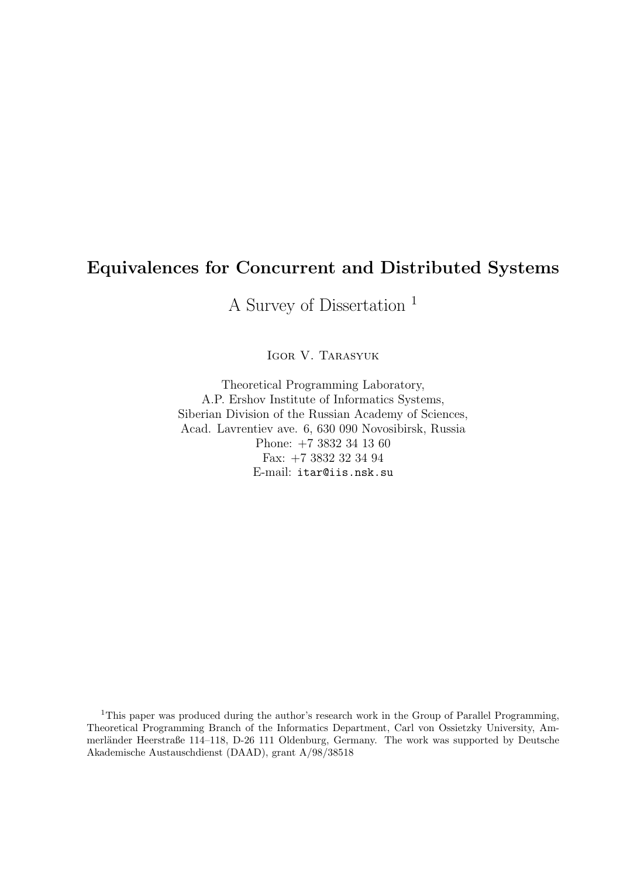## Equivalences for Concurrent and Distributed Systems

A Survey of Dissertation <sup>1</sup>

Igor V. Tarasyuk

Theoretical Programming Laboratory, A.P. Ershov Institute of Informatics Systems, Siberian Division of the Russian Academy of Sciences, Acad. Lavrentiev ave. 6, 630 090 Novosibirsk, Russia Phone: +7 3832 34 13 60 Fax: +7 3832 32 34 94 E-mail: itar@iis.nsk.su

<sup>1</sup>This paper was produced during the author's research work in the Group of Parallel Programming, Theoretical Programming Branch of the Informatics Department, Carl von Ossietzky University, Ammerländer Heerstraße 114–118, D-26 111 Oldenburg, Germany. The work was supported by Deutsche Akademische Austauschdienst (DAAD), grant A/98/38518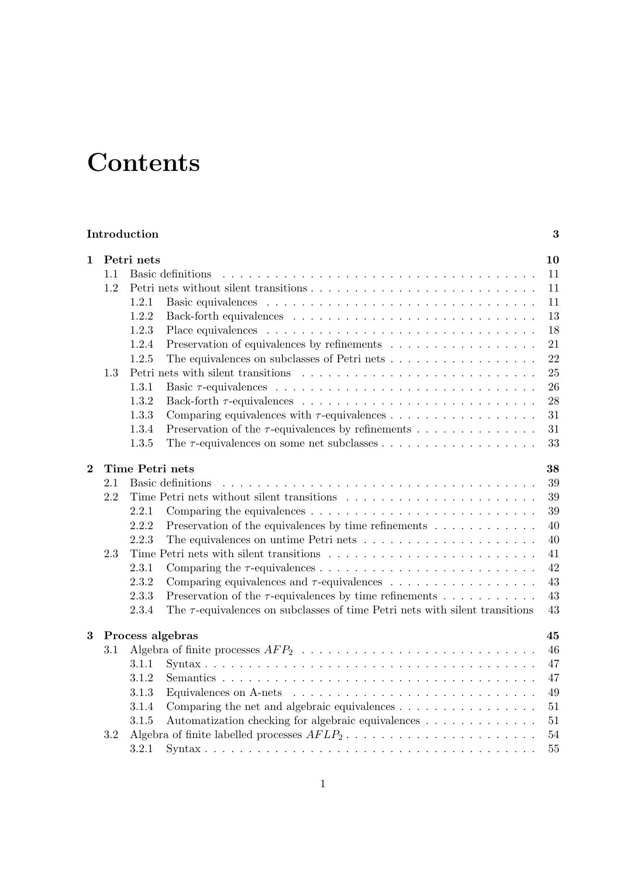# **Contents**

| Introduction |
|--------------|
|--------------|

| 1              |                       | Petri nets                                                                                     | 10     |  |  |
|----------------|-----------------------|------------------------------------------------------------------------------------------------|--------|--|--|
|                | 1.1                   | Basic definitions                                                                              | 11     |  |  |
|                | 1.2                   |                                                                                                | 11     |  |  |
|                |                       | 1.2.1                                                                                          | 11     |  |  |
|                |                       | 1.2.2                                                                                          | 13     |  |  |
|                |                       | 1.2.3                                                                                          | 18     |  |  |
|                |                       | Preservation of equivalences by refinements<br>1.2.4                                           | 21     |  |  |
|                |                       | 1.2.5                                                                                          | 22     |  |  |
|                | 1.3                   |                                                                                                | 25     |  |  |
|                |                       | 1.3.1                                                                                          | 26     |  |  |
|                |                       | 1.3.2                                                                                          | 28     |  |  |
|                |                       | 1.3.3<br>Comparing equivalences with $\tau$ -equivalences                                      | 31     |  |  |
|                |                       | Preservation of the $\tau\text{-equivalences}$ by refinements<br>1.3.4                         | 31     |  |  |
|                |                       | 1.3.5                                                                                          | 33     |  |  |
| $\overline{2}$ | Time Petri nets<br>38 |                                                                                                |        |  |  |
|                | 2.1                   | Basic definitions                                                                              | 39     |  |  |
|                | 2.2                   |                                                                                                | 39     |  |  |
|                |                       | 2.2.1                                                                                          | 39     |  |  |
|                |                       | 2.2.2<br>Preservation of the equivalences by time refinements $\ldots \ldots \ldots \ldots$    | 40     |  |  |
|                |                       | 2.2.3                                                                                          | 40     |  |  |
|                | 2.3                   |                                                                                                | 41     |  |  |
|                |                       | 2.3.1                                                                                          | 42     |  |  |
|                |                       | 2.3.2                                                                                          | 43     |  |  |
|                |                       | Preservation of the $\tau$ -equivalences by time refinements<br>2.3.3                          | 43     |  |  |
|                |                       | 2.3.4                                                                                          | 43     |  |  |
|                |                       | The $\tau$ -equivalences on subclasses of time Petri nets with silent transitions              |        |  |  |
| 3              |                       | Process algebras                                                                               | 45     |  |  |
|                | $3.1\,$               |                                                                                                | 46     |  |  |
|                |                       | 3.1.1                                                                                          | 47     |  |  |
|                |                       | 3.1.2                                                                                          | 47     |  |  |
|                |                       | 3.1.3                                                                                          | 49     |  |  |
|                |                       | 3.1.4<br>Comparing the net and algebraic equivalences $\dots \dots \dots \dots \dots$          | 51     |  |  |
|                |                       | 3.1.5<br>Automatization checking for algebraic equivalences                                    | $51\,$ |  |  |
|                | 3.2                   | Algebra of finite labelled processes $AFLP_2 \ldots \ldots \ldots \ldots \ldots \ldots \ldots$ | 54     |  |  |
|                |                       | 3.2.1                                                                                          | $55\,$ |  |  |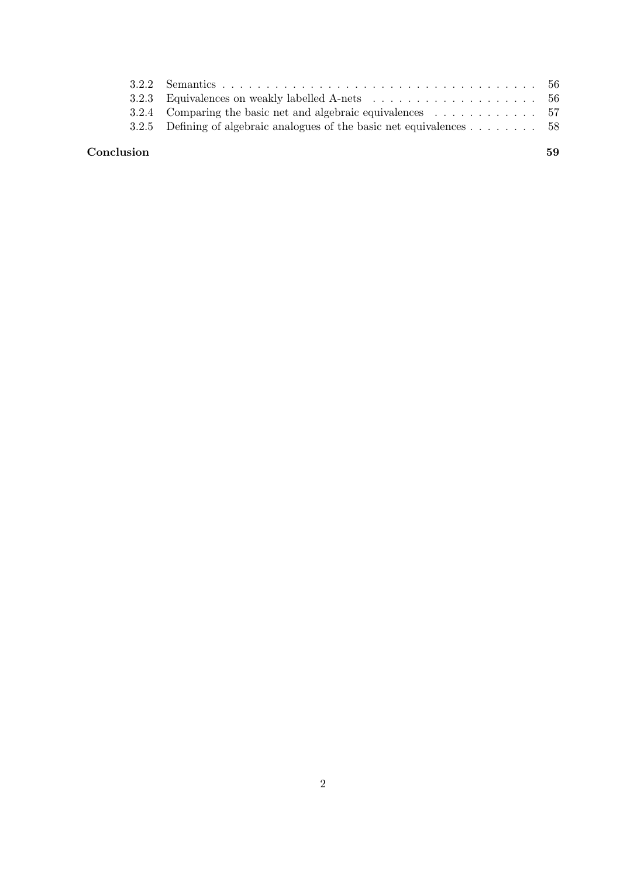| Conclusion |                                                                                     | 59 |
|------------|-------------------------------------------------------------------------------------|----|
|            | 3.2.5 Defining of algebraic analogues of the basic net equivalences $\dots \dots$ . |    |
|            |                                                                                     |    |
|            |                                                                                     |    |
|            |                                                                                     |    |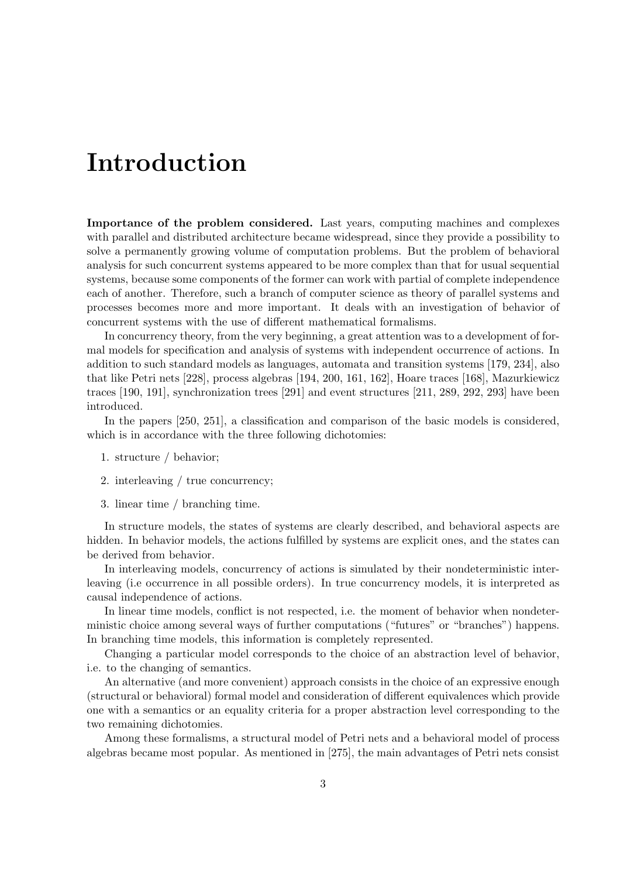## Introduction

Importance of the problem considered. Last years, computing machines and complexes with parallel and distributed architecture became widespread, since they provide a possibility to solve a permanently growing volume of computation problems. But the problem of behavioral analysis for such concurrent systems appeared to be more complex than that for usual sequential systems, because some components of the former can work with partial of complete independence each of another. Therefore, such a branch of computer science as theory of parallel systems and processes becomes more and more important. It deals with an investigation of behavior of concurrent systems with the use of different mathematical formalisms.

In concurrency theory, from the very beginning, a great attention was to a development of formal models for specification and analysis of systems with independent occurrence of actions. In addition to such standard models as languages, automata and transition systems [179, 234], also that like Petri nets [228], process algebras [194, 200, 161, 162], Hoare traces [168], Mazurkiewicz traces [190, 191], synchronization trees [291] and event structures [211, 289, 292, 293] have been introduced.

In the papers [250, 251], a classification and comparison of the basic models is considered, which is in accordance with the three following dichotomies:

- 1. structure / behavior;
- 2. interleaving / true concurrency;
- 3. linear time / branching time.

In structure models, the states of systems are clearly described, and behavioral aspects are hidden. In behavior models, the actions fulfilled by systems are explicit ones, and the states can be derived from behavior.

In interleaving models, concurrency of actions is simulated by their nondeterministic interleaving (i.e occurrence in all possible orders). In true concurrency models, it is interpreted as causal independence of actions.

In linear time models, conflict is not respected, i.e. the moment of behavior when nondeterministic choice among several ways of further computations ("futures" or "branches") happens. In branching time models, this information is completely represented.

Changing a particular model corresponds to the choice of an abstraction level of behavior, i.e. to the changing of semantics.

An alternative (and more convenient) approach consists in the choice of an expressive enough (structural or behavioral) formal model and consideration of different equivalences which provide one with a semantics or an equality criteria for a proper abstraction level corresponding to the two remaining dichotomies.

Among these formalisms, a structural model of Petri nets and a behavioral model of process algebras became most popular. As mentioned in [275], the main advantages of Petri nets consist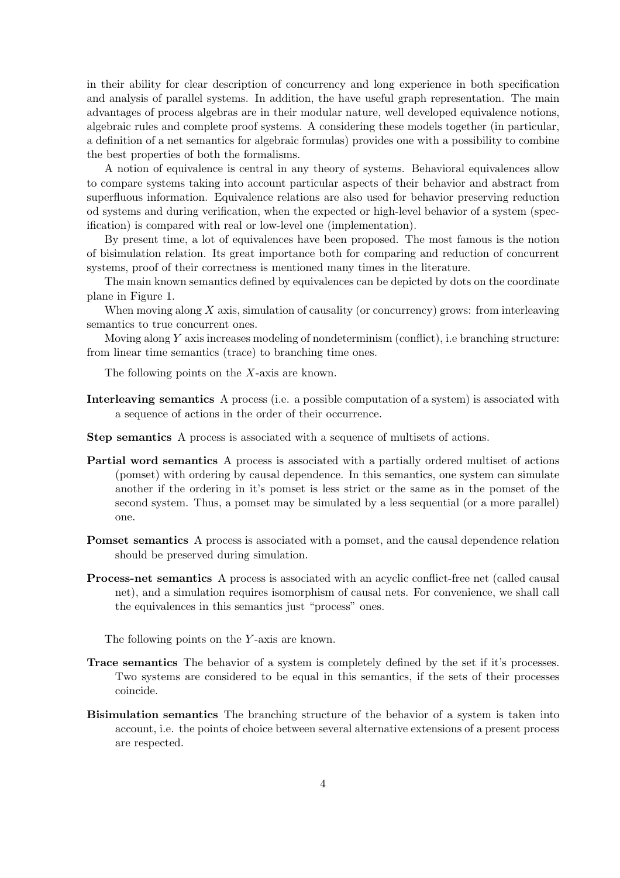in their ability for clear description of concurrency and long experience in both specification and analysis of parallel systems. In addition, the have useful graph representation. The main advantages of process algebras are in their modular nature, well developed equivalence notions, algebraic rules and complete proof systems. A considering these models together (in particular, a definition of a net semantics for algebraic formulas) provides one with a possibility to combine the best properties of both the formalisms.

A notion of equivalence is central in any theory of systems. Behavioral equivalences allow to compare systems taking into account particular aspects of their behavior and abstract from superfluous information. Equivalence relations are also used for behavior preserving reduction od systems and during verification, when the expected or high-level behavior of a system (specification) is compared with real or low-level one (implementation).

By present time, a lot of equivalences have been proposed. The most famous is the notion of bisimulation relation. Its great importance both for comparing and reduction of concurrent systems, proof of their correctness is mentioned many times in the literature.

The main known semantics defined by equivalences can be depicted by dots on the coordinate plane in Figure 1.

When moving along  $X$  axis, simulation of causality (or concurrency) grows: from interleaving semantics to true concurrent ones.

Moving along Y axis increases modeling of nondeterminism (conflict), i.e branching structure: from linear time semantics (trace) to branching time ones.

The following points on the X-axis are known.

- Interleaving semantics A process (i.e. a possible computation of a system) is associated with a sequence of actions in the order of their occurrence.
- Step semantics A process is associated with a sequence of multisets of actions.
- Partial word semantics A process is associated with a partially ordered multiset of actions (pomset) with ordering by causal dependence. In this semantics, one system can simulate another if the ordering in it's pomset is less strict or the same as in the pomset of the second system. Thus, a pomset may be simulated by a less sequential (or a more parallel) one.
- Pomset semantics A process is associated with a pomset, and the causal dependence relation should be preserved during simulation.
- Process-net semantics A process is associated with an acyclic conflict-free net (called causal net), and a simulation requires isomorphism of causal nets. For convenience, we shall call the equivalences in this semantics just "process" ones.

The following points on the Y-axis are known.

- Trace semantics The behavior of a system is completely defined by the set if it's processes. Two systems are considered to be equal in this semantics, if the sets of their processes coincide.
- Bisimulation semantics The branching structure of the behavior of a system is taken into account, i.e. the points of choice between several alternative extensions of a present process are respected.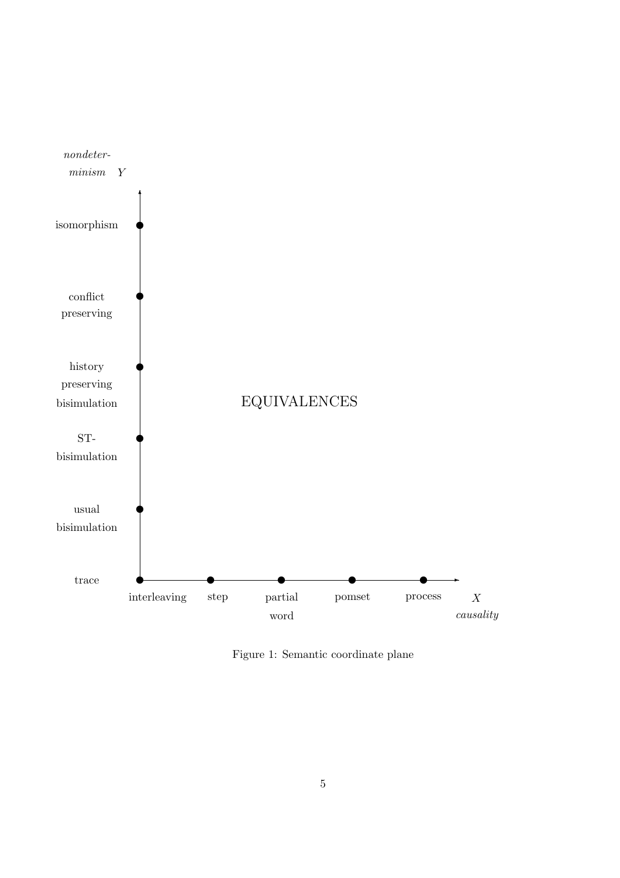

Figure 1: Semantic coordinate plane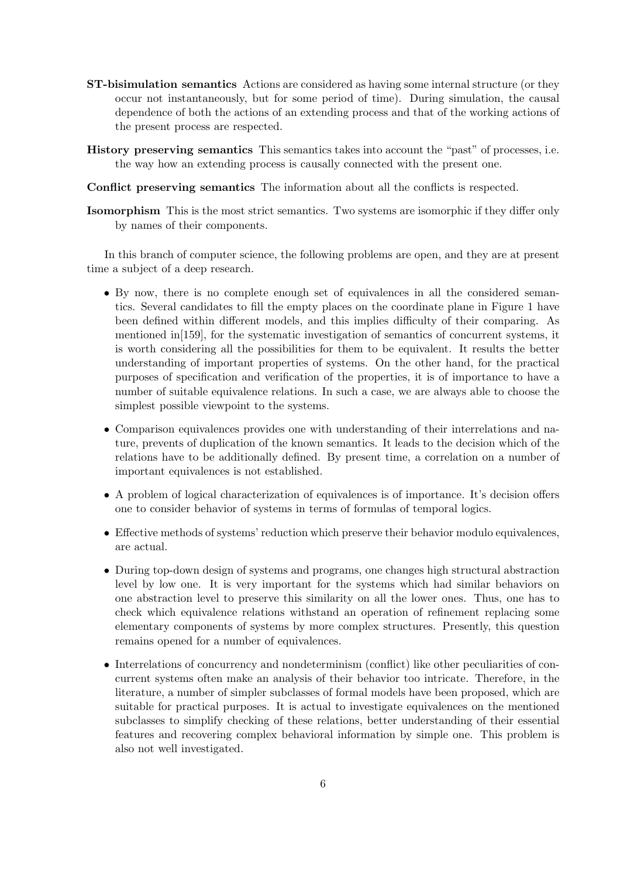- ST-bisimulation semantics Actions are considered as having some internal structure (or they occur not instantaneously, but for some period of time). During simulation, the causal dependence of both the actions of an extending process and that of the working actions of the present process are respected.
- History preserving semantics This semantics takes into account the "past" of processes, i.e. the way how an extending process is causally connected with the present one.
- Conflict preserving semantics The information about all the conflicts is respected.
- Isomorphism This is the most strict semantics. Two systems are isomorphic if they differ only by names of their components.

In this branch of computer science, the following problems are open, and they are at present time a subject of a deep research.

- By now, there is no complete enough set of equivalences in all the considered semantics. Several candidates to fill the empty places on the coordinate plane in Figure 1 have been defined within different models, and this implies difficulty of their comparing. As mentioned in[159], for the systematic investigation of semantics of concurrent systems, it is worth considering all the possibilities for them to be equivalent. It results the better understanding of important properties of systems. On the other hand, for the practical purposes of specification and verification of the properties, it is of importance to have a number of suitable equivalence relations. In such a case, we are always able to choose the simplest possible viewpoint to the systems.
- Comparison equivalences provides one with understanding of their interrelations and nature, prevents of duplication of the known semantics. It leads to the decision which of the relations have to be additionally defined. By present time, a correlation on a number of important equivalences is not established.
- A problem of logical characterization of equivalences is of importance. It's decision offers one to consider behavior of systems in terms of formulas of temporal logics.
- Effective methods of systems' reduction which preserve their behavior modulo equivalences, are actual.
- During top-down design of systems and programs, one changes high structural abstraction level by low one. It is very important for the systems which had similar behaviors on one abstraction level to preserve this similarity on all the lower ones. Thus, one has to check which equivalence relations withstand an operation of refinement replacing some elementary components of systems by more complex structures. Presently, this question remains opened for a number of equivalences.
- Interrelations of concurrency and nondeterminism (conflict) like other peculiarities of concurrent systems often make an analysis of their behavior too intricate. Therefore, in the literature, a number of simpler subclasses of formal models have been proposed, which are suitable for practical purposes. It is actual to investigate equivalences on the mentioned subclasses to simplify checking of these relations, better understanding of their essential features and recovering complex behavioral information by simple one. This problem is also not well investigated.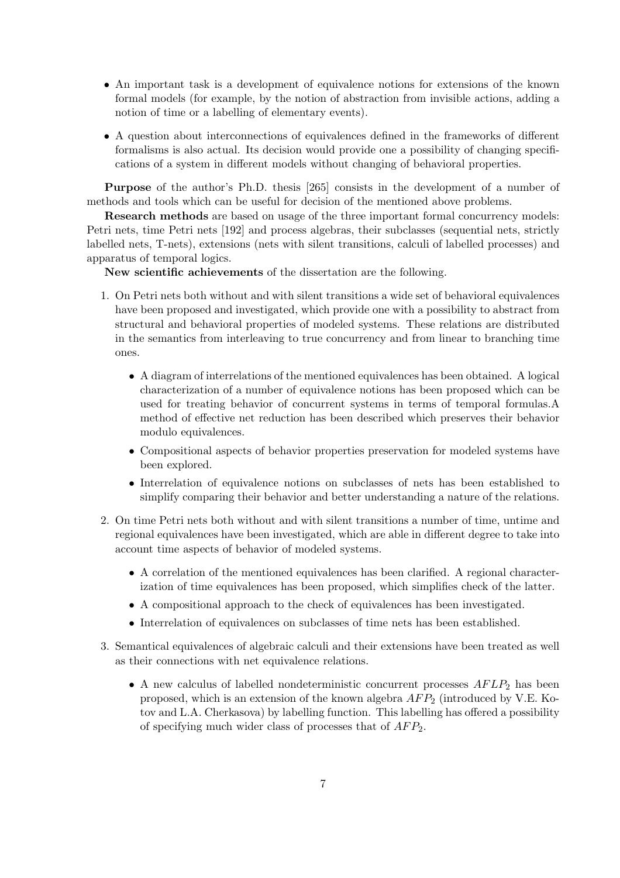- An important task is a development of equivalence notions for extensions of the known formal models (for example, by the notion of abstraction from invisible actions, adding a notion of time or a labelling of elementary events).
- A question about interconnections of equivalences defined in the frameworks of different formalisms is also actual. Its decision would provide one a possibility of changing specifications of a system in different models without changing of behavioral properties.

Purpose of the author's Ph.D. thesis [265] consists in the development of a number of methods and tools which can be useful for decision of the mentioned above problems.

Research methods are based on usage of the three important formal concurrency models: Petri nets, time Petri nets [192] and process algebras, their subclasses (sequential nets, strictly labelled nets, T-nets), extensions (nets with silent transitions, calculi of labelled processes) and apparatus of temporal logics.

New scientific achievements of the dissertation are the following.

- 1. On Petri nets both without and with silent transitions a wide set of behavioral equivalences have been proposed and investigated, which provide one with a possibility to abstract from structural and behavioral properties of modeled systems. These relations are distributed in the semantics from interleaving to true concurrency and from linear to branching time ones.
	- A diagram of interrelations of the mentioned equivalences has been obtained. A logical characterization of a number of equivalence notions has been proposed which can be used for treating behavior of concurrent systems in terms of temporal formulas.A method of effective net reduction has been described which preserves their behavior modulo equivalences.
	- Compositional aspects of behavior properties preservation for modeled systems have been explored.
	- Interrelation of equivalence notions on subclasses of nets has been established to simplify comparing their behavior and better understanding a nature of the relations.
- 2. On time Petri nets both without and with silent transitions a number of time, untime and regional equivalences have been investigated, which are able in different degree to take into account time aspects of behavior of modeled systems.
	- A correlation of the mentioned equivalences has been clarified. A regional characterization of time equivalences has been proposed, which simplifies check of the latter.
	- A compositional approach to the check of equivalences has been investigated.
	- Interrelation of equivalences on subclasses of time nets has been established.
- 3. Semantical equivalences of algebraic calculi and their extensions have been treated as well as their connections with net equivalence relations.
	- A new calculus of labelled nondeterministic concurrent processes  $AFLP<sub>2</sub>$  has been proposed, which is an extension of the known algebra  $AFP_2$  (introduced by V.E. Kotov and L.A. Cherkasova) by labelling function. This labelling has offered a possibility of specifying much wider class of processes that of  $AFP_2$ .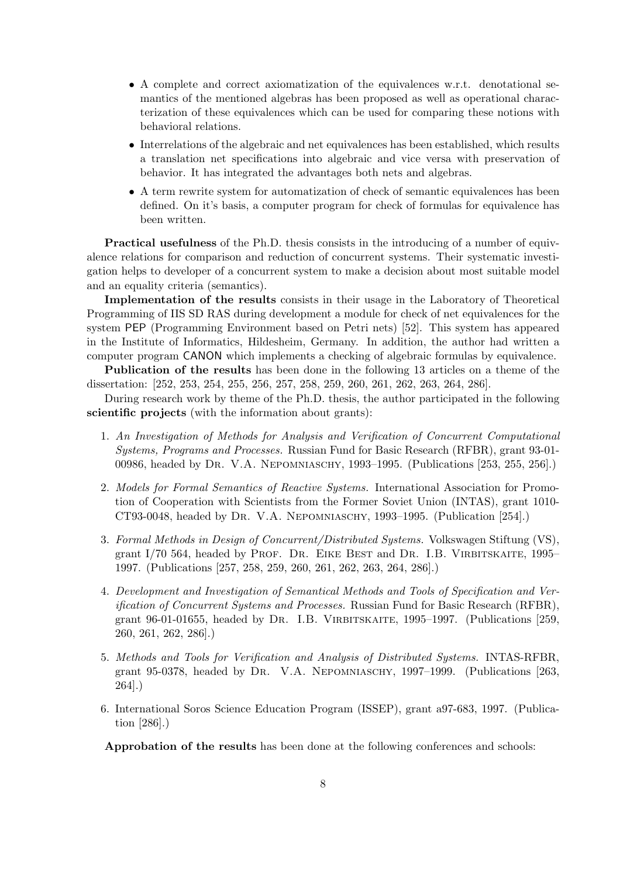- A complete and correct axiomatization of the equivalences w.r.t. denotational semantics of the mentioned algebras has been proposed as well as operational characterization of these equivalences which can be used for comparing these notions with behavioral relations.
- Interrelations of the algebraic and net equivalences has been established, which results a translation net specifications into algebraic and vice versa with preservation of behavior. It has integrated the advantages both nets and algebras.
- A term rewrite system for automatization of check of semantic equivalences has been defined. On it's basis, a computer program for check of formulas for equivalence has been written.

Practical usefulness of the Ph.D. thesis consists in the introducing of a number of equivalence relations for comparison and reduction of concurrent systems. Their systematic investigation helps to developer of a concurrent system to make a decision about most suitable model and an equality criteria (semantics).

Implementation of the results consists in their usage in the Laboratory of Theoretical Programming of IIS SD RAS during development a module for check of net equivalences for the system PEP (Programming Environment based on Petri nets) [52]. This system has appeared in the Institute of Informatics, Hildesheim, Germany. In addition, the author had written a computer program CANON which implements a checking of algebraic formulas by equivalence.

Publication of the results has been done in the following 13 articles on a theme of the dissertation: [252, 253, 254, 255, 256, 257, 258, 259, 260, 261, 262, 263, 264, 286].

During research work by theme of the Ph.D. thesis, the author participated in the following scientific projects (with the information about grants):

- 1. An Investigation of Methods for Analysis and Verification of Concurrent Computational Systems, Programs and Processes. Russian Fund for Basic Research (RFBR), grant 93-01- 00986, headed by Dr. V.A. Nepomniaschy, 1993–1995. (Publications [253, 255, 256].)
- 2. Models for Formal Semantics of Reactive Systems. International Association for Promotion of Cooperation with Scientists from the Former Soviet Union (INTAS), grant 1010- CT93-0048, headed by Dr. V.A. Nepomniaschy, 1993–1995. (Publication [254].)
- 3. Formal Methods in Design of Concurrent/Distributed Systems. Volkswagen Stiftung (VS), grant  $I/70$  564, headed by PROF. DR. EIKE BEST and DR. I.B. VIRBITSKAITE, 1995– 1997. (Publications [257, 258, 259, 260, 261, 262, 263, 264, 286].)
- 4. Development and Investigation of Semantical Methods and Tools of Specification and Verification of Concurrent Systems and Processes. Russian Fund for Basic Research (RFBR), grant 96-01-01655, headed by Dr. I.B. Virbitskaite, 1995–1997. (Publications [259, 260, 261, 262, 286].)
- 5. Methods and Tools for Verification and Analysis of Distributed Systems. INTAS-RFBR, grant 95-0378, headed by Dr. V.A. Nepomniaschy, 1997–1999. (Publications [263, 264].)
- 6. International Soros Science Education Program (ISSEP), grant a97-683, 1997. (Publication [286].)

Approbation of the results has been done at the following conferences and schools: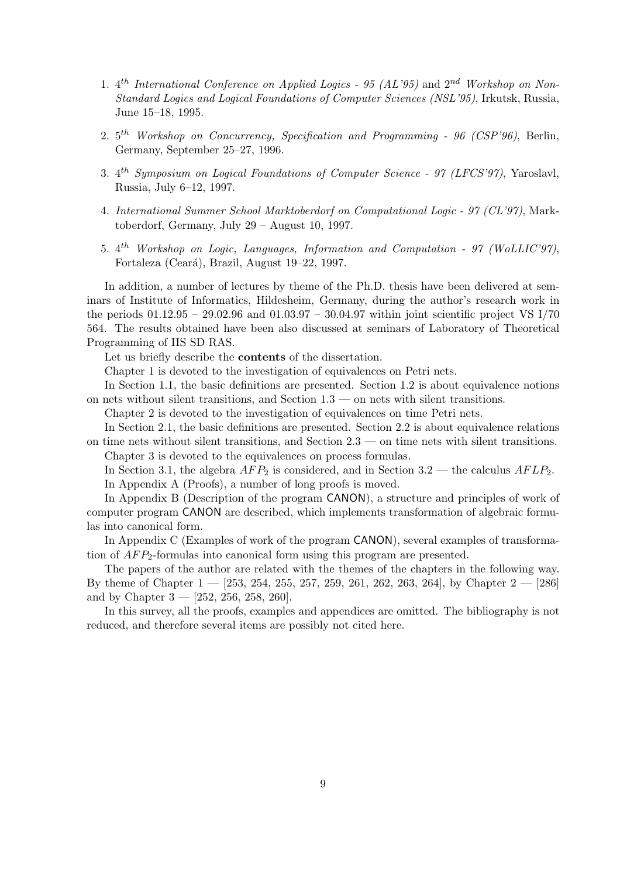- 1.  $4^{th}$  International Conference on Applied Logics 95 (AL'95) and  $2^{nd}$  Workshop on Non-Standard Logics and Logical Foundations of Computer Sciences (NSL'95), Irkutsk, Russia, June 15–18, 1995.
- 2.  $5<sup>th</sup>$  Workshop on Concurrency, Specification and Programming 96 (CSP'96), Berlin, Germany, September 25–27, 1996.
- 3. 4<sup>th</sup> Symposium on Logical Foundations of Computer Science 97 (LFCS'97), Yaroslavl, Russia, July 6–12, 1997.
- 4. International Summer School Marktoberdorf on Computational Logic 97 (CL'97), Marktoberdorf, Germany, July 29 – August 10, 1997.
- 5. 4<sup>th</sup> Workshop on Logic, Languages, Information and Computation 97 (WoLLIC'97), Fortaleza (Ceará), Brazil, August 19–22, 1997.

In addition, a number of lectures by theme of the Ph.D. thesis have been delivered at seminars of Institute of Informatics, Hildesheim, Germany, during the author's research work in the periods  $01.12.95 - 29.02.96$  and  $01.03.97 - 30.04.97$  within joint scientific project VS I/70 564. The results obtained have been also discussed at seminars of Laboratory of Theoretical Programming of IIS SD RAS.

Let us briefly describe the contents of the dissertation.

Chapter 1 is devoted to the investigation of equivalences on Petri nets.

In Section 1.1, the basic definitions are presented. Section 1.2 is about equivalence notions on nets without silent transitions, and Section 1.3 — on nets with silent transitions.

Chapter 2 is devoted to the investigation of equivalences on time Petri nets.

In Section 2.1, the basic definitions are presented. Section 2.2 is about equivalence relations on time nets without silent transitions, and Section 2.3 — on time nets with silent transitions. Chapter 3 is devoted to the equivalences on process formulas.

In Section 3.1, the algebra  $AFP_2$  is considered, and in Section 3.2 — the calculus  $AFLP_2$ . In Appendix A (Proofs), a number of long proofs is moved.

In Appendix B (Description of the program CANON), a structure and principles of work of computer program CANON are described, which implements transformation of algebraic formulas into canonical form.

In Appendix C (Examples of work of the program CANON), several examples of transformation of  $AFP_2$ -formulas into canonical form using this program are presented.

The papers of the author are related with the themes of the chapters in the following way. By theme of Chapter  $1 - [253, 254, 255, 257, 259, 261, 262, 263, 264]$ , by Chapter  $2 - [286]$ and by Chapter  $3 - [252, 256, 258, 260].$ 

In this survey, all the proofs, examples and appendices are omitted. The bibliography is not reduced, and therefore several items are possibly not cited here.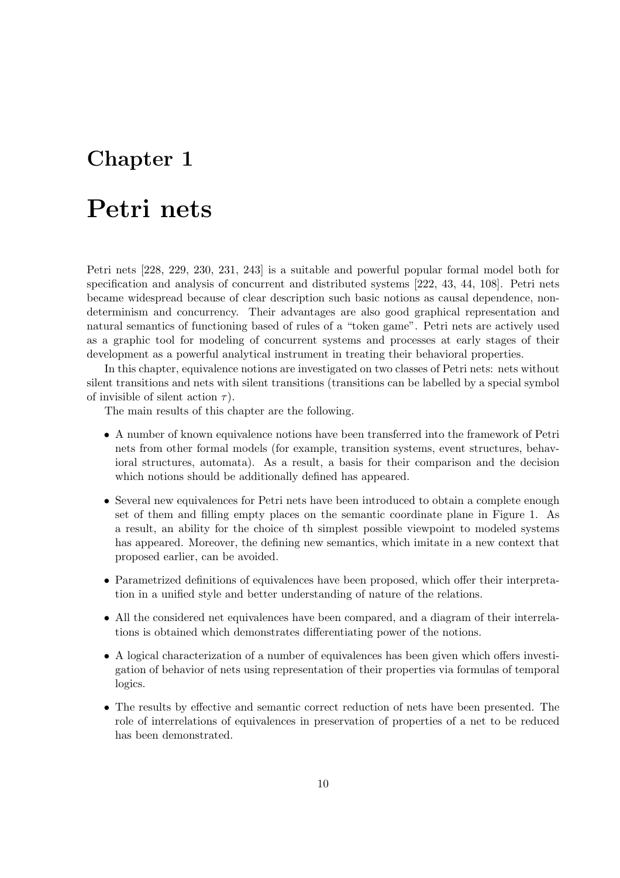## Chapter 1

## Petri nets

Petri nets [228, 229, 230, 231, 243] is a suitable and powerful popular formal model both for specification and analysis of concurrent and distributed systems [222, 43, 44, 108]. Petri nets became widespread because of clear description such basic notions as causal dependence, nondeterminism and concurrency. Their advantages are also good graphical representation and natural semantics of functioning based of rules of a "token game". Petri nets are actively used as a graphic tool for modeling of concurrent systems and processes at early stages of their development as a powerful analytical instrument in treating their behavioral properties.

In this chapter, equivalence notions are investigated on two classes of Petri nets: nets without silent transitions and nets with silent transitions (transitions can be labelled by a special symbol of invisible of silent action  $\tau$ ).

The main results of this chapter are the following.

- A number of known equivalence notions have been transferred into the framework of Petri nets from other formal models (for example, transition systems, event structures, behavioral structures, automata). As a result, a basis for their comparison and the decision which notions should be additionally defined has appeared.
- Several new equivalences for Petri nets have been introduced to obtain a complete enough set of them and filling empty places on the semantic coordinate plane in Figure 1. As a result, an ability for the choice of th simplest possible viewpoint to modeled systems has appeared. Moreover, the defining new semantics, which imitate in a new context that proposed earlier, can be avoided.
- Parametrized definitions of equivalences have been proposed, which offer their interpretation in a unified style and better understanding of nature of the relations.
- All the considered net equivalences have been compared, and a diagram of their interrelations is obtained which demonstrates differentiating power of the notions.
- A logical characterization of a number of equivalences has been given which offers investigation of behavior of nets using representation of their properties via formulas of temporal logics.
- The results by effective and semantic correct reduction of nets have been presented. The role of interrelations of equivalences in preservation of properties of a net to be reduced has been demonstrated.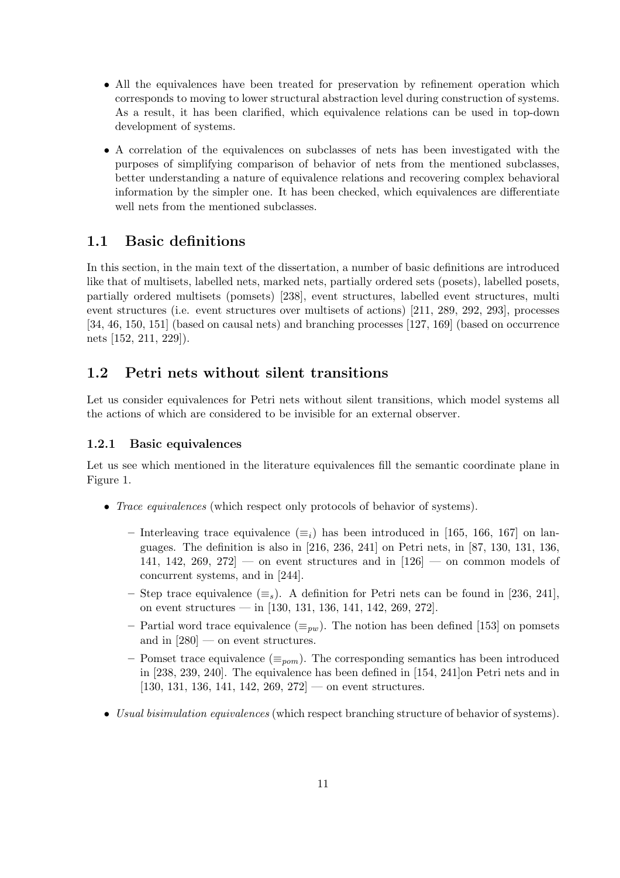- All the equivalences have been treated for preservation by refinement operation which corresponds to moving to lower structural abstraction level during construction of systems. As a result, it has been clarified, which equivalence relations can be used in top-down development of systems.
- A correlation of the equivalences on subclasses of nets has been investigated with the purposes of simplifying comparison of behavior of nets from the mentioned subclasses, better understanding a nature of equivalence relations and recovering complex behavioral information by the simpler one. It has been checked, which equivalences are differentiate well nets from the mentioned subclasses.

### 1.1 Basic definitions

In this section, in the main text of the dissertation, a number of basic definitions are introduced like that of multisets, labelled nets, marked nets, partially ordered sets (posets), labelled posets, partially ordered multisets (pomsets) [238], event structures, labelled event structures, multi event structures (i.e. event structures over multisets of actions) [211, 289, 292, 293], processes [34, 46, 150, 151] (based on causal nets) and branching processes [127, 169] (based on occurrence nets [152, 211, 229]).

### 1.2 Petri nets without silent transitions

Let us consider equivalences for Petri nets without silent transitions, which model systems all the actions of which are considered to be invisible for an external observer.

#### 1.2.1 Basic equivalences

Let us see which mentioned in the literature equivalences fill the semantic coordinate plane in Figure 1.

- *Trace equivalences* (which respect only protocols of behavior of systems).
	- Interleaving trace equivalence  $(\equiv_i)$  has been introduced in [165, 166, 167] on languages. The definition is also in [216, 236, 241] on Petri nets, in [87, 130, 131, 136, 141, 142, 269, 272 — on event structures and in  $[126]$  — on common models of concurrent systems, and in [244].
	- Step trace equivalence ( $\equiv_s$ ). A definition for Petri nets can be found in [236, 241], on event structures — in  $[130, 131, 136, 141, 142, 269, 272]$ .
	- Partial word trace equivalence  $(\equiv_{pw})$ . The notion has been defined [153] on pomsets and in  $[280]$  — on event structures.
	- Pomset trace equivalence ( $\equiv_{\text{pom}}$ ). The corresponding semantics has been introduced in [238, 239, 240]. The equivalence has been defined in [154, 241]on Petri nets and in  $[130, 131, 136, 141, 142, 269, 272]$  — on event structures.
- Usual bisimulation equivalences (which respect branching structure of behavior of systems).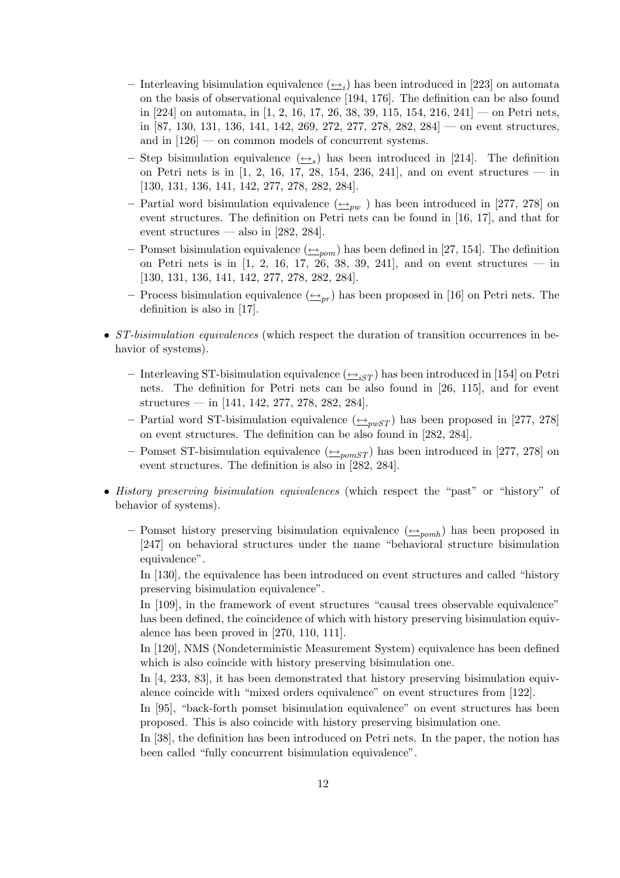- Interleaving bisimulation equivalence  $(\underline{\leftrightarrow}_i)$  has been introduced in [223] on automata on the basis of observational equivalence [194, 176]. The definition can be also found in [224] on automata, in [1, 2, 16, 17, 26, 38, 39, 115, 154, 216, 241] — on Petri nets, in [87, 130, 131, 136, 141, 142, 269, 272, 277, 278, 282, 284] — on event structures, and in [126] — on common models of concurrent systems.
- Step bisimulation equivalence  $(\underline{\leftrightarrow}_s)$  has been introduced in [214]. The definition on Petri nets is in  $[1, 2, 16, 17, 28, 154, 236, 241]$ , and on event structures — in [130, 131, 136, 141, 142, 277, 278, 282, 284].
- Partial word bisimulation equivalence  $(\underline{\leftrightarrow}_{pw}$ ) has been introduced in [277, 278] on event structures. The definition on Petri nets can be found in [16, 17], and that for event structures — also in  $[282, 284]$ .
- Pomset bisimulation equivalence  $(\triangle_{\text{nom}})$  has been defined in [27, 154]. The definition on Petri nets is in  $[1, 2, 16, 17, 26, 38, 39, 241]$ , and on event structures — in [130, 131, 136, 141, 142, 277, 278, 282, 284].
- Process bisimulation equivalence  $(\rightarrow_{pr})$  has been proposed in [16] on Petri nets. The definition is also in [17].
- ST-bisimulation equivalences (which respect the duration of transition occurrences in behavior of systems).
	- Interleaving ST-bisimulation equivalence  $(\triangle_{iST})$  has been introduced in [154] on Petri nets. The definition for Petri nets can be also found in [26, 115], and for event structures — in [141, 142, 277, 278, 282, 284].
	- Partial word ST-bisimulation equivalence  $(\triangle_{\text{pwST}})$  has been proposed in [277, 278] on event structures. The definition can be also found in [282, 284].
	- Pomset ST-bisimulation equivalence  $(\triangle_{\text{pomST}})$  has been introduced in [277, 278] on event structures. The definition is also in [282, 284].
- History preserving bisimulation equivalences (which respect the "past" or "history" of behavior of systems).
	- Pomset history preserving bisimulation equivalence  $(\triangle_{pomb})$  has been proposed in [247] on behavioral structures under the name "behavioral structure bisimulation equivalence".

In [130], the equivalence has been introduced on event structures and called "history preserving bisimulation equivalence".

In [109], in the framework of event structures "causal trees observable equivalence" has been defined, the coincidence of which with history preserving bisimulation equivalence has been proved in [270, 110, 111].

In [120], NMS (Nondeterministic Measurement System) equivalence has been defined which is also coincide with history preserving bisimulation one.

In [4, 233, 83], it has been demonstrated that history preserving bisimulation equivalence coincide with "mixed orders equivalence" on event structures from [122].

In [95], "back-forth pomset bisimulation equivalence" on event structures has been proposed. This is also coincide with history preserving bisimulation one.

In [38], the definition has been introduced on Petri nets. In the paper, the notion has been called "fully concurrent bisimulation equivalence".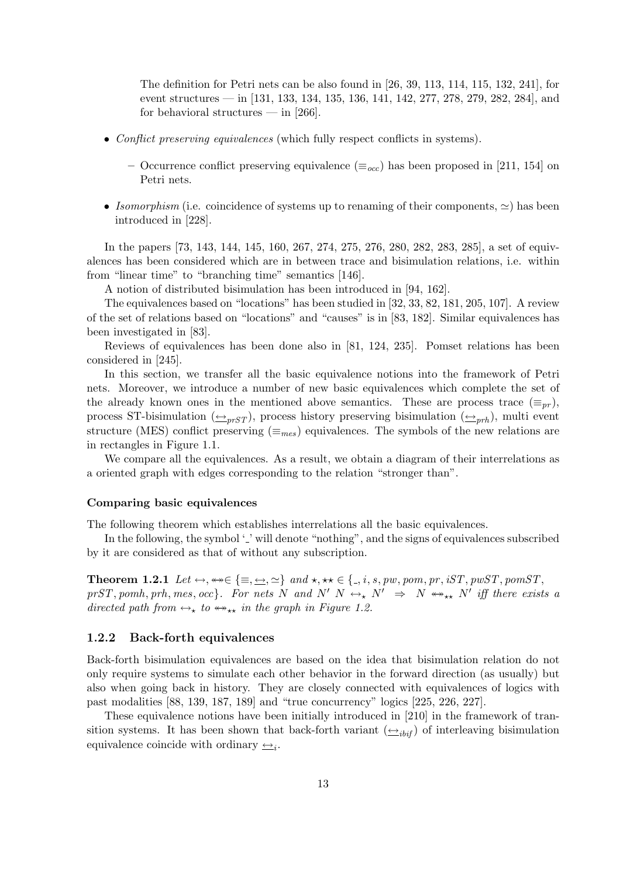The definition for Petri nets can be also found in [26, 39, 113, 114, 115, 132, 241], for event structures — in [131, 133, 134, 135, 136, 141, 142, 277, 278, 279, 282, 284], and for behavioral structures — in  $[266]$ .

- Conflict preserving equivalences (which fully respect conflicts in systems).
	- Occurrence conflict preserving equivalence ( $\equiv_{occ}$ ) has been proposed in [211, 154] on Petri nets.
- Isomorphism (i.e. coincidence of systems up to renaming of their components,  $\simeq$ ) has been introduced in [228].

In the papers [73, 143, 144, 145, 160, 267, 274, 275, 276, 280, 282, 283, 285], a set of equivalences has been considered which are in between trace and bisimulation relations, i.e. within from "linear time" to "branching time" semantics [146].

A notion of distributed bisimulation has been introduced in [94, 162].

The equivalences based on "locations" has been studied in [32, 33, 82, 181, 205, 107]. A review of the set of relations based on "locations" and "causes" is in [83, 182]. Similar equivalences has been investigated in [83].

Reviews of equivalences has been done also in [81, 124, 235]. Pomset relations has been considered in [245].

In this section, we transfer all the basic equivalence notions into the framework of Petri nets. Moreover, we introduce a number of new basic equivalences which complete the set of the already known ones in the mentioned above semantics. These are process trace  $(\equiv_{pr})$ , process ST-bisimulation  $(\triangle_{prST})$ , process history preserving bisimulation  $(\triangle_{prh})$ , multi event structure (MES) conflict preserving  $(\equiv_{mes})$  equivalences. The symbols of the new relations are in rectangles in Figure 1.1.

We compare all the equivalences. As a result, we obtain a diagram of their interrelations as a oriented graph with edges corresponding to the relation "stronger than".

#### Comparing basic equivalences

The following theorem which establishes interrelations all the basic equivalences.

In the following, the symbol  $\cdot$  ' will denote "nothing", and the signs of equivalences subscribed by it are considered as that of without any subscription.

**Theorem 1.2.1** Let  $\leftrightarrow$ ,  $\leftrightarrow \in \{\equiv, \leftrightarrow, \simeq\}$  and  $\star$ ,  $\star \star \in \{., i, s, pw, pom, pr, iST, pwST, pomST,$  $prST, pomh, prh, mes, occ$ . For nets N and N'  $N \leftrightarrow_N N' \Rightarrow N \leftrightarrow_{**} N'$  iff there exists a directed path from  $\leftrightarrow_{\star}$  to  $\leftrightarrow_{\star\star}$  in the graph in Figure 1.2.

#### 1.2.2 Back-forth equivalences

Back-forth bisimulation equivalences are based on the idea that bisimulation relation do not only require systems to simulate each other behavior in the forward direction (as usually) but also when going back in history. They are closely connected with equivalences of logics with past modalities [88, 139, 187, 189] and "true concurrency" logics [225, 226, 227].

These equivalence notions have been initially introduced in [210] in the framework of transition systems. It has been shown that back-forth variant  $(\triangle_{i\hat{i}j\hat{i}})$  of interleaving bisimulation equivalence coincide with ordinary  $\triangleq_i$ .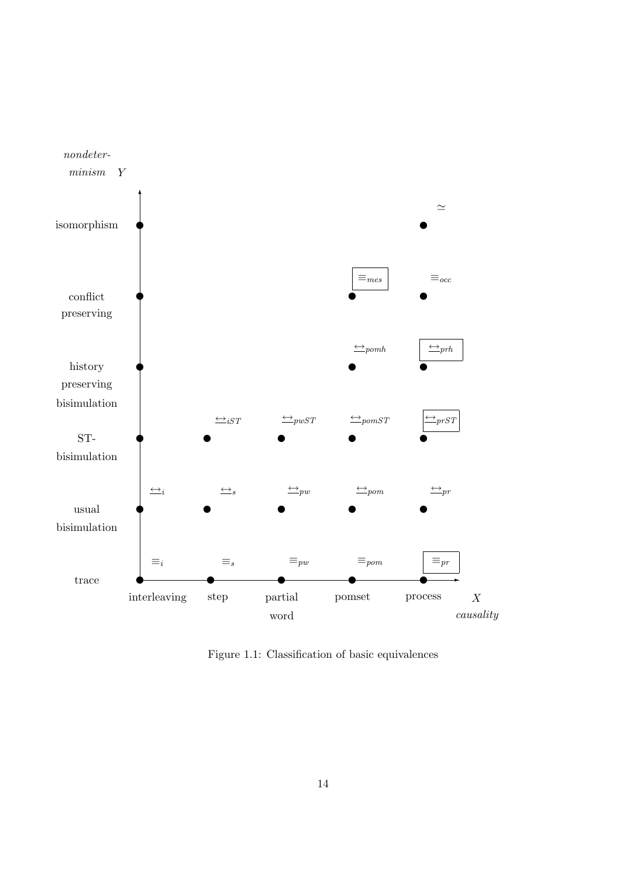

Figure 1.1: Classification of basic equivalences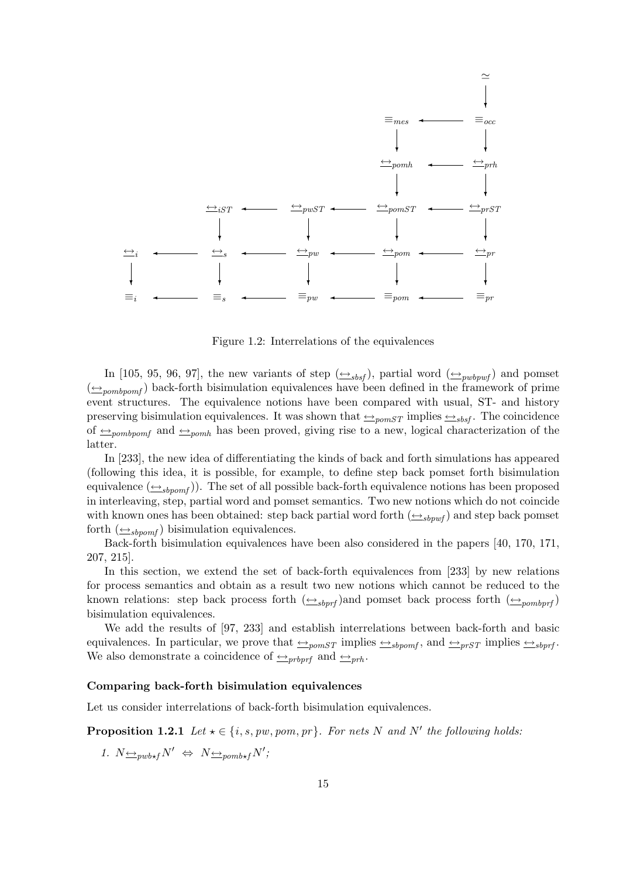

Figure 1.2: Interrelations of the equivalences

In [105, 95, 96, 97], the new variants of step  $(\triangle_{sbsf})$ , partial word  $(\triangle_{pwbywf})$  and pomset  $(\triangle_{pombpom}$ ) back-forth bisimulation equivalences have been defined in the framework of prime event structures. The equivalence notions have been compared with usual, ST- and history preserving bisimulation equivalences. It was shown that  $\triangleq_{\text{pomST}}$  implies  $\triangleq_{\text{sbsf}}$ . The coincidence of  $\triangle$ <sub>pombpomf</sub> and  $\triangle$ <sub>pomh</sub> has been proved, giving rise to a new, logical characterization of the latter.

In [233], the new idea of differentiating the kinds of back and forth simulations has appeared (following this idea, it is possible, for example, to define step back pomset forth bisimulation equivalence  $(\triangle_{sbpomf})$ . The set of all possible back-forth equivalence notions has been proposed in interleaving, step, partial word and pomset semantics. Two new notions which do not coincide with known ones has been obtained: step back partial word forth  $(\triangle_{sbpwf})$  and step back pomset forth  $(\triangle_{shown})$  bisimulation equivalences.

Back-forth bisimulation equivalences have been also considered in the papers [40, 170, 171, 207, 215].

In this section, we extend the set of back-forth equivalences from [233] by new relations for process semantics and obtain as a result two new notions which cannot be reduced to the known relations: step back process forth  $(\triangle_{sbprf})$  and pomset back process forth  $(\triangle_{pombprf})$ bisimulation equivalences.

We add the results of [97, 233] and establish interrelations between back-forth and basic equivalences. In particular, we prove that  $\triangleq_{pomST}$  implies  $\triangleq_{sbpomf}$ , and  $\triangleq_{prST}$  implies  $\triangleq_{sbprf}$ We also demonstrate a coincidence of  $\rightarrow_{\text{probort}}$  and  $\rightarrow_{\text{prb}}$ .

#### Comparing back-forth bisimulation equivalences

Let us consider interrelations of back-forth bisimulation equivalences.

**Proposition 1.2.1** Let  $\star \in \{i, s, pw, pom, pr\}$ . For nets N and N' the following holds:

1.  $N \underline{\leftrightarrow}_{\text{pub*f}} N' \Leftrightarrow N \underline{\leftrightarrow}_{\text{pomb*f}} N'$ ;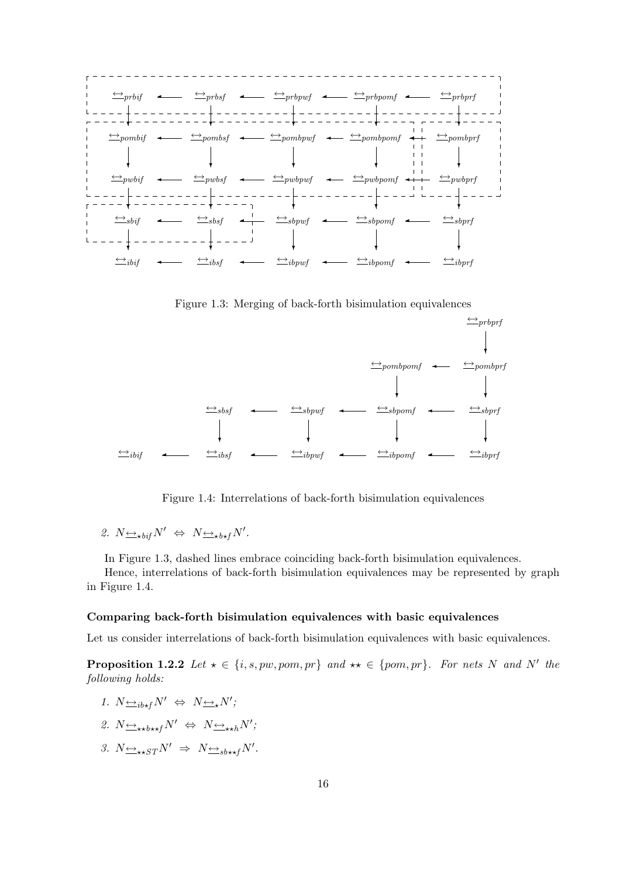

 $\stackrel{\longleftrightarrow}{\longrightarrow} ibif$  ←  $\stackrel{\longleftrightarrow}{\longrightarrow} ibspwf$  ←  $\stackrel{\longleftrightarrow}{\longrightarrow} ibponf$  ←  $\stackrel{\longleftrightarrow}{\longrightarrow} ibprf$ ❄ ❄ ❄ ❄  $\leftrightarrow$ sbsf  $\leftrightarrow$  sbpwf  $\leftrightarrow$  sbpomf  $\leftrightarrow$  sbprf  $\downarrow$  $\leftrightarrow$  pombpomf  $\leftrightarrow$  pombprf ❄  $\leftrightarrow$ prbprf  $\overline{\phantom{0}}$  $\overline{\phantom{0}}$  $\overline{\phantom{0}}$  $\overline{\phantom{0}}$  $\overline{\phantom{0}}$  $^+$ 

Figure 1.3: Merging of back-forth bisimulation equivalences

Figure 1.4: Interrelations of back-forth bisimulation equivalences

2. 
$$
N \underline{\leftrightarrow}_{\star \text{bif}} N' \Leftrightarrow N \underline{\leftrightarrow}_{\star \text{b*f}} N'.
$$

In Figure 1.3, dashed lines embrace coinciding back-forth bisimulation equivalences.

Hence, interrelations of back-forth bisimulation equivalences may be represented by graph in Figure 1.4.

#### Comparing back-forth bisimulation equivalences with basic equivalences

Let us consider interrelations of back-forth bisimulation equivalences with basic equivalences.

**Proposition 1.2.2** Let  $\star \in \{i, s, pw, pom, pr\}$  and  $\star \star \in \{pom, pr\}$ . For nets N and N' the following holds:

- 1.  $N \underline{\leftrightarrow}_{ib \star f} N' \Leftrightarrow N \underline{\leftrightarrow}_{\star} N'$ ;
- 2.  $N \leftrightarrow_{\star \star b \star \star f} N' \Leftrightarrow N \leftrightarrow_{\star \star h} N'$ ;
- 3.  $N \rightarrow \star_{S} T N' \Rightarrow N \rightarrow \star_{\mathcal{S}} N'$ .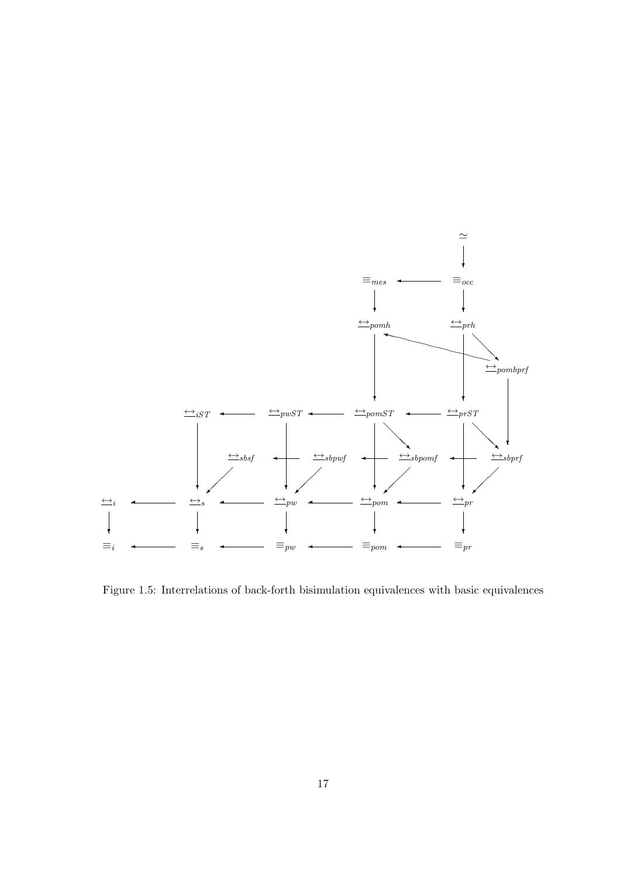

Figure 1.5: Interrelations of back-forth bisimulation equivalences with basic equivalences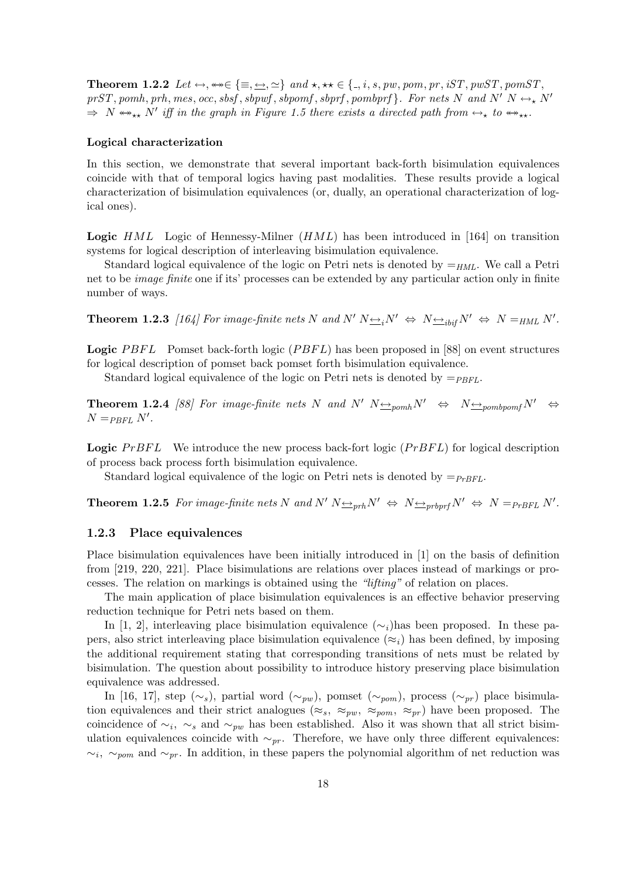**Theorem 1.2.2** Let  $\leftrightarrow$ ,  $\leftrightarrow \in \{\equiv, \underline{\leftrightarrow}, \simeq\}$  and  $\star$ ,  $\star \star \in \{., i, s, pw, pom, pr, iST, pwST, pomST,$ prST, pomh, prh, mes, occ, sbsf, sbpwf, sbpomf, sbprf, pombprf  $\}$ . For nets N and N'  $N \leftrightarrow_{\star} N'$  $\Rightarrow N \leftrightarrow_{\star\star} N'$  iff in the graph in Figure 1.5 there exists a directed path from  $\leftrightarrow_{\star}$  to  $\leftrightarrow_{\star\star}$ .

#### Logical characterization

In this section, we demonstrate that several important back-forth bisimulation equivalences coincide with that of temporal logics having past modalities. These results provide a logical characterization of bisimulation equivalences (or, dually, an operational characterization of logical ones).

**Logic**  $HML$  Logic of Hennessy-Milner  $(HML)$  has been introduced in [164] on transition systems for logical description of interleaving bisimulation equivalence.

Standard logical equivalence of the logic on Petri nets is denoted by  $=_{HML}$ . We call a Petri net to be image finite one if its' processes can be extended by any particular action only in finite number of ways.

**Theorem 1.2.3** [164] For image-finite nets N and N'  $N \rightarrow N \rightarrow N \rightarrow N$   $\rightarrow$   $N^{\prime} \Leftrightarrow N =_{HML} N^{\prime}$ .

**Logic** PBFL Pomset back-forth logic  $(PBFL)$  has been proposed in [88] on event structures for logical description of pomset back pomset forth bisimulation equivalence.

Standard logical equivalence of the logic on Petri nets is denoted by  $=_{PBFL}$ .

**Theorem 1.2.4** [88] For image-finite nets N and N'  $N \nleftrightarrow N \nleftrightarrow N \nleftrightarrow N \nleftrightarrow N$  $N =_{PBFL} N'$ .

**Logic**  $PrBFL$  We introduce the new process back-fort logic  $(PrBFL)$  for logical description of process back process forth bisimulation equivalence.

Standard logical equivalence of the logic on Petri nets is denoted by  $=_{PrBFL}$ .

**Theorem 1.2.5** For image-finite nets N and  $N' N \triangleq prhN' \Leftrightarrow N \triangleq prbprf N' \Leftrightarrow N = prBFL N'.$ 

#### 1.2.3 Place equivalences

Place bisimulation equivalences have been initially introduced in [1] on the basis of definition from [219, 220, 221]. Place bisimulations are relations over places instead of markings or processes. The relation on markings is obtained using the "lifting" of relation on places.

The main application of place bisimulation equivalences is an effective behavior preserving reduction technique for Petri nets based on them.

In [1, 2], interleaving place bisimulation equivalence  $(\sim_i)$  has been proposed. In these papers, also strict interleaving place bisimulation equivalence ( $\approx_i$ ) has been defined, by imposing the additional requirement stating that corresponding transitions of nets must be related by bisimulation. The question about possibility to introduce history preserving place bisimulation equivalence was addressed.

In [16, 17], step (∼s), partial word (∼<sub>pw</sub>), pomset (∼<sub>pom</sub>), process (∼<sub>pr</sub>) place bisimulation equivalences and their strict analogues ( $\approx_s$ ,  $\approx_{pw}$ ,  $\approx_{pow}$ ,  $\approx_{pr}$ ) have been proposed. The coincidence of  $\sim_i$ ,  $\sim_s$  and  $\sim_{pw}$  has been established. Also it was shown that all strict bisimulation equivalences coincide with  $\sim_{pr}$ . Therefore, we have only three different equivalences:  $\sim_i$ ,  $\sim_{p^{\alpha}}$  and  $\sim_{pr}$ . In addition, in these papers the polynomial algorithm of net reduction was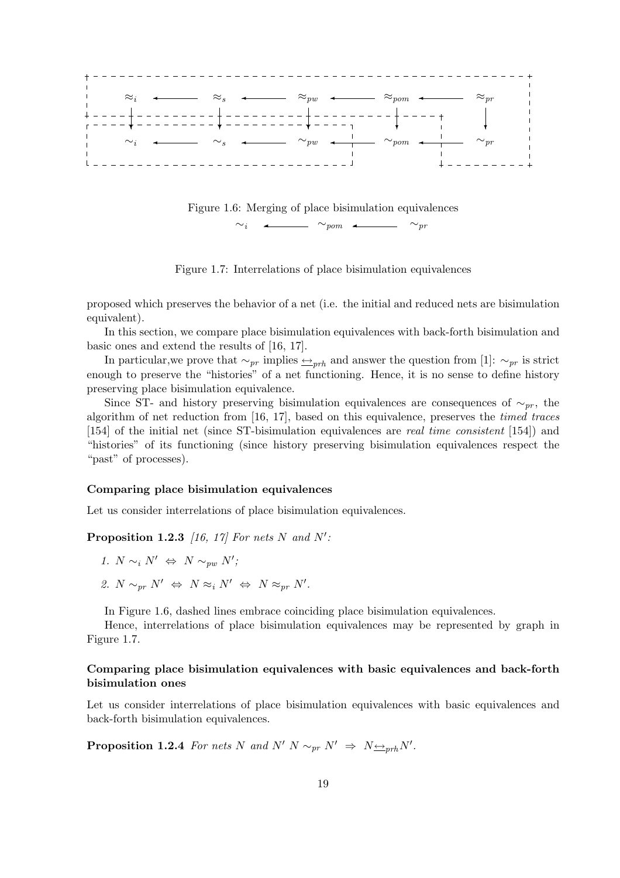

Figure 1.7: Interrelations of place bisimulation equivalences

proposed which preserves the behavior of a net (i.e. the initial and reduced nets are bisimulation equivalent).

In this section, we compare place bisimulation equivalences with back-forth bisimulation and basic ones and extend the results of [16, 17].

In particular,we prove that  $\sim_{pr}$  implies  $\leftarrow_{prh}$  and answer the question from [1]:  $\sim_{pr}$  is strict enough to preserve the "histories" of a net functioning. Hence, it is no sense to define history preserving place bisimulation equivalence.

Since ST- and history preserving bisimulation equivalences are consequences of  $\sim_{pr}$ , the algorithm of net reduction from [16, 17], based on this equivalence, preserves the timed traces [154] of the initial net (since ST-bisimulation equivalences are real time consistent [154]) and "histories" of its functioning (since history preserving bisimulation equivalences respect the "past" of processes).

#### Comparing place bisimulation equivalences

Let us consider interrelations of place bisimulation equivalences.

**Proposition 1.2.3** [16, 17] For nets N and N':

- 1.  $N \sim_i N' \Leftrightarrow N \sim_{pw} N'$ ;
- 2.  $N \sim_{pr} N' \Leftrightarrow N \approx_i N' \Leftrightarrow N \approx_{pr} N'.$

In Figure 1.6, dashed lines embrace coinciding place bisimulation equivalences.

Hence, interrelations of place bisimulation equivalences may be represented by graph in Figure 1.7.

#### Comparing place bisimulation equivalences with basic equivalences and back-forth bisimulation ones

Let us consider interrelations of place bisimulation equivalences with basic equivalences and back-forth bisimulation equivalences.

**Proposition 1.2.4** For nets N and N' N  $\sim_{pr} N' \Rightarrow N \rightarrow_{prh} N'.$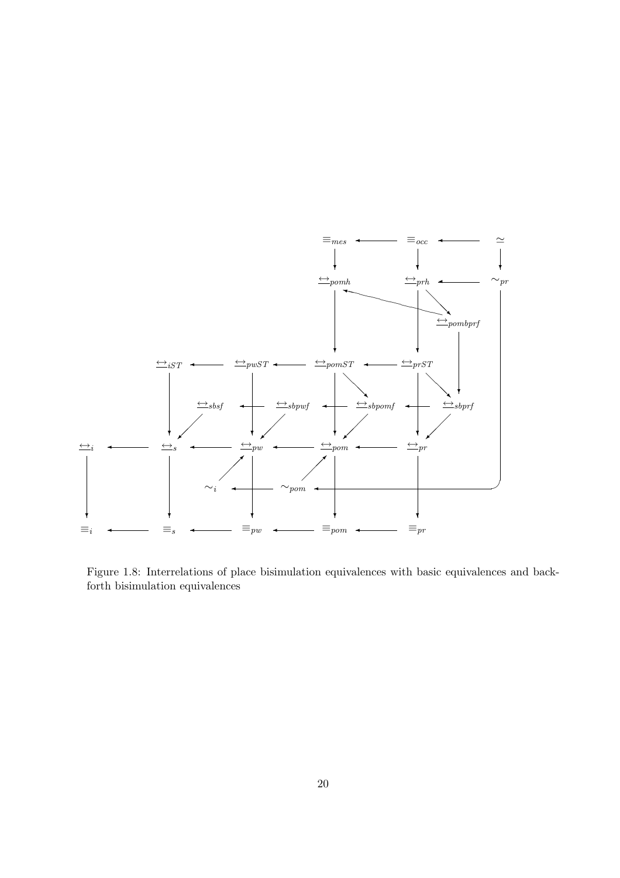

Figure 1.8: Interrelations of place bisimulation equivalences with basic equivalences and backforth bisimulation equivalences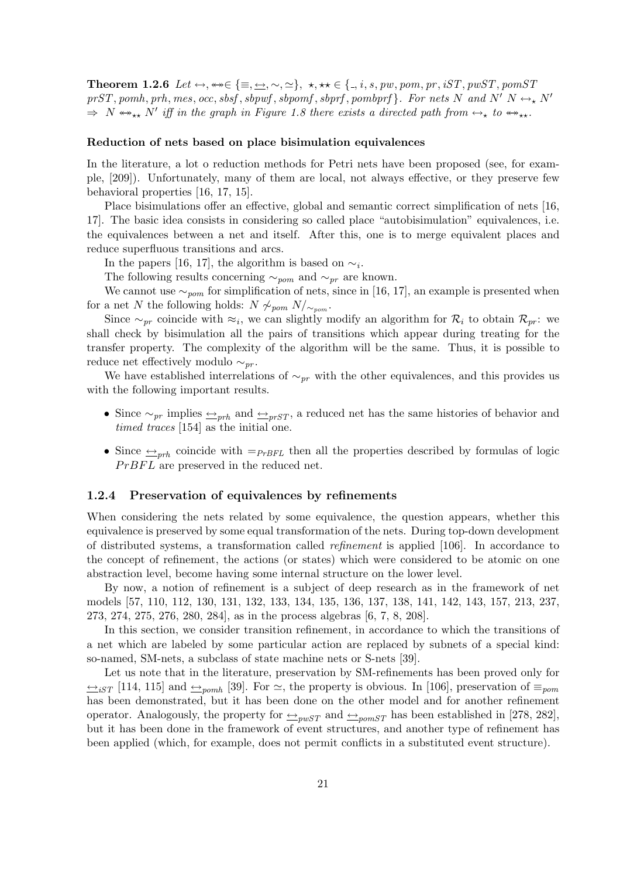**Theorem 1.2.6** Let  $\leftrightarrow$ ,  $\Leftrightarrow \in \{\equiv, \underline{\leftrightarrow}, \sim, \simeq\}$ ,  $\star$ ,  $\star \star \in \{., i, s, pw, pom, pr, iST, pwST, pomST$ prST, pomh, prh, mes, occ, sbsf, sbpwf, sbpomf, sbprf, pombprf  $\}$ . For nets N and N'  $N \leftrightarrow_{\star} N'$  $\Rightarrow N \leftrightarrow_{\star\star} N'$  iff in the graph in Figure 1.8 there exists a directed path from  $\leftrightarrow_{\star}$  to  $\leftrightarrow_{\star\star}$ .

#### Reduction of nets based on place bisimulation equivalences

In the literature, a lot o reduction methods for Petri nets have been proposed (see, for example, [209]). Unfortunately, many of them are local, not always effective, or they preserve few behavioral properties [16, 17, 15].

Place bisimulations offer an effective, global and semantic correct simplification of nets [16, 17]. The basic idea consists in considering so called place "autobisimulation" equivalences, i.e. the equivalences between a net and itself. After this, one is to merge equivalent places and reduce superfluous transitions and arcs.

In the papers [16, 17], the algorithm is based on  $\sim_i$ .

The following results concerning  $\sim_{\text{pom}}$  and  $\sim_{\text{pr}}$  are known.

We cannot use  $\sim_{nom}$  for simplification of nets, since in [16, 17], an example is presented when for a net N the following holds:  $N \nsim_{\text{nom}} N/\sim_{\text{nom}}$ .

Since  $\sim_{pr}$  coincide with  $\approx_i$ , we can slightly modify an algorithm for  $\mathcal{R}_i$  to obtain  $\mathcal{R}_{pr}$ : we shall check by bisimulation all the pairs of transitions which appear during treating for the transfer property. The complexity of the algorithm will be the same. Thus, it is possible to reduce net effectively modulo  $\sim_{nr}$ .

We have established interrelations of  $\sim_{pr}$  with the other equivalences, and this provides us with the following important results.

- Since  $\sim_{pr}$  implies  $\rightarrow_{prh}$  and  $\rightarrow_{prST}$ , a reduced net has the same histories of behavior and timed traces [154] as the initial one.
- Since  $\leftrightarrow_{rrh}$  coincide with  $=_{PrBFL}$  then all the properties described by formulas of logic  $PrBFL$  are preserved in the reduced net.

#### 1.2.4 Preservation of equivalences by refinements

When considering the nets related by some equivalence, the question appears, whether this equivalence is preserved by some equal transformation of the nets. During top-down development of distributed systems, a transformation called refinement is applied [106]. In accordance to the concept of refinement, the actions (or states) which were considered to be atomic on one abstraction level, become having some internal structure on the lower level.

By now, a notion of refinement is a subject of deep research as in the framework of net models [57, 110, 112, 130, 131, 132, 133, 134, 135, 136, 137, 138, 141, 142, 143, 157, 213, 237, 273, 274, 275, 276, 280, 284], as in the process algebras [6, 7, 8, 208].

In this section, we consider transition refinement, in accordance to which the transitions of a net which are labeled by some particular action are replaced by subnets of a special kind: so-named, SM-nets, a subclass of state machine nets or S-nets [39].

Let us note that in the literature, preservation by SM-refinements has been proved only for  $\frac{1}{n}$  [114, 115] and  $\frac{1}{n}$  = pomb [39]. For  $\approx$ , the property is obvious. In [106], preservation of  $\equiv_{\text{pom}}$ has been demonstrated, but it has been done on the other model and for another refinement operator. Analogously, the property for  $\triangleq_{\text{pwST}}$  and  $\triangleq_{\text{pomST}}$  has been established in [278, 282], but it has been done in the framework of event structures, and another type of refinement has been applied (which, for example, does not permit conflicts in a substituted event structure).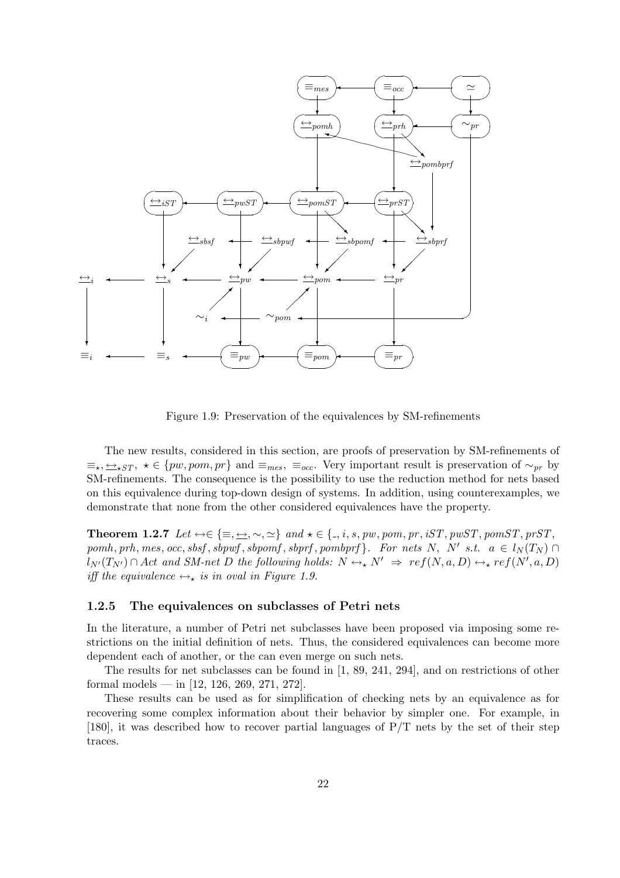

Figure 1.9: Preservation of the equivalences by SM-refinements

The new results, considered in this section, are proofs of preservation by SM-refinements of  $\equiv_{\star}, \leq_{\star ST}, \star \in \{pw, pom, pr\}$  and  $\equiv_{mes}, \equiv_{occ}.$  Very important result is preservation of  $\sim_{pr}$  by SM-refinements. The consequence is the possibility to use the reduction method for nets based on this equivalence during top-down design of systems. In addition, using counterexamples, we demonstrate that none from the other considered equivalences have the property.

**Theorem 1.2.7** Let  $\leftrightarrow \in \{\equiv, \leftrightarrow, \sim, \simeq\}$  and  $\star \in \{., i, s, pw, pom, pr, iST, pwST, pomST, prST,$  $pomh, prh, mes, occ, sbsf, sbpwf, sbpomf, sbprf, pombprf$ . For nets N, N' s.t.  $a \in l_N(T_N) \cap$  $l_{N'}(T_{N'}) \cap Act$  and SM-net D the following holds:  $N \leftrightarrow N' \Rightarrow ref(N, a, D) \leftrightarrow _\star ref(N', a, D)$ iff the equivalence  $\leftrightarrow_{\star}$  is in oval in Figure 1.9.

#### 1.2.5 The equivalences on subclasses of Petri nets

In the literature, a number of Petri net subclasses have been proposed via imposing some restrictions on the initial definition of nets. Thus, the considered equivalences can become more dependent each of another, or the can even merge on such nets.

The results for net subclasses can be found in [1, 89, 241, 294], and on restrictions of other formal models — in  $[12, 126, 269, 271, 272]$ .

These results can be used as for simplification of checking nets by an equivalence as for recovering some complex information about their behavior by simpler one. For example, in [180], it was described how to recover partial languages of P/T nets by the set of their step traces.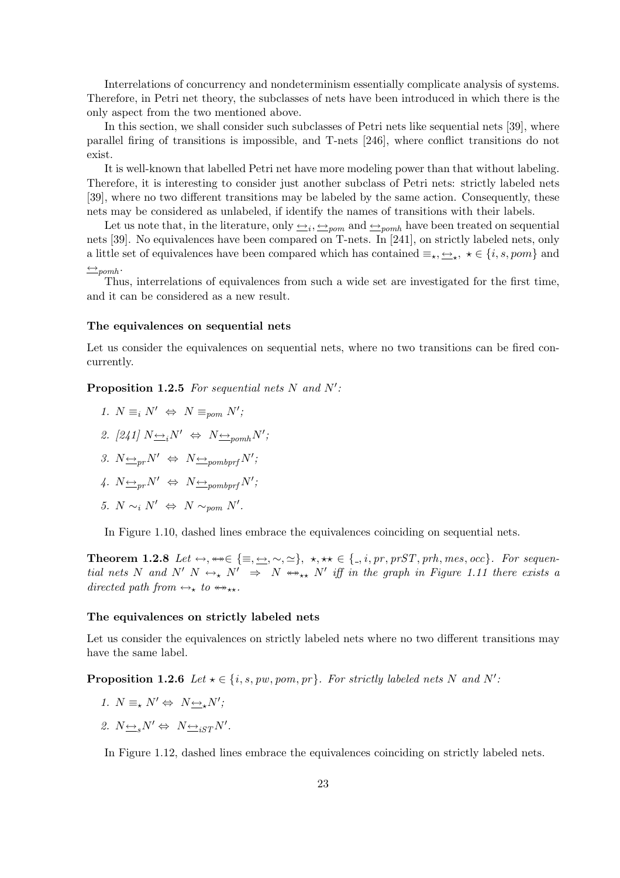Interrelations of concurrency and nondeterminism essentially complicate analysis of systems. Therefore, in Petri net theory, the subclasses of nets have been introduced in which there is the only aspect from the two mentioned above.

In this section, we shall consider such subclasses of Petri nets like sequential nets [39], where parallel firing of transitions is impossible, and T-nets [246], where conflict transitions do not exist.

It is well-known that labelled Petri net have more modeling power than that without labeling. Therefore, it is interesting to consider just another subclass of Petri nets: strictly labeled nets [39], where no two different transitions may be labeled by the same action. Consequently, these nets may be considered as unlabeled, if identify the names of transitions with their labels.

Let us note that, in the literature, only  $\iff$ <sub>i</sub>,  $\iff$ <sub>pom</sub> and  $\iff$ <sub>pomh</sub> have been treated on sequential nets [39]. No equivalences have been compared on T-nets. In [241], on strictly labeled nets, only a little set of equivalences have been compared which has contained  $\equiv_{\star}, \leftrightarrow_{\star} \star \in \{i, s, pom\}$  and  $\leftrightarrow$ pomh·

Thus, interrelations of equivalences from such a wide set are investigated for the first time, and it can be considered as a new result.

#### The equivalences on sequential nets

Let us consider the equivalences on sequential nets, where no two transitions can be fired concurrently.

**Proposition 1.2.5** For sequential nets N and  $N'$ :

- 1.  $N \equiv_i N' \Leftrightarrow N \equiv_{\text{pom}} N'$ ;
- 2. [241]  $N \underline{\leftrightarrow}_i N' \Leftrightarrow N \underline{\leftrightarrow}_{p o m h} N'$ ;
- 3.  $N \underline{\leftrightarrow}_{pr} N' \Leftrightarrow N \underline{\leftrightarrow}_{pombprf} N'$ ;
- 4.  $N \underline{\leftrightarrow}_{pr} N' \Leftrightarrow N \underline{\leftrightarrow}_{pombprf} N'$ ;
- 5.  $N \sim_i N' \Leftrightarrow N \sim_{\text{pom}} N'.$

In Figure 1.10, dashed lines embrace the equivalences coinciding on sequential nets.

Theorem 1.2.8 Let  $\leftrightarrow, \leftrightarrow \in \{\equiv, \leftrightarrow, \sim, \simeq\}, \star, \star \star \in \{., i, pr, prST, prh, mes, occ\}.$  For sequential nets N and N' N  $\leftrightarrow_{\star} N' \Rightarrow N \leftrightarrow_{\star\star} N'$  iff in the graph in Figure 1.11 there exists a directed path from  $\leftrightarrow_{\star}$  to  $\leftrightarrow_{\star\star}$ .

#### The equivalences on strictly labeled nets

Let us consider the equivalences on strictly labeled nets where no two different transitions may have the same label.

**Proposition 1.2.6** Let  $\star \in \{i, s, pw, pom, pr\}$ . For strictly labeled nets N and N':

- 1.  $N \equiv_{\star} N' \Leftrightarrow N \rightarrow_{\star} N'$ ;
- 2.  $N \underline{\leftrightarrow}_s N' \Leftrightarrow N \underline{\leftrightarrow}_{iST} N'.$

In Figure 1.12, dashed lines embrace the equivalences coinciding on strictly labeled nets.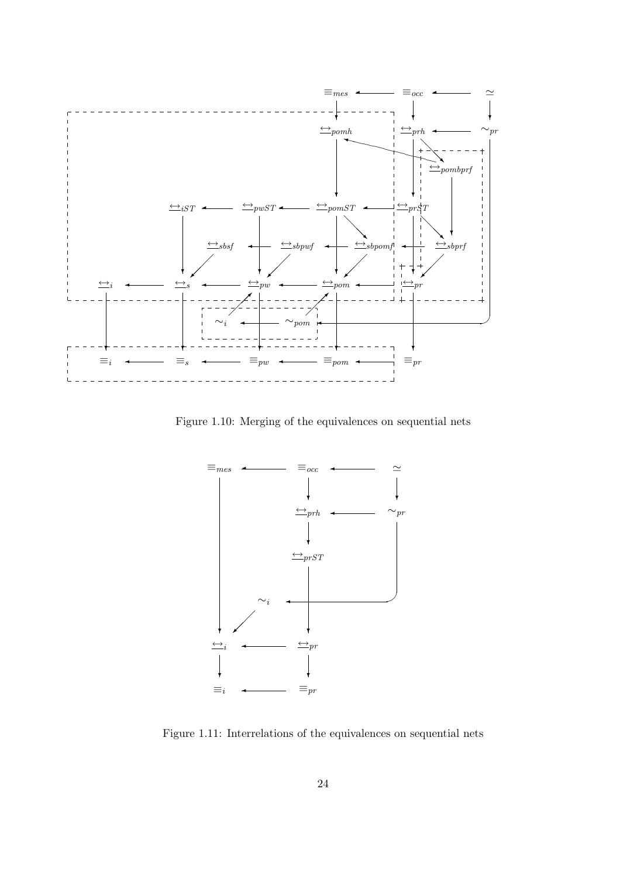

Figure 1.10: Merging of the equivalences on sequential nets



Figure 1.11: Interrelations of the equivalences on sequential nets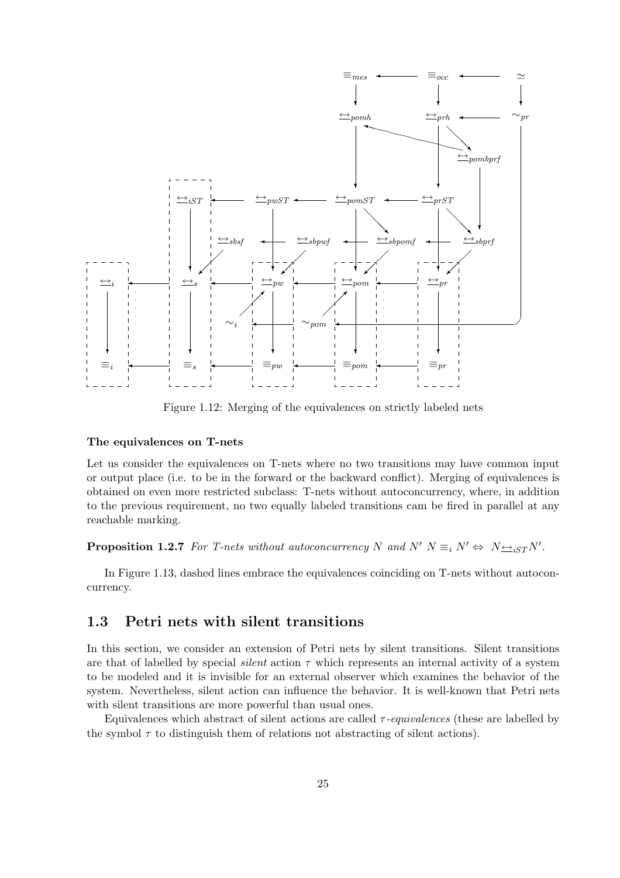

Figure 1.12: Merging of the equivalences on strictly labeled nets

#### The equivalences on T-nets

Let us consider the equivalences on T-nets where no two transitions may have common input or output place (i.e. to be in the forward or the backward conflict). Merging of equivalences is obtained on even more restricted subclass: T-nets without autoconcurrency, where, in addition to the previous requirement, no two equally labeled transitions cam be fired in parallel at any reachable marking.

**Proposition 1.2.7** For T-nets without autoconcurrency N and  $N'$   $N \equiv_i N' \Leftrightarrow N \rightarrow_{iST} N'.$ 

In Figure 1.13, dashed lines embrace the equivalences coinciding on T-nets without autoconcurrency.

### 1.3 Petri nets with silent transitions

In this section, we consider an extension of Petri nets by silent transitions. Silent transitions are that of labelled by special *silent* action  $\tau$  which represents an internal activity of a system to be modeled and it is invisible for an external observer which examines the behavior of the system. Nevertheless, silent action can influence the behavior. It is well-known that Petri nets with silent transitions are more powerful than usual ones.

Equivalences which abstract of silent actions are called  $\tau$ -equivalences (these are labelled by the symbol  $\tau$  to distinguish them of relations not abstracting of silent actions).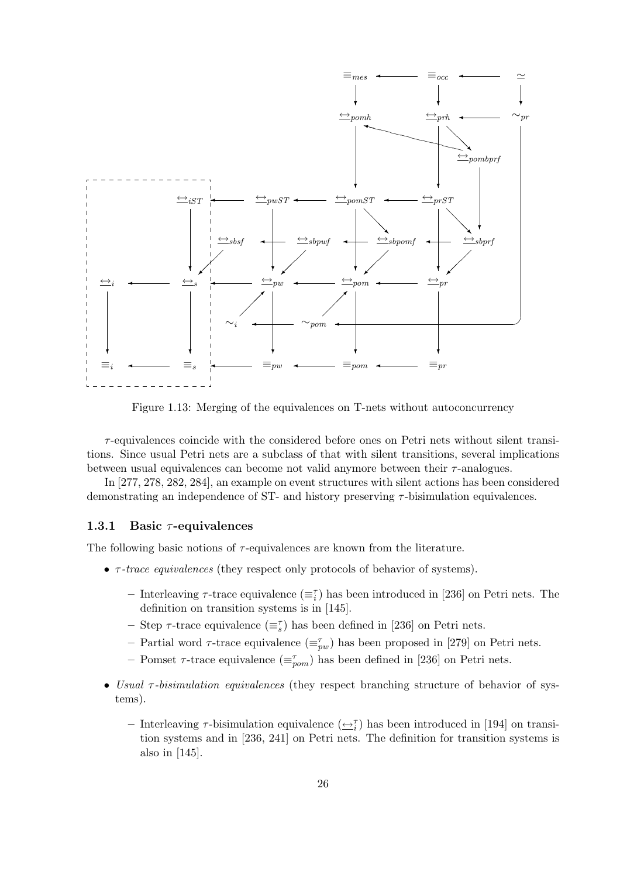

Figure 1.13: Merging of the equivalences on T-nets without autoconcurrency

 $\tau$ -equivalences coincide with the considered before ones on Petri nets without silent transitions. Since usual Petri nets are a subclass of that with silent transitions, several implications between usual equivalences can become not valid anymore between their  $\tau$ -analogues.

In [277, 278, 282, 284], an example on event structures with silent actions has been considered demonstrating an independence of ST- and history preserving  $\tau$ -bisimulation equivalences.

#### 1.3.1 Basic  $\tau$ -equivalences

The following basic notions of  $\tau$ -equivalences are known from the literature.

- τ -trace equivalences (they respect only protocols of behavior of systems).
	- Interleaving  $\tau$ -trace equivalence  $(\equiv_i^{\tau})$  has been introduced in [236] on Petri nets. The definition on transition systems is in [145].
	- Step  $\tau$ -trace equivalence  $(\equiv_s^{\tau})$  has been defined in [236] on Petri nets.
	- Partial word  $\tau$ -trace equivalence  $(\equiv_{pw}^{\tau})$  has been proposed in [279] on Petri nets.
	- Pomset  $\tau$ -trace equivalence  $(\equiv_{\textit{pom}}^{\tau})$  has been defined in [236] on Petri nets.
- Usual  $\tau$ -bisimulation equivalences (they respect branching structure of behavior of systems).
	- Interleaving  $\tau$ -bisimulation equivalence  $(\underline{\leftrightarrow}^{\tau}_{i})$  has been introduced in [194] on transition systems and in [236, 241] on Petri nets. The definition for transition systems is also in [145].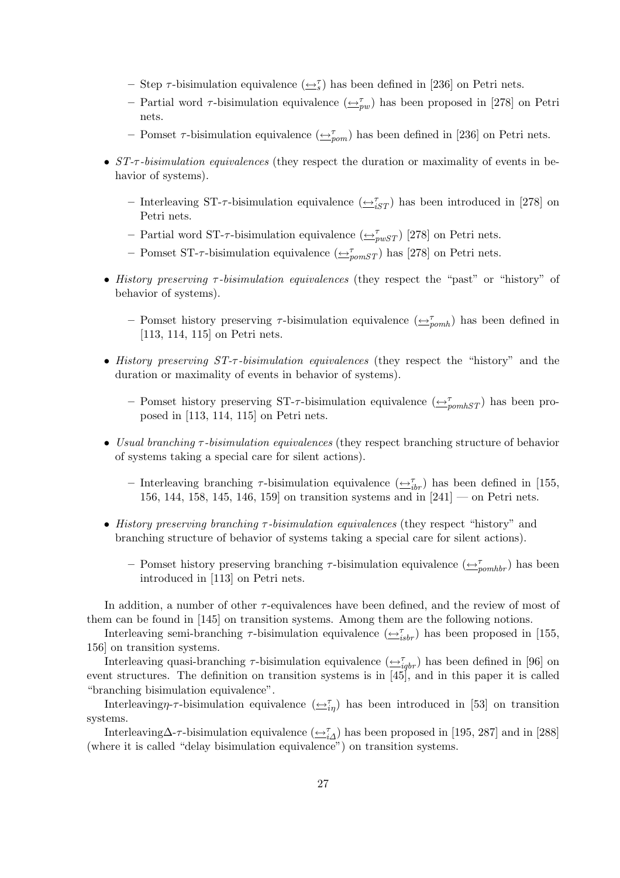- Step  $\tau$ -bisimulation equivalence  $(\underline{\leftrightarrow}^{\tau}_{s})$  has been defined in [236] on Petri nets.
- Partial word  $\tau$ -bisimulation equivalence  $(\underline{\leftrightarrow}_{pw}^{\tau})$  has been proposed in [278] on Petri nets.
- Pomset  $\tau$ -bisimulation equivalence  $(\underline{\leftrightarrow}_{pon}^{\tau})$  has been defined in [236] on Petri nets.
- ST- $\tau$ -bisimulation equivalences (they respect the duration or maximality of events in behavior of systems).
	- Interleaving ST- $\tau$ -bisimulation equivalence  $(\underline{\leftrightarrow}_{iST}^{\tau})$  has been introduced in [278] on Petri nets.
	- Partial word ST- $\tau$ -bisimulation equivalence  $(\underline{\leftrightarrow}_{p w S T}^{\tau})$  [278] on Petri nets.
	- Pomset ST- $\tau$ -bisimulation equivalence  $(\underline{\leftrightarrow}_{pomST}^{\tau})$  has [278] on Petri nets.
- History preserving τ -bisimulation equivalences (they respect the "past" or "history" of behavior of systems).
	- Pomset history preserving  $\tau$ -bisimulation equivalence  $(\underline{\leftrightarrow}_{pomh}^{\tau})$  has been defined in [113, 114, 115] on Petri nets.
- History preserving  $ST-\tau$ -bisimulation equivalences (they respect the "history" and the duration or maximality of events in behavior of systems).
	- Pomset history preserving ST- $\tau$ -bisimulation equivalence  $(\underbrace{\leftrightarrow_{pomhST}^{\tau}})$  has been proposed in [113, 114, 115] on Petri nets.
- Usual branching τ-bisimulation equivalences (they respect branching structure of behavior of systems taking a special care for silent actions).
	- Interleaving branching  $\tau$ -bisimulation equivalence  $(\underline{\leftrightarrow}_{ibr}^{\tau})$  has been defined in [155, 156, 144, 158, 145, 146, 159 on transition systems and in  $[241]$  — on Petri nets.
- History preserving branching  $\tau$ -bisimulation equivalences (they respect "history" and branching structure of behavior of systems taking a special care for silent actions).
	- Pomset history preserving branching  $\tau$ -bisimulation equivalence  $(\bigoplus_{\text{p}}^{\tau} \sigma_{\text{m}})$  has been introduced in [113] on Petri nets.

In addition, a number of other  $\tau$ -equivalences have been defined, and the review of most of them can be found in [145] on transition systems. Among them are the following notions.

Interleaving semi-branching  $\tau$ -bisimulation equivalence  $(\underline{\leftrightarrow}_{isbr}^{\tau})$  has been proposed in [155, 156] on transition systems.

Interleaving quasi-branching  $\tau$ -bisimulation equivalence  $(\underline{\leftrightarrow}_{iqbr}^{\tau})$  has been defined in [96] on event structures. The definition on transition systems is in [45], and in this paper it is called "branching bisimulation equivalence".

Interleaving  $\eta$ - $\tau$ -bisimulation equivalence  $(\underline{\leftrightarrow}_{i\eta}^{\tau})$  has been introduced in [53] on transition systems.

Interleaving $\Delta$ - $\tau$ -bisimulation equivalence  $(\underline{\leftrightarrow}_{i\Delta}^{\tau})$  has been proposed in [195, 287] and in [288] (where it is called "delay bisimulation equivalence") on transition systems.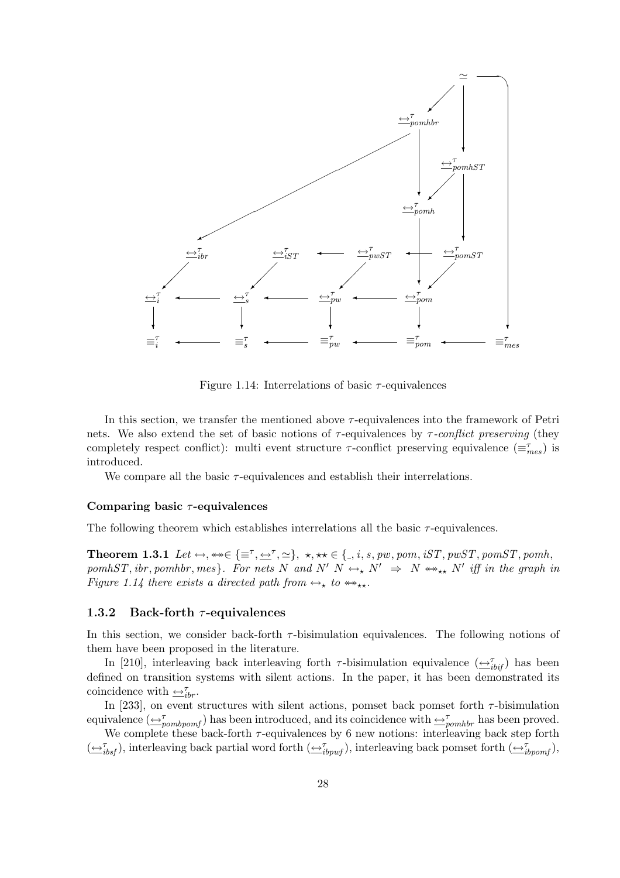

Figure 1.14: Interrelations of basic  $\tau$ -equivalences

In this section, we transfer the mentioned above  $\tau$ -equivalences into the framework of Petri nets. We also extend the set of basic notions of  $\tau$ -equivalences by  $\tau$ -conflict preserving (they completely respect conflict): multi event structure  $\tau$ -conflict preserving equivalence  $(\equiv_{mes}^{\tau})$  is introduced.

We compare all the basic  $\tau$ -equivalences and establish their interrelations.

#### Comparing basic  $\tau$ -equivalences

The following theorem which establishes interrelations all the basic  $\tau$ -equivalences.

**Theorem 1.3.1** Let  $\leftrightarrow$ ,  $\leftrightarrow \in \{\equiv^{\tau}, \leftrightarrow^{\tau}, \simeq\}$ ,  $\star$ ,  $\star \star \in \{., i, s, pw, pom, iST, pwST, pomST, pomh,$ pomhST, ibr, pomhbr, mes}. For nets N and N'  $N \leftrightarrow_{\star} N' \Rightarrow N \leftrightarrow_{\star \star} N'$  iff in the graph in Figure 1.14 there exists a directed path from  $\leftrightarrow_{\star}$  to  $\leftrightarrow_{\star\star}$ .

#### 1.3.2 Back-forth  $\tau$ -equivalences

In this section, we consider back-forth  $\tau$ -bisimulation equivalences. The following notions of them have been proposed in the literature.

In [210], interleaving back interleaving forth  $\tau$ -bisimulation equivalence  $(\underline{\leftrightarrow}_{ibif}^{\tau})$  has been defined on transition systems with silent actions. In the paper, it has been demonstrated its coincidence with  $\trianglelefteq^{\tau}_{ibr}$ .

In [233], on event structures with silent actions, pomset back pomset forth  $\tau$ -bisimulation equivalence  $(\triangle_{pombpomf}^{\tau})$  has been introduced, and its coincidence with  $\triangle_{pombbr}^{\tau}$  has been proved.

We complete these back-forth  $\tau$ -equivalences by 6 new notions: interleaving back step forth  $(\underbrace{\leftrightarrow}_{ibsf}^{\tau}),$  interleaving back partial word forth  $(\underbrace{\leftrightarrow}_{ibywf}^{\tau}),$  interleaving back pomset forth  $(\underbrace{\leftrightarrow}_{ibyomf}^{\tau}),$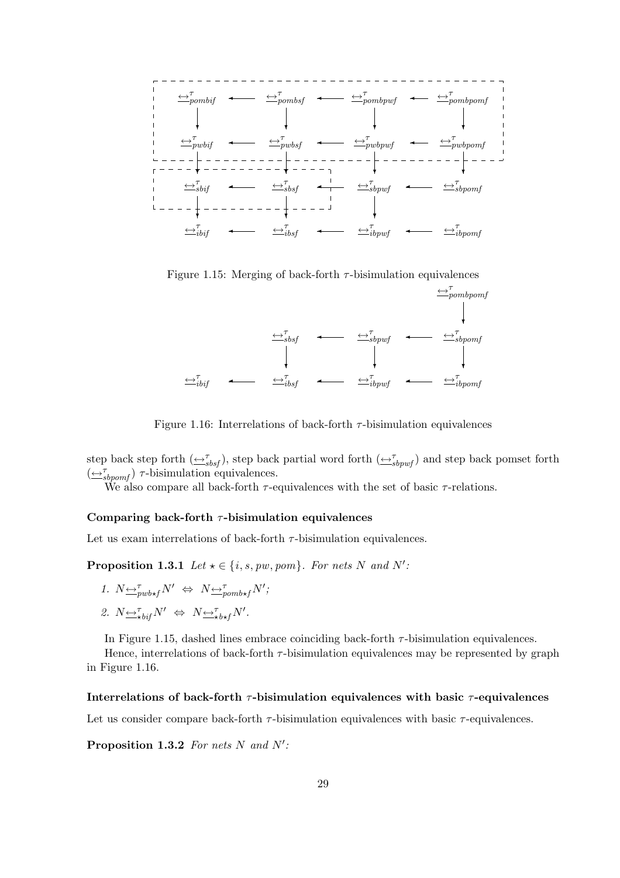

Figure 1.15: Merging of back-forth  $\tau$ -bisimulation equivalences



Figure 1.16: Interrelations of back-forth  $\tau$ -bisimulation equivalences

step back step forth  $(\underline{\leftrightarrow}_{sbsf}^{\tau})$ , step back partial word forth  $(\underline{\leftrightarrow}_{sbpwf}^{\tau})$  and step back pomset forth  $(\underbrace{\leftrightarrow}_{sbpomf}^{\tau})$   $\tau$ -bisimulation equivalences.

We also compare all back-forth  $\tau$ -equivalences with the set of basic  $\tau$ -relations.

#### Comparing back-forth  $\tau$ -bisimulation equivalences

Let us exam interrelations of back-forth  $\tau$ -bisimulation equivalences.

**Proposition 1.3.1** Let  $\star \in \{i, s, pw, pom\}$ . For nets N and N':

1. 
$$
N \underbrace{\leftrightarrow}^{\tau}_{\text{pub} \star \text{f}} N' \Leftrightarrow N \underbrace{\leftrightarrow}^{\tau}_{\text{pomb} \star \text{f}} N';
$$

$$
\text{2. } N {\underline{\leftrightarrow}}^{\tau}_{\star \text{bif}} N' \; \Leftrightarrow \; N {\underline{\leftrightarrow}}^{\tau}_{\star \text{b} \star f} N'.
$$

In Figure 1.15, dashed lines embrace coinciding back-forth  $\tau$ -bisimulation equivalences.

Hence, interrelations of back-forth  $\tau$ -bisimulation equivalences may be represented by graph in Figure 1.16.

#### Interrelations of back-forth  $\tau$ -bisimulation equivalences with basic  $\tau$ -equivalences

Let us consider compare back-forth  $\tau$ -bisimulation equivalences with basic  $\tau$ -equivalences.

Proposition 1.3.2 For nets N and  $N'$ :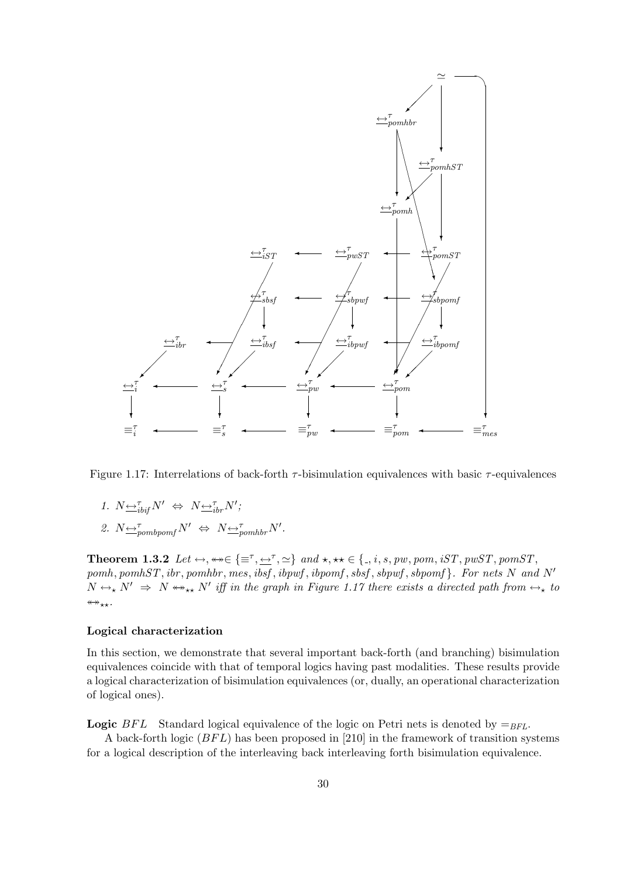

Figure 1.17: Interrelations of back-forth  $\tau$ -bisimulation equivalences with basic  $\tau$ -equivalences

- 1.  $N \underline{\leftrightarrow}^{\tau}_{ibif} N' \Leftrightarrow N \underline{\leftrightarrow}^{\tau}_{ibr} N';$
- 2.  $N \underbrace{\leftrightarrow}^{\tau}_{pombpomf} N' \Leftrightarrow N \underbrace{\leftrightarrow}^{\tau}_{pomhbr} N'.$

**Theorem 1.3.2** Let  $\leftrightarrow$ ,  $\leftrightarrow \in \{\equiv^{\tau}, \leftrightarrow^{\tau}, \simeq\}$  and  $\star$ ,  $\star \star \in \{., i, s, pw, pom, iST, pwST, pomST,$  $pomh, pomhST, ibr, pomhbr, mes, ibsf, ibpwf, sbsf, sbpwf, sbpomf}. For nets N and N'$  $N \leftrightarrow_{\star} N' \Rightarrow N \leftrightarrow_{\star \star} N'$  iff in the graph in Figure 1.17 there exists a directed path from  $\leftrightarrow_{\star}$  to  $\leftrightarrow$ \*\*.

#### Logical characterization

In this section, we demonstrate that several important back-forth (and branching) bisimulation equivalences coincide with that of temporal logics having past modalities. These results provide a logical characterization of bisimulation equivalences (or, dually, an operational characterization of logical ones).

**Logic** BFL Standard logical equivalence of the logic on Petri nets is denoted by  $=_{BFL}$ .

A back-forth logic  $(BFL)$  has been proposed in [210] in the framework of transition systems for a logical description of the interleaving back interleaving forth bisimulation equivalence.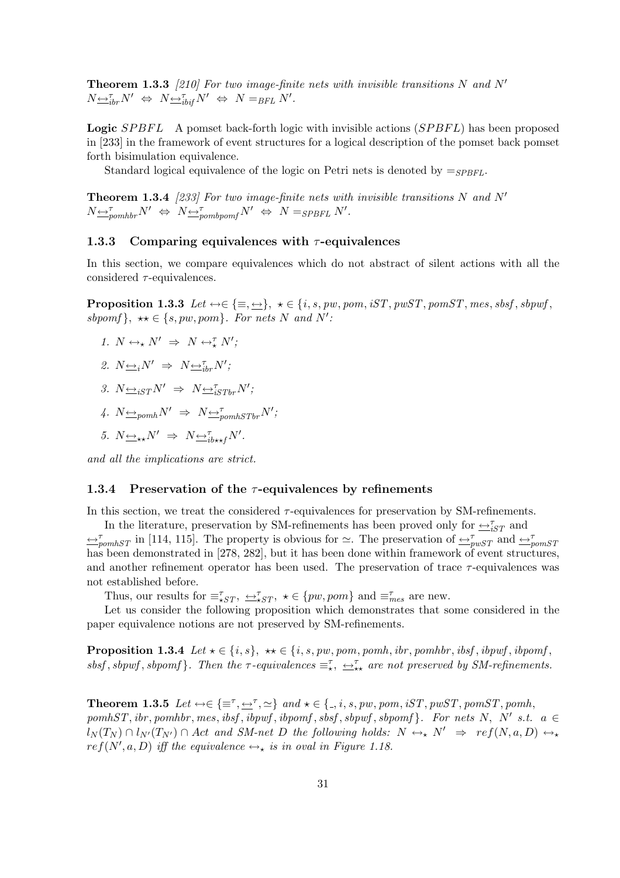**Theorem 1.3.3** [210] For two image-finite nets with invisible transitions N and N'  $N \underline{\leftrightarrow}_{ibr}^{\tau} N' \Leftrightarrow N \underline{\leftrightarrow}_{ibrf}^{\tau} N' \Leftrightarrow N =_{BFL} N'.$ 

**Logic** SPBFL A pomset back-forth logic with invisible actions (SPBFL) has been proposed in [233] in the framework of event structures for a logical description of the pomset back pomset forth bisimulation equivalence.

Standard logical equivalence of the logic on Petri nets is denoted by  $=$   $s_{PBFL}$ .

**Theorem 1.3.4** [233] For two image-finite nets with invisible transitions N and N'  $N \rightarrow_{\text{pomhbr}} N' \Leftrightarrow N \rightarrow_{\text{pombponf}} N' \Leftrightarrow N =_{SPBFL} N'.$ 

#### 1.3.3 Comparing equivalences with  $\tau$ -equivalences

In this section, we compare equivalences which do not abstract of silent actions with all the considered  $\tau$ -equivalences.

**Proposition 1.3.3** Let  $\leftrightarrow \in \{\equiv, \leftrightarrow\}, \star \in \{i, s, pw, pom, iST, pwST, pomST, mes, sbsf, sbpwf,$ sbpomf},  $\star \star \in \{s, pw, pom\}$ . For nets N and N':

1.  $N \leftrightarrow_{\star} N' \Rightarrow N \leftrightarrow_{\star}^{\tau} N'$ ;

2. 
$$
N \underline{\leftrightarrow}_i N' \Rightarrow N \underline{\leftrightarrow}_{i}^{\tau} N';
$$

- 3.  $N \rightarrow \frac{1}{S}$   $N' \rightarrow N \rightarrow \frac{1}{S}$
- 4.  $N \rightarrow N \rightarrow N \rightarrow \tau_{pomhSTbr} N';$
- 5.  $N \underline{\leftrightarrow}_{\star\star} N' \Rightarrow N \underline{\leftrightarrow}_{ib \star\star f}^{\tau} N'.$

and all the implications are strict.

#### 1.3.4 Preservation of the  $\tau$ -equivalences by refinements

In this section, we treat the considered  $\tau$ -equivalences for preservation by SM-refinements.

In the literature, preservation by SM-refinements has been proved only for  $\overrightarrow{ \rightharpoonup}_{iST}$  and  $\leftrightarrow$ <sup>T</sup><sub>pomhST</sub> in [114, 115]. The property is obvious for  $\simeq$ . The preservation of  $\leftrightarrow$ <sup>T</sup><sub>pwST</sub> and  $\leftrightarrow$ <sup>T</sup><sub>pomST</sub> has been demonstrated in [278, 282], but it has been done within framework of event structures, and another refinement operator has been used. The preservation of trace  $\tau$ -equivalences was not established before.

Thus, our results for  $\equiv_{\star ST}^{\tau}$ ,  $\leftrightarrow_{\star ST}^{\tau}$ ,  $\star \in \{pw, pom\}$  and  $\equiv_{mes}^{\tau}$  are new.

Let us consider the following proposition which demonstrates that some considered in the paper equivalence notions are not preserved by SM-refinements.

**Proposition 1.3.4** Let  $\star \in \{i, s\}$ ,  $\star \star \in \{i, s, pw, pom, pomh, ibr, pomhbr, ibsf, ibpwf, ibpomf,$ sbsf, sbpwf, sbpomf}. Then the  $\tau$ -equivalences  $\equiv_{\star}^{\tau}$ ,  $\rightarrow_{\star\star}^{\tau}$  are not preserved by SM-refinements.

**Theorem 1.3.5** Let  $\leftrightarrow \in \{\equiv^{\tau}, \leftrightarrow^{\tau}, \simeq\}$  and  $\star \in \{., i, s, pw, pom, iST, pwST, pomST, pomh, var$  $pomhST, ibr, pomhbr, mes, ibsf, ibpwf, sbsf, sbpwf, sbpomf}.$  For nets N, N' s.t.  $a \in$  $l_N(T_N) \cap l_{N'}(T_{N'}) \cap Act$  and SM-net D the following holds:  $N \leftrightarrow_{\star} N' \Rightarrow ref(N, a, D) \leftrightarrow_{\star}$  $ref(N', a, D)$  iff the equivalence  $\leftrightarrow_{\star}$  is in oval in Figure 1.18.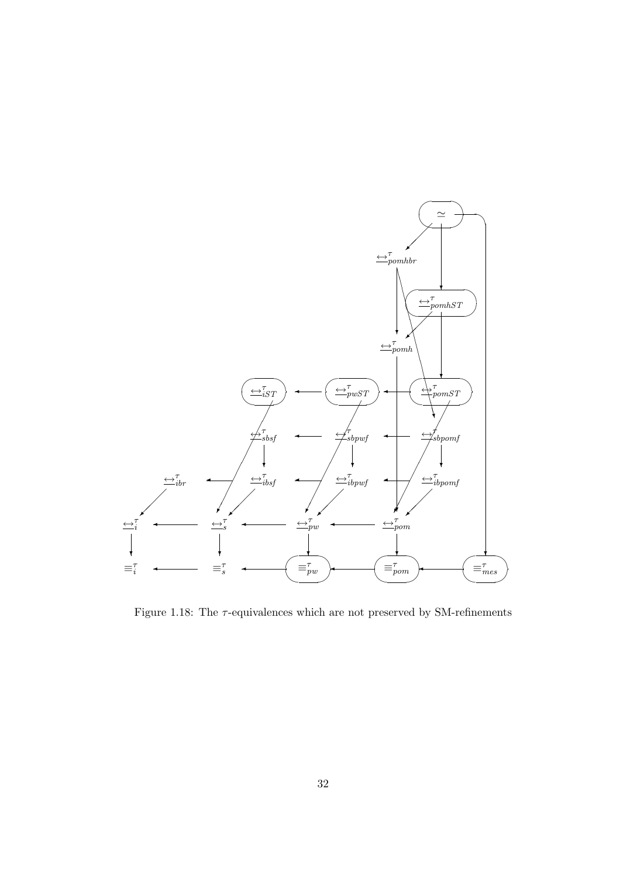

Figure 1.18: The  $\tau$ -equivalences which are not preserved by SM-refinements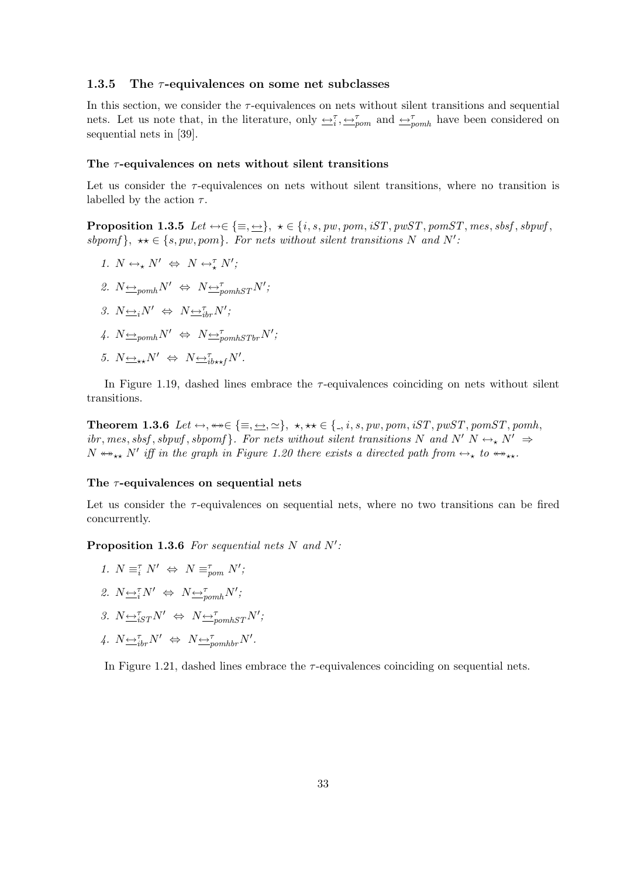#### 1.3.5 The  $\tau$ -equivalences on some net subclasses

In this section, we consider the  $\tau$ -equivalences on nets without silent transitions and sequential nets. Let us note that, in the literature, only  $\leftrightarrow_{i}^{\tau}, \leftrightarrow_{\text{pom}}^{\tau}$  and  $\leftrightarrow_{\text{pom}}^{\tau}$  have been considered on sequential nets in [39].

#### The  $\tau$ -equivalences on nets without silent transitions

Let us consider the  $\tau$ -equivalences on nets without silent transitions, where no transition is labelled by the action  $\tau$ .

**Proposition 1.3.5** Let  $\leftrightarrow \in \{\equiv, \underline{\leftrightarrow}\}, \star \in \{i, s, pw, pom, iST, pwST, pomST, mes, sbsf, sbpwff,$ sbpomf},  $\star \star \in \{s, pw, pom\}$ . For nets without silent transitions N and N':

- 1.  $N \leftrightarrow_{\star} N' \Leftrightarrow N \leftrightarrow_{\star}^{\tau} N'$ ;
- 2.  $N \triangleq_{pomh} N' \Leftrightarrow N \triangleq_{pomhST}^{\tau} N'$ ;
- 3.  $N \underline{\leftrightarrow}_i N' \Leftrightarrow N \underline{\leftrightarrow}_{i}^{\tau} N'$ ;
- 4.  $N \underline{\leftrightarrow}_{pomh} N' \Leftrightarrow N \underline{\leftrightarrow}_{pomhSTbr}^{\tau} N';$
- 5.  $N \underline{\leftrightarrow}_{\star\star} N' \Leftrightarrow N \underline{\leftrightarrow}_{ib \star\star f}^{\tau} N'.$

In Figure 1.19, dashed lines embrace the  $\tau$ -equivalences coinciding on nets without silent transitions.

Theorem 1.3.6 Let  $\leftrightarrow$ ,  $\leftrightarrow \in \{\equiv, \leftarrow, \simeq\}$ ,  $\star$ ,  $\star \star \in \{., i, s, pw, pom, iST, pwST, pomST, pomh,$ ibr, mes, sbsf, sbpwf, sbpomf}. For nets without silent transitions N and N' N  $\leftrightarrow$  N'  $\Rightarrow$  $N \leftrightarrow_{\star\star} N'$  iff in the graph in Figure 1.20 there exists a directed path from  $\leftrightarrow_{\star}$  to  $\leftrightarrow_{\star\star}$ .

#### The  $\tau$ -equivalences on sequential nets

Let us consider the  $\tau$ -equivalences on sequential nets, where no two transitions can be fired concurrently.

**Proposition 1.3.6** For sequential nets N and  $N'$ :

- 1.  $N \equiv_i^{\tau} N' \Leftrightarrow N \equiv_{\text{pom}}^{\tau} N'$ ;
- 2.  $N \leftrightarrow_N^{\tau} N' \Leftrightarrow N \leftrightarrow_{p o m h}^{\tau} N'$ ;
- 3.  $N \underbrace{\leftrightarrow}_{iST}^{\tau} N' \Leftrightarrow N \underbrace{\leftrightarrow}_{pomhST}^{\tau} N';$
- 4.  $N \underbrace{\leftrightarrow}^{\tau}_{ibr} N' \Leftrightarrow N \underbrace{\leftrightarrow}^{\tau}_{pomhbr} N'.$

In Figure 1.21, dashed lines embrace the  $\tau$ -equivalences coinciding on sequential nets.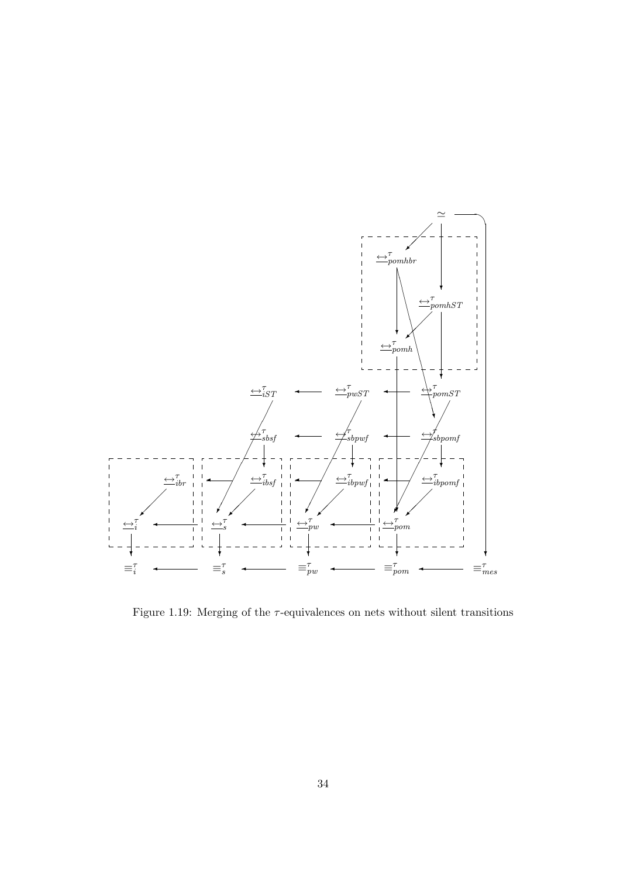

Figure 1.19: Merging of the  $\tau$ -equivalences on nets without silent transitions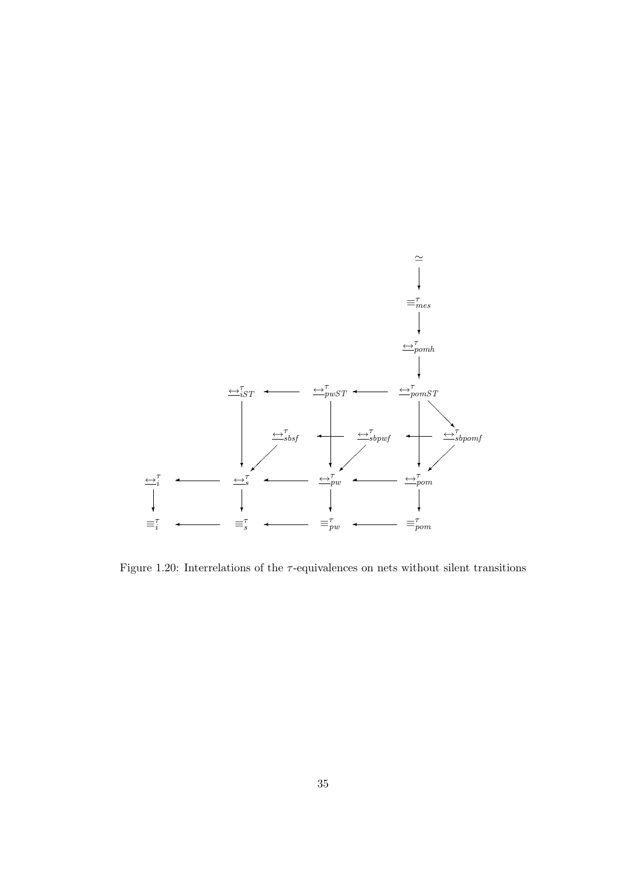

Figure 1.20: Interrelations of the  $\tau$ -equivalences on nets without silent transitions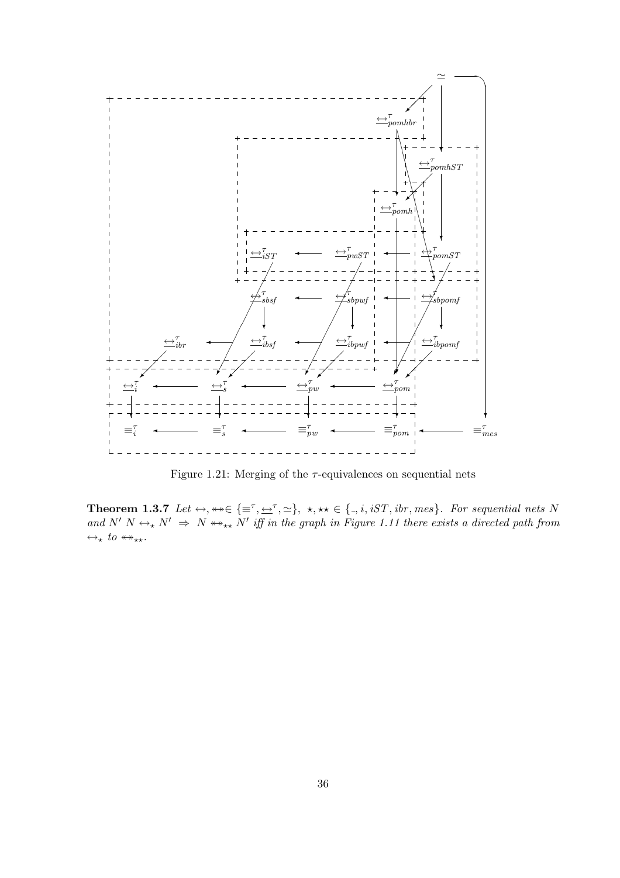

Figure 1.21: Merging of the  $\tau$ -equivalences on sequential nets

**Theorem 1.3.7** Let  $\leftrightarrow$ ,  $\leftrightarrow \in \{\equiv^{\tau}, \rightarrow^{\tau}, \simeq\}$ ,  $\star$ ,  $\star\star \in \{., i, iST, ibr, mes\}$ . For sequential nets N and  $N' N \leftrightarrow_{\star} N' \Rightarrow N \leftrightarrow_{\star \star} N'$  iff in the graph in Figure 1.11 there exists a directed path from  $\leftrightarrow_{\star} to \leftrightarrow_{\star\star}.$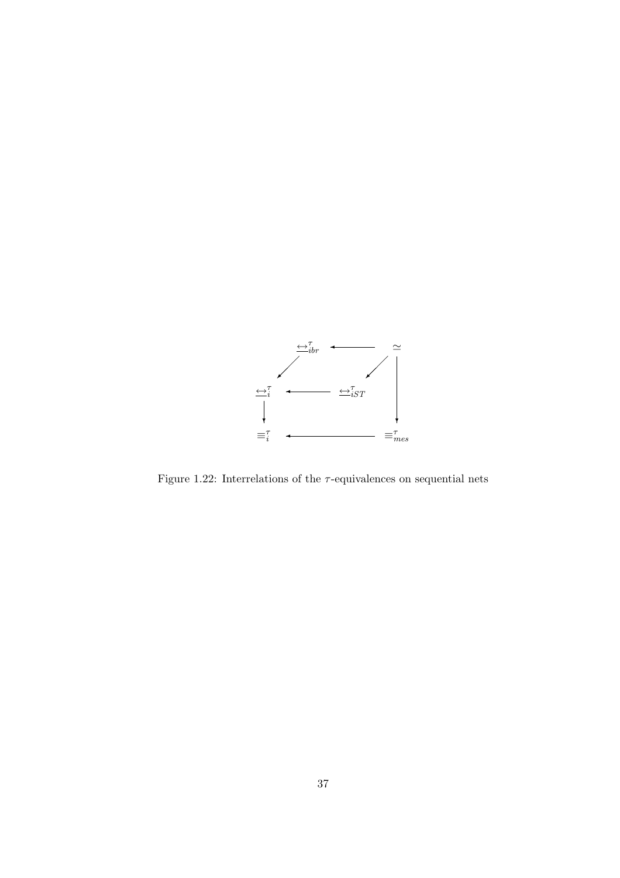

Figure 1.22: Interrelations of the  $\tau\text{-equivalence}$  on sequential nets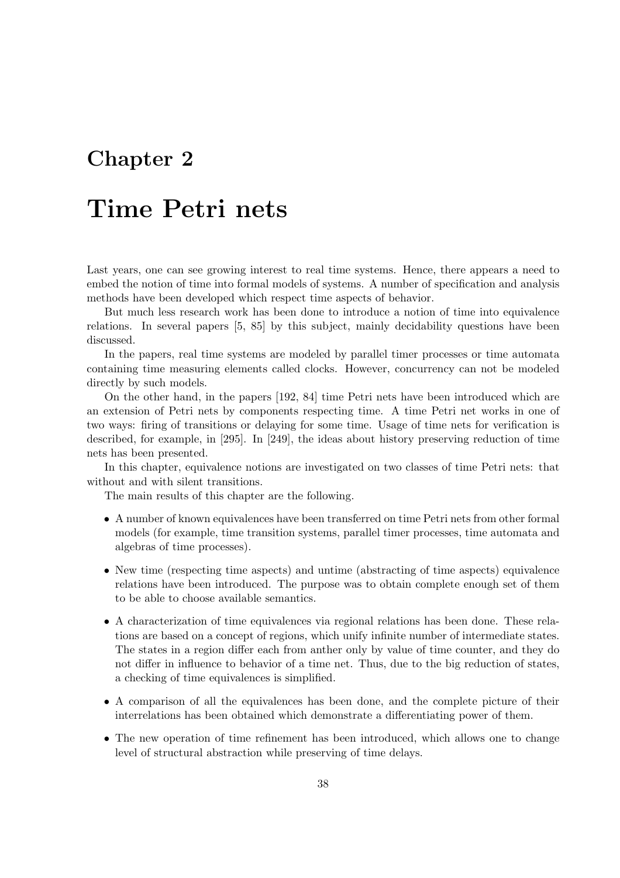## Chapter 2

# Time Petri nets

Last years, one can see growing interest to real time systems. Hence, there appears a need to embed the notion of time into formal models of systems. A number of specification and analysis methods have been developed which respect time aspects of behavior.

But much less research work has been done to introduce a notion of time into equivalence relations. In several papers [5, 85] by this subject, mainly decidability questions have been discussed.

In the papers, real time systems are modeled by parallel timer processes or time automata containing time measuring elements called clocks. However, concurrency can not be modeled directly by such models.

On the other hand, in the papers [192, 84] time Petri nets have been introduced which are an extension of Petri nets by components respecting time. A time Petri net works in one of two ways: firing of transitions or delaying for some time. Usage of time nets for verification is described, for example, in [295]. In [249], the ideas about history preserving reduction of time nets has been presented.

In this chapter, equivalence notions are investigated on two classes of time Petri nets: that without and with silent transitions.

The main results of this chapter are the following.

- A number of known equivalences have been transferred on time Petri nets from other formal models (for example, time transition systems, parallel timer processes, time automata and algebras of time processes).
- New time (respecting time aspects) and untime (abstracting of time aspects) equivalence relations have been introduced. The purpose was to obtain complete enough set of them to be able to choose available semantics.
- A characterization of time equivalences via regional relations has been done. These relations are based on a concept of regions, which unify infinite number of intermediate states. The states in a region differ each from anther only by value of time counter, and they do not differ in influence to behavior of a time net. Thus, due to the big reduction of states, a checking of time equivalences is simplified.
- A comparison of all the equivalences has been done, and the complete picture of their interrelations has been obtained which demonstrate a differentiating power of them.
- The new operation of time refinement has been introduced, which allows one to change level of structural abstraction while preserving of time delays.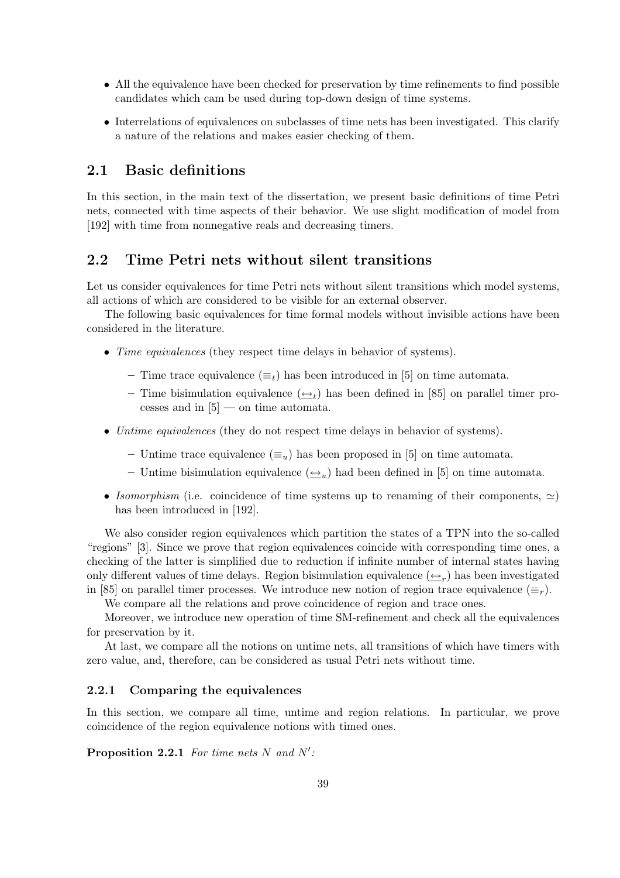- All the equivalence have been checked for preservation by time refinements to find possible candidates which cam be used during top-down design of time systems.
- Interrelations of equivalences on subclasses of time nets has been investigated. This clarify a nature of the relations and makes easier checking of them.

### 2.1 Basic definitions

In this section, in the main text of the dissertation, we present basic definitions of time Petri nets, connected with time aspects of their behavior. We use slight modification of model from [192] with time from nonnegative reals and decreasing timers.

#### 2.2 Time Petri nets without silent transitions

Let us consider equivalences for time Petri nets without silent transitions which model systems, all actions of which are considered to be visible for an external observer.

The following basic equivalences for time formal models without invisible actions have been considered in the literature.

- *Time equivalences* (they respect time delays in behavior of systems).
	- Time trace equivalence  $(\equiv_t)$  has been introduced in [5] on time automata.
	- Time bisimulation equivalence  $(\underline{\leftrightarrow}_t)$  has been defined in [85] on parallel timer processes and in  $[5]$  — on time automata.
- Untime equivalences (they do not respect time delays in behavior of systems).
	- Untime trace equivalence  $(\equiv_u)$  has been proposed in [5] on time automata.
	- Untime bisimulation equivalence  $(\underline{\leftrightarrow}_{u})$  had been defined in [5] on time automata.
- Isomorphism (i.e. coincidence of time systems up to renaming of their components,  $\simeq$ ) has been introduced in [192].

We also consider region equivalences which partition the states of a TPN into the so-called "regions" [3]. Since we prove that region equivalences coincide with corresponding time ones, a checking of the latter is simplified due to reduction if infinite number of internal states having only different values of time delays. Region bisimulation equivalence  $(\underline{\leftrightarrow}_r)$  has been investigated in [85] on parallel timer processes. We introduce new notion of region trace equivalence  $(\equiv_r)$ .

We compare all the relations and prove coincidence of region and trace ones.

Moreover, we introduce new operation of time SM-refinement and check all the equivalences for preservation by it.

At last, we compare all the notions on untime nets, all transitions of which have timers with zero value, and, therefore, can be considered as usual Petri nets without time.

#### 2.2.1 Comparing the equivalences

In this section, we compare all time, untime and region relations. In particular, we prove coincidence of the region equivalence notions with timed ones.

**Proposition 2.2.1** For time nets N and  $N'$ :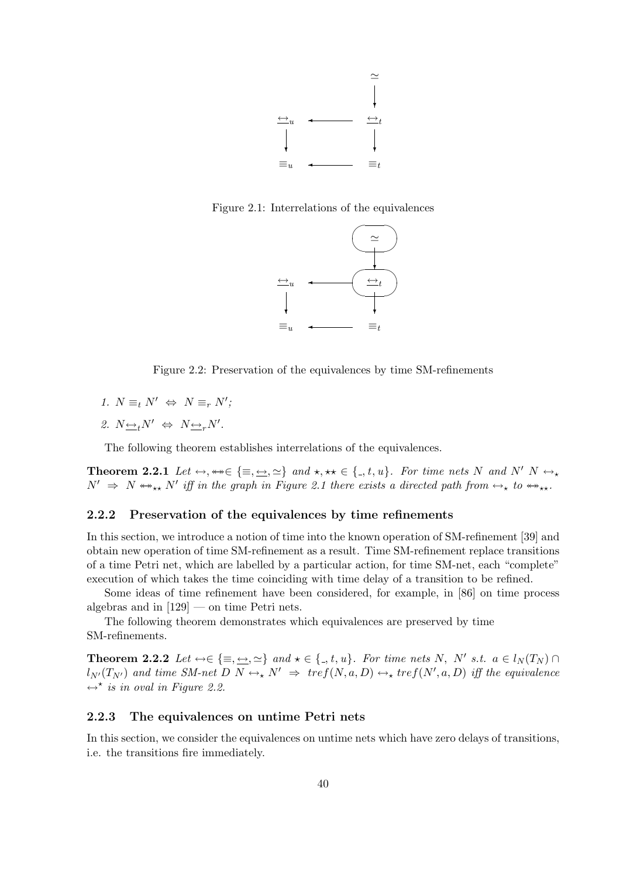

Figure 2.1: Interrelations of the equivalences



Figure 2.2: Preservation of the equivalences by time SM-refinements

- 1.  $N \equiv_t N' \Leftrightarrow N \equiv_r N';$
- 2.  $N \underline{\leftrightarrow}_t N' \Leftrightarrow N \underline{\leftrightarrow}_r N'$ .

The following theorem establishes interrelations of the equivalences.

**Theorem 2.2.1** Let  $\leftrightarrow$ ,  $\leftrightarrow \in \{\equiv, \underline{\leftrightarrow}, \simeq\}$  and  $\star$ ,  $\star \star \in \{., t, u\}$ . For time nets N and N' N  $\leftrightarrow$  $N' \Rightarrow N \leftrightarrow_{\star\star} N'$  iff in the graph in Figure 2.1 there exists a directed path from  $\leftrightarrow_{\star}$  to  $\leftrightarrow_{\star\star}$ .

#### 2.2.2 Preservation of the equivalences by time refinements

In this section, we introduce a notion of time into the known operation of SM-refinement [39] and obtain new operation of time SM-refinement as a result. Time SM-refinement replace transitions of a time Petri net, which are labelled by a particular action, for time SM-net, each "complete" execution of which takes the time coinciding with time delay of a transition to be refined.

Some ideas of time refinement have been considered, for example, in [86] on time process algebras and in  $[129]$  — on time Petri nets.

The following theorem demonstrates which equivalences are preserved by time SM-refinements.

**Theorem 2.2.2** Let  $\leftrightarrow \in \{\equiv, \underline{\leftrightarrow}, \simeq\}$  and  $\star \in \{., t, u\}$ . For time nets N, N' s.t.  $a \in l_N(T_N) \cap$  $l_{N'}(T_{N'})$  and time SM-net  $D \ N \leftrightarrow_{\star} N' \Rightarrow \ tref(N, a, D) \leftrightarrow_{\star} tref(N', a, D)$  iff the equivalence  $\leftrightarrow^*$  is in oval in Figure 2.2.

#### 2.2.3 The equivalences on untime Petri nets

In this section, we consider the equivalences on untime nets which have zero delays of transitions, i.e. the transitions fire immediately.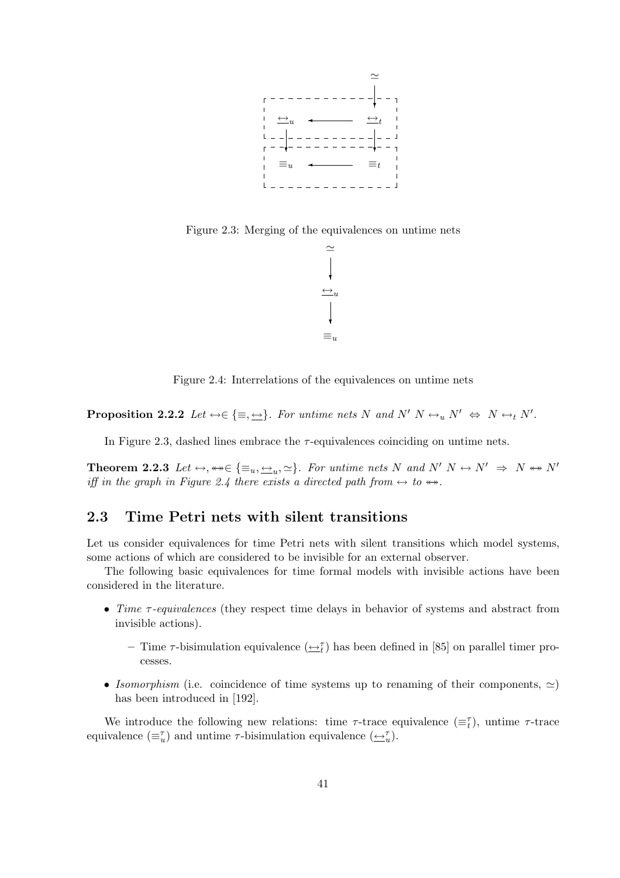

Figure 2.3: Merging of the equivalences on untime nets



Figure 2.4: Interrelations of the equivalences on untime nets

**Proposition 2.2.2** Let  $\leftrightarrow \in \{\equiv, \underline{\leftrightarrow}\}.$  For untime nets N and N'  $N \leftrightarrow_u N' \Leftrightarrow N \leftrightarrow_t N'.$ 

In Figure 2.3, dashed lines embrace the  $\tau$ -equivalences coinciding on untime nets.

**Theorem 2.2.3** Let  $\leftrightarrow$ ,  $\leftrightarrow \in \{\equiv_u, \rightarrow_u, \simeq\}$ . For untime nets N and N'  $N \leftrightarrow N' \Rightarrow N \leftrightarrow N'$ iff in the graph in Figure 2.4 there exists a directed path from  $\leftrightarrow$  to  $\leftrightarrow$ .

#### 2.3 Time Petri nets with silent transitions

Let us consider equivalences for time Petri nets with silent transitions which model systems, some actions of which are considered to be invisible for an external observer.

The following basic equivalences for time formal models with invisible actions have been considered in the literature.

- Time τ-equivalences (they respect time delays in behavior of systems and abstract from invisible actions).
	- Time  $\tau$ -bisimulation equivalence  $(\underline{\leftrightarrow}^{\tau}_{t})$  has been defined in [85] on parallel timer processes.
- Isomorphism (i.e. coincidence of time systems up to renaming of their components,  $\simeq$ ) has been introduced in [192].

We introduce the following new relations: time  $\tau$ -trace equivalence  $(\equiv_t^{\tau})$ , untime  $\tau$ -trace equivalence  $(\equiv_u^{\tau})$  and untime  $\tau$ -bisimulation equivalence  $(\underline{\leftrightarrow}_u^{\tau})$ .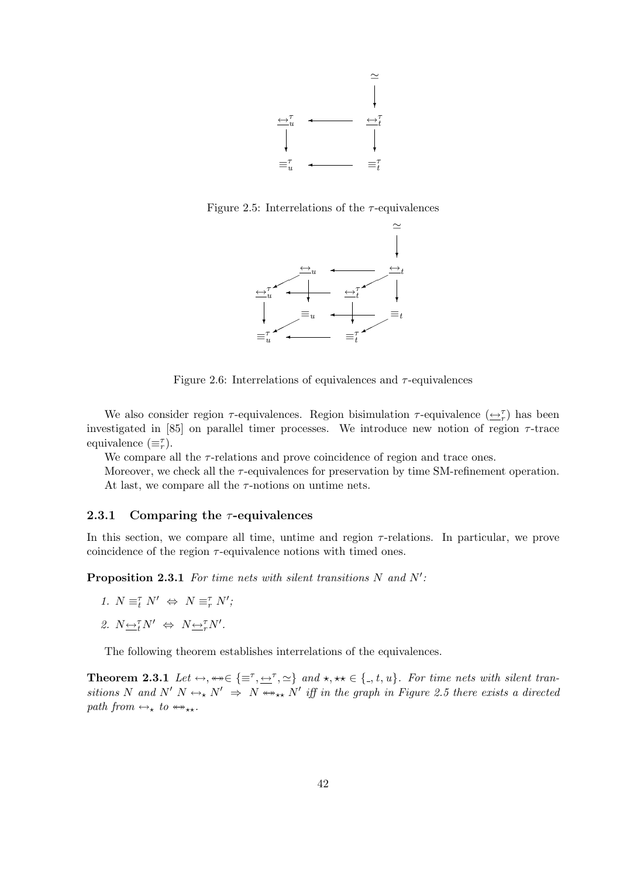

Figure 2.5: Interrelations of the  $\tau$ -equivalences



Figure 2.6: Interrelations of equivalences and  $\tau$ -equivalences

We also consider region  $\tau$ -equivalences. Region bisimulation  $\tau$ -equivalence  $(\underline{\leftrightarrow}^{\tau}_{r})$  has been investigated in [85] on parallel timer processes. We introduce new notion of region  $\tau$ -trace equivalence  $(\equiv_r^{\tau})$ .

We compare all the  $\tau$ -relations and prove coincidence of region and trace ones.

Moreover, we check all the  $\tau$ -equivalences for preservation by time SM-refinement operation. At last, we compare all the  $\tau$ -notions on untime nets.

#### 2.3.1 Comparing the  $\tau$ -equivalences

In this section, we compare all time, untime and region  $\tau$ -relations. In particular, we prove coincidence of the region  $\tau$ -equivalence notions with timed ones.

**Proposition 2.3.1** For time nets with silent transitions  $N$  and  $N'$ :

- 1.  $N \equiv_{t}^{\tau} N' \Leftrightarrow N \equiv_{r}^{\tau} N'$ ;
- 2.  $N \underbrace{\leftrightarrow}^{\tau} N' \Leftrightarrow N \underbrace{\leftrightarrow}^{\tau} N'.$

The following theorem establishes interrelations of the equivalences.

**Theorem 2.3.1** Let  $\leftrightarrow$ ,  $\leftrightarrow \in \{\equiv^{\tau}, \leftarrow^{\tau}, \simeq\}$  and  $\star$ ,  $\star \star \in \{., t, u\}$ . For time nets with silent transitions N and N' N  $\leftrightarrow_{\star} N' \Rightarrow N \leftrightarrow_{\star\star} N'$  iff in the graph in Figure 2.5 there exists a directed path from  $\leftrightarrow_{\star}$  to  $\leftrightarrow_{\star\star}$ .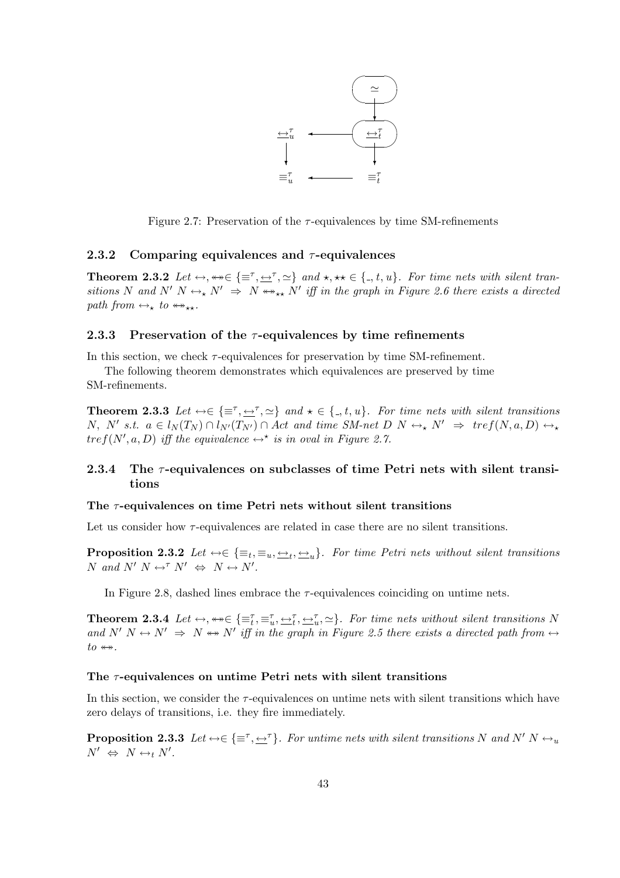

Figure 2.7: Preservation of the  $\tau$ -equivalences by time SM-refinements

#### 2.3.2 Comparing equivalences and  $\tau$ -equivalences

**Theorem 2.3.2** Let  $\leftrightarrow$ ,  $\leftrightarrow \in \{\equiv^{\tau}, \le^{\tau}, \ge\}$  and  $\star$ ,  $\star \star \in \{., t, u\}$ . For time nets with silent transitions N and N' N  $\leftrightarrow$  N'  $\Rightarrow$  N  $\leftrightarrow$   $\star$  N' iff in the graph in Figure 2.6 there exists a directed path from  $\leftrightarrow_{\star}$  to  $\leftrightarrow_{\star\star}$ .

#### 2.3.3 Preservation of the  $\tau$ -equivalences by time refinements

In this section, we check  $\tau$ -equivalences for preservation by time SM-refinement.

The following theorem demonstrates which equivalences are preserved by time SM-refinements.

**Theorem 2.3.3** Let  $\leftrightarrow \in \{\equiv^{\tau}, \le^{\tau}, \simeq\}$  and  $\star \in \{., t, u\}$ . For time nets with silent transitions  $N, N'$  s.t.  $a \in l_N(T_N) \cap l_{N'}(T_{N'}) \cap Act$  and time SM-net  $D \mid N \leftrightarrow N' \Rightarrow \text{tref}(N, a, D) \leftrightarrow K$  $tref(N', a, D)$  iff the equivalence  $\leftrightarrow^*$  is in oval in Figure 2.7.

#### 2.3.4 The  $\tau$ -equivalences on subclasses of time Petri nets with silent transitions

#### The  $\tau$ -equivalences on time Petri nets without silent transitions

Let us consider how  $\tau$ -equivalences are related in case there are no silent transitions.

**Proposition 2.3.2** Let  $\leftrightarrow \in \{\equiv_t, \equiv_u, \underbrace{\leftrightarrow_t, \leftrightarrow_u}$ . For time Petri nets without silent transitions N and N'  $N \leftrightarrow^{\tau} N' \Leftrightarrow N \leftrightarrow N'.$ 

In Figure 2.8, dashed lines embrace the  $\tau$ -equivalences coinciding on untime nets.

**Theorem 2.3.4** Let  $\leftrightarrow$ ,  $\leftrightarrow \in \{\equiv_t^{\tau}, \equiv_t^{\tau}, \Leftrightarrow_t^{\tau}, \Leftrightarrow_t^{\tau}, \Sigma_t\}$ . For time nets without silent transitions N and  $N'$   $N \leftrightarrow N' \Rightarrow N \leftrightarrow N'$  iff in the graph in Figure 2.5 there exists a directed path from  $\leftrightarrow$  $to \leftrightarrow$ .

#### The  $\tau$ -equivalences on untime Petri nets with silent transitions

In this section, we consider the  $\tau$ -equivalences on untime nets with silent transitions which have zero delays of transitions, i.e. they fire immediately.

**Proposition 2.3.3** Let  $\leftrightarrow \in \{\equiv^{\tau}, \rightarrow^{\tau}\}.$  For untime nets with silent transitions N and N' N  $\leftrightarrow_u$  $N' \Leftrightarrow N \leftrightarrow_t N'.$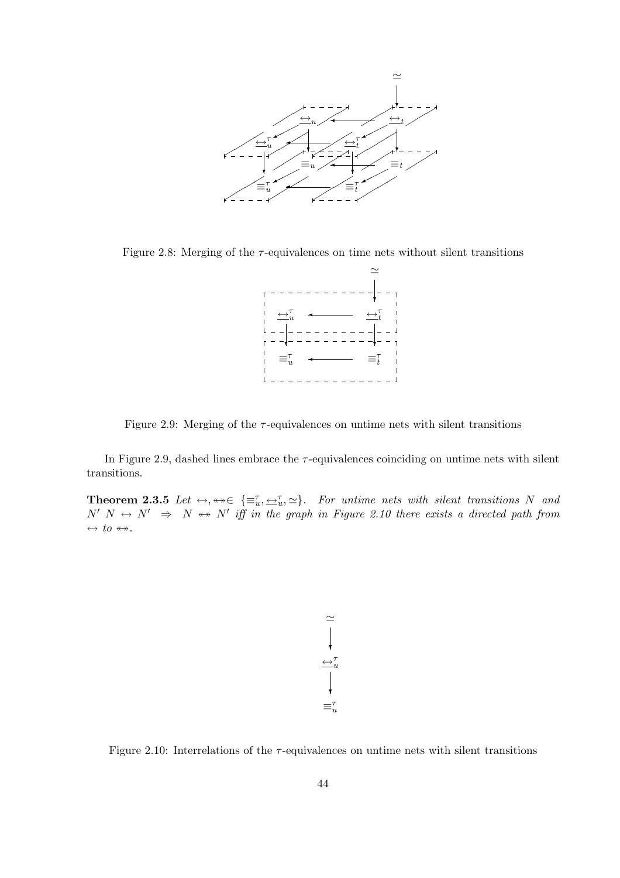

Figure 2.8: Merging of the  $\tau$ -equivalences on time nets without silent transitions



Figure 2.9: Merging of the  $\tau$ -equivalences on untime nets with silent transitions

In Figure 2.9, dashed lines embrace the  $\tau$ -equivalences coinciding on untime nets with silent transitions.

**Theorem 2.3.5** Let  $\leftrightarrow$ ,  $\leftrightarrow \in \{\equiv_u^{\tau}, \pm_u^{\tau}, \simeq\}$ . For untime nets with silent transitions N and  $N'$   $N \leftrightarrow N' \Rightarrow N \leftrightarrow N'$  iff in the graph in Figure 2.10 there exists a directed path from  $\leftrightarrow$  to  $\leftrightarrow$ .

$$
\cong \begin{array}{c} \sim \\ \longleftarrow \\ \leftarrow \end{array}
$$

$$
\cong \begin{array}{c} \downarrow \\ \searrow \end{array}
$$

$$
\equiv \stackrel{\tau}{u}
$$

Figure 2.10: Interrelations of the  $\tau$ -equivalences on untime nets with silent transitions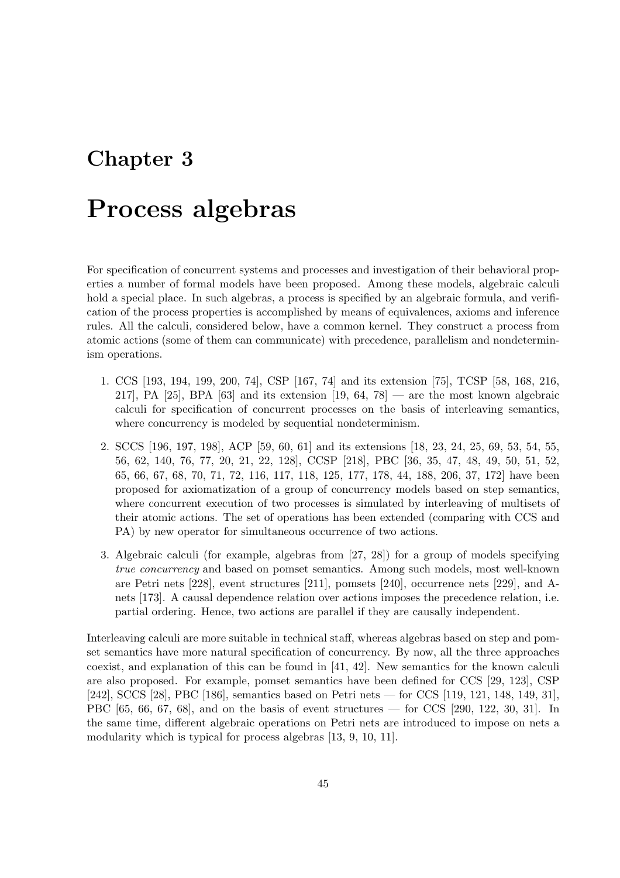## Chapter 3

# Process algebras

For specification of concurrent systems and processes and investigation of their behavioral properties a number of formal models have been proposed. Among these models, algebraic calculi hold a special place. In such algebras, a process is specified by an algebraic formula, and verification of the process properties is accomplished by means of equivalences, axioms and inference rules. All the calculi, considered below, have a common kernel. They construct a process from atomic actions (some of them can communicate) with precedence, parallelism and nondeterminism operations.

- 1. CCS [193, 194, 199, 200, 74], CSP [167, 74] and its extension [75], TCSP [58, 168, 216, 217], PA  $[25]$ , BPA  $[63]$  and its extension  $[19, 64, 78]$  — are the most known algebraic calculi for specification of concurrent processes on the basis of interleaving semantics, where concurrency is modeled by sequential nondeterminism.
- 2. SCCS [196, 197, 198], ACP [59, 60, 61] and its extensions [18, 23, 24, 25, 69, 53, 54, 55, 56, 62, 140, 76, 77, 20, 21, 22, 128], CCSP [218], PBC [36, 35, 47, 48, 49, 50, 51, 52, 65, 66, 67, 68, 70, 71, 72, 116, 117, 118, 125, 177, 178, 44, 188, 206, 37, 172] have been proposed for axiomatization of a group of concurrency models based on step semantics, where concurrent execution of two processes is simulated by interleaving of multisets of their atomic actions. The set of operations has been extended (comparing with CCS and PA) by new operator for simultaneous occurrence of two actions.
- 3. Algebraic calculi (for example, algebras from [27, 28]) for a group of models specifying true concurrency and based on pomset semantics. Among such models, most well-known are Petri nets [228], event structures [211], pomsets [240], occurrence nets [229], and Anets [173]. A causal dependence relation over actions imposes the precedence relation, i.e. partial ordering. Hence, two actions are parallel if they are causally independent.

Interleaving calculi are more suitable in technical staff, whereas algebras based on step and pomset semantics have more natural specification of concurrency. By now, all the three approaches coexist, and explanation of this can be found in [41, 42]. New semantics for the known calculi are also proposed. For example, pomset semantics have been defined for CCS [29, 123], CSP [242], SCCS [28], PBC [186], semantics based on Petri nets — for CCS [119, 121, 148, 149, 31], PBC [65, 66, 67, 68], and on the basis of event structures — for CCS [290, 122, 30, 31]. In the same time, different algebraic operations on Petri nets are introduced to impose on nets a modularity which is typical for process algebras [13, 9, 10, 11].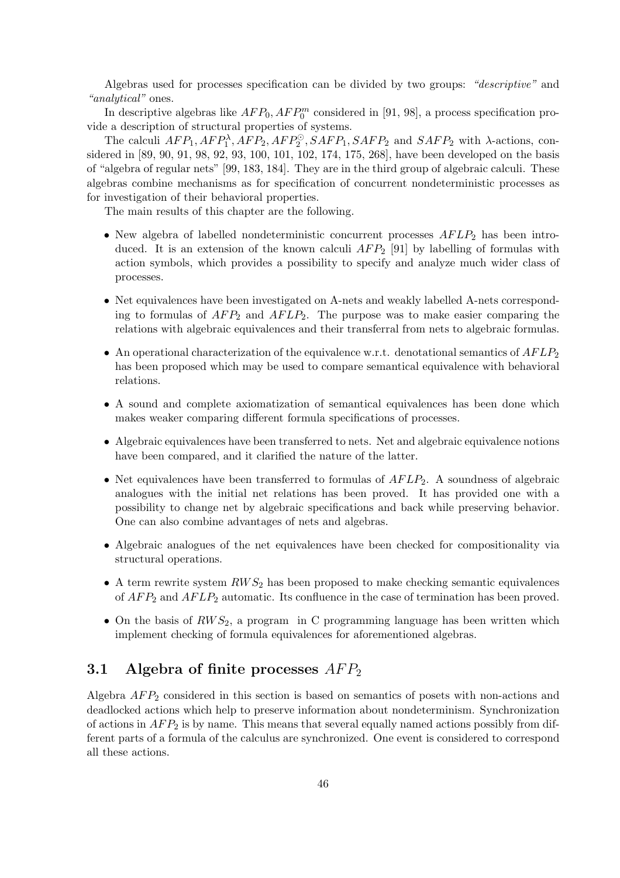Algebras used for processes specification can be divided by two groups: "descriptive" and "analytical" ones.

In descriptive algebras like  $AFP_0, AFP_0^m$  considered in [91, 98], a process specification provide a description of structural properties of systems.

The calculi  $AFP_1, AFP_1^{\lambda}, AFP_2, AFP_2^{\odot}, SAFP_1, SAFP_2$  and  $SAFP_2$  with  $\lambda$ -actions, considered in [89, 90, 91, 98, 92, 93, 100, 101, 102, 174, 175, 268], have been developed on the basis of "algebra of regular nets" [99, 183, 184]. They are in the third group of algebraic calculi. These algebras combine mechanisms as for specification of concurrent nondeterministic processes as for investigation of their behavioral properties.

The main results of this chapter are the following.

- New algebra of labelled nondeterministic concurrent processes  $AFLP<sub>2</sub>$  has been introduced. It is an extension of the known calculi  $AFP_2$  [91] by labelling of formulas with action symbols, which provides a possibility to specify and analyze much wider class of processes.
- Net equivalences have been investigated on A-nets and weakly labelled A-nets corresponding to formulas of  $AFP_2$  and  $AFLP_2$ . The purpose was to make easier comparing the relations with algebraic equivalences and their transferral from nets to algebraic formulas.
- An operational characterization of the equivalence w.r.t. denotational semantics of  $AFLP_2$ has been proposed which may be used to compare semantical equivalence with behavioral relations.
- A sound and complete axiomatization of semantical equivalences has been done which makes weaker comparing different formula specifications of processes.
- Algebraic equivalences have been transferred to nets. Net and algebraic equivalence notions have been compared, and it clarified the nature of the latter.
- Net equivalences have been transferred to formulas of  $AFLP_2$ . A soundness of algebraic analogues with the initial net relations has been proved. It has provided one with a possibility to change net by algebraic specifications and back while preserving behavior. One can also combine advantages of nets and algebras.
- Algebraic analogues of the net equivalences have been checked for compositionality via structural operations.
- A term rewrite system  $RWS_2$  has been proposed to make checking semantic equivalences of  $AFP_2$  and  $AFLP_2$  automatic. Its confluence in the case of termination has been proved.
- On the basis of  $RWS_2$ , a program in C programming language has been written which implement checking of formula equivalences for aforementioned algebras.

### 3.1 Algebra of finite processes  $AFP_2$

Algebra  $AFP_2$  considered in this section is based on semantics of posets with non-actions and deadlocked actions which help to preserve information about nondeterminism. Synchronization of actions in  $AFP_2$  is by name. This means that several equally named actions possibly from different parts of a formula of the calculus are synchronized. One event is considered to correspond all these actions.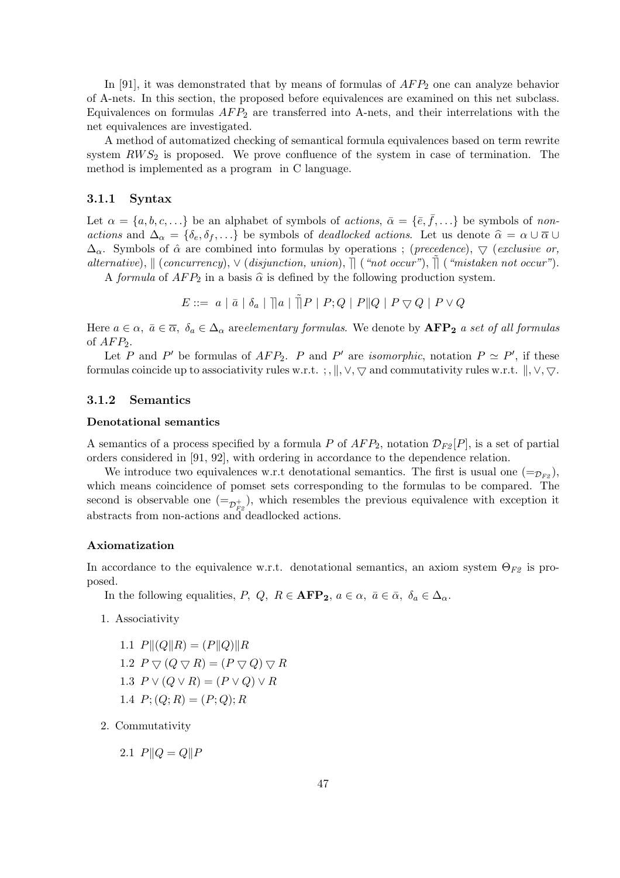In [91], it was demonstrated that by means of formulas of  $AFP<sub>2</sub>$  one can analyze behavior of A-nets. In this section, the proposed before equivalences are examined on this net subclass. Equivalences on formulas  $AFP_2$  are transferred into A-nets, and their interrelations with the net equivalences are investigated.

A method of automatized checking of semantical formula equivalences based on term rewrite system  $RWS<sub>2</sub>$  is proposed. We prove confluence of the system in case of termination. The method is implemented as a program in C language.

#### 3.1.1 Syntax

Let  $\alpha = \{a, b, c, ...\}$  be an alphabet of symbols of *actions*,  $\bar{\alpha} = \{\bar{e}, \bar{f}, ...\}$  be symbols of *non*actions and  $\Delta_{\alpha} = {\delta_e, \delta_f, \ldots}$  be symbols of *deadlocked actions*. Let us denote  $\hat{\alpha} = \alpha \cup \overline{\alpha} \cup \overline{\alpha}$  $\Delta_{\alpha}$ . Symbols of  $\hat{\alpha}$  are combined into formulas by operations; (*precedence*),  $\bigtriangledown$  (*exclusive or*, alternative),  $\parallel$  (concurrency),  $\vee$  (disjunction, union),  $\parallel$  ("not occur"),  $\parallel$  ("mistaken not occur").

A formula of  $AFP_2$  in a basis  $\hat{\alpha}$  is defined by the following production system.

 $E ::= a | \bar{a} | \delta_a | \overline{u} | a | \tilde{v} | P | P; Q | P | Q | P \nabla Q | P \vee Q$ 

Here  $a \in \alpha$ ,  $\bar{a} \in \bar{\alpha}$ ,  $\delta_a \in \Delta_\alpha$  are elementary formulas. We denote by  $\text{AFP}_2$  a set of all formulas of  $AFP<sub>2</sub>$ .

Let P and P' be formulas of  $AFP_2$ . P and P' are *isomorphic*, notation  $P \simeq P'$ , if these formulas coincide up to associativity rules w.r.t. ;,  $\parallel$ ,  $\lor$ ,  $\nabla$  and commutativity rules w.r.t.  $\parallel$ ,  $\lor$ ,  $\nabla$ .

#### 3.1.2 Semantics

#### Denotational semantics

A semantics of a process specified by a formula P of  $AFP_2$ , notation  $\mathcal{D}_{F2}[P]$ , is a set of partial orders considered in [91, 92], with ordering in accordance to the dependence relation.

We introduce two equivalences w.r.t denotational semantics. The first is usual one  $(=_{\mathcal{D}_{F\circ}})$ , which means coincidence of pomset sets corresponding to the formulas to be compared. The second is observable one  $(=_{\mathcal{D}_{F_2}^+})$ , which resembles the previous equivalence with exception it abstracts from non-actions and deadlocked actions.

#### Axiomatization

In accordance to the equivalence w.r.t. denotational semantics, an axiom system  $\Theta_{F2}$  is proposed.

In the following equalities, P, Q,  $R \in \mathbf{AFP_2}$ ,  $a \in \alpha$ ,  $\bar{a} \in \bar{\alpha}$ ,  $\delta_a \in \Delta_{\alpha}$ .

- 1. Associativity
	- 1.1  $P\| (Q\| R) = (P\| Q) \| R$ 1.2  $P \bigtriangledown (Q \bigtriangledown R) = (P \bigtriangledown Q) \bigtriangledown R$ 1.3  $P \vee (Q \vee R) = (P \vee Q) \vee R$ 1.4  $P$ ; (Q; R) = (P; Q); R
- 2. Commutativity
	- 2.1  $P\|Q = Q\|P$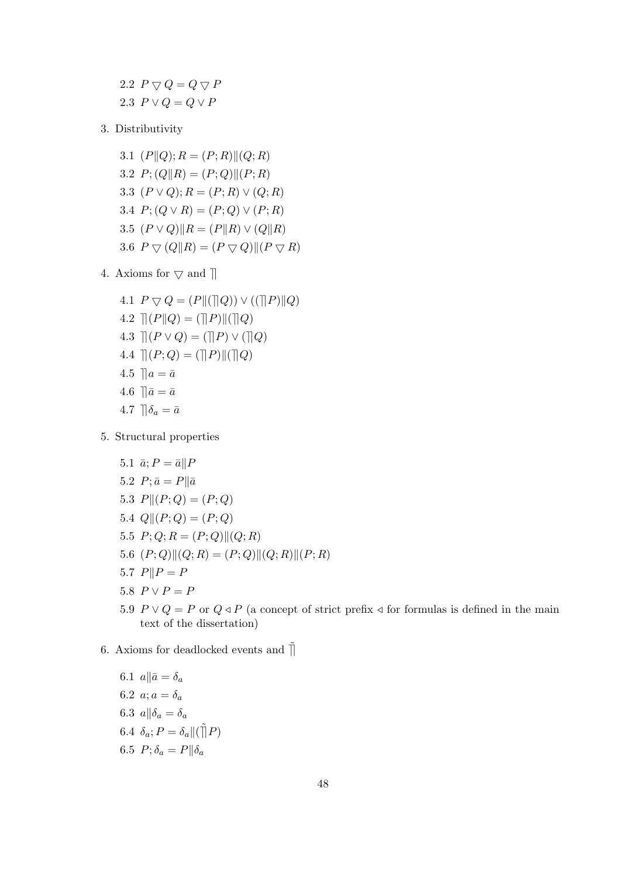2.2  $P \bigtriangledown Q = Q \bigtriangledown P$ 2.3  $P \vee Q = Q \vee P$ 

- 3. Distributivity
	- 3.1  $(P||Q); R = (P; R)||(Q; R)$ 3.2  $P$ ; (Q||R) = (P; Q)||(P; R) 3.3  $(P \vee Q); R = (P; R) \vee (Q; R)$ 3.4  $P$ ;  $(Q \vee R) = (P; Q) \vee (P; R)$ 3.5  $(P \vee Q)$ || $R = (P||R) \vee (Q||R)$ 3.6  $P \nabla (Q||R) = (P \nabla Q)|| (P \nabla R)$
- 4. Axioms for  $\triangledown$  and  $\parallel$ 
	- 4.1  $P \nabla Q = (P \| (\| Q)) \vee ((\| P) \| Q)$ 4.2  $|| (P||Q) = (||P)|| (||Q)$ 4.3  $\mathcal{R}(P \vee Q) = (\mathcal{R}(P) \vee (\mathcal{R}Q))$ 4.4  $|| (P; Q) = (||P|| || ||Q)$ 4.5  $a = \bar{a}$ 4.6  $\|\bar{a} = \bar{a}\|$ 4.7  $\Box \delta_a = \bar{a}$
- 5. Structural properties
	- 5.1  $\bar{a}$ ;  $P = \bar{a} || P$
	- 5.2  $P; \bar{a} = P || \bar{a}$
	- 5.3  $P||(P;Q) = (P;Q)$
	- 5.4  $Q \parallel (P; Q) = (P; Q)$
	- 5.5  $P; Q; R = (P; Q) || (Q; R)$
	- 5.6  $(P; Q)$  $||(Q; R) = (P; Q)$  $||(Q; R)$  $||(P; R)$
	- 5.7  $P||P = P$
	- 5.8  $P \vee P = P$
	- 5.9  $P \vee Q = P$  or  $Q \triangleleft P$  (a concept of strict prefix  $\triangleleft$  for formulas is defined in the main text of the dissertation)
- 6. Axioms for deadlocked events and  $\overline{[]}$ 
	- 6.1  $a \parallel \bar{a} = \delta_a$ 6.2  $a; a = \delta_a$ 6.3  $a\|\delta_a = \delta_a$ 6.4  $\delta_a$ ;  $P = \delta_a || (\tilde{\parallel} P)$ 6.5  $P; \delta_a = P || \delta_a$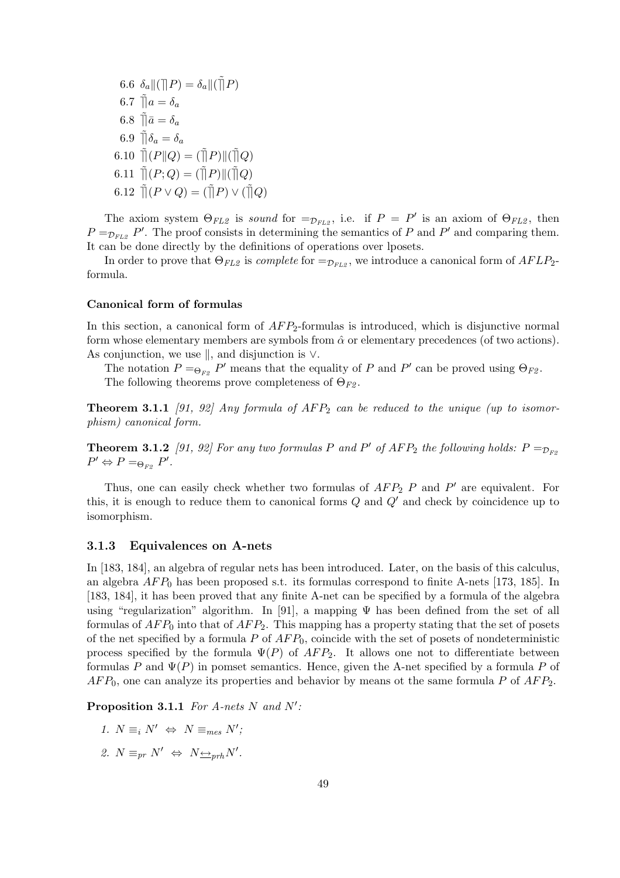6.6  $\delta_a \| (\Pi P) = \delta_a \| (\tilde{\Pi} P)$ 6.7  $\tilde{\Pi}a = \delta_a$ 6.8  $\tilde{\Pi} \bar{a} = \delta_a$ 6.9  $\tilde{\mathbb{I}}\delta_a = \delta_a$ 6.10  $\tilde{\mathcal{T}}(P||Q) = (\tilde{\mathcal{T}}(P)||(\tilde{\mathcal{T}}(Q)))$ 6.11  $\tilde{\mathcal{a}}(P;Q) = (\tilde{\mathcal{a}}(P)\mathcal{a})(\tilde{\mathcal{a}}(Q))$ 6.12  $\tilde{\Pi}(P \vee Q) = (\tilde{\Pi} P) \vee (\tilde{\Pi} Q)$ 

The axiom system  $\Theta_{FL2}$  is sound for  $=\mathcal{D}_{FL2}$ , i.e. if  $P = P'$  is an axiom of  $\Theta_{FL2}$ , then  $P =_{\mathcal{D}_{FL2}} P'$ . The proof consists in determining the semantics of P and P' and comparing them. It can be done directly by the definitions of operations over lposets.

In order to prove that  $\Theta_{FL2}$  is *complete* for  $=\mathcal{D}_{FL2}$ , we introduce a canonical form of  $AFLP_2$ formula.

#### Canonical form of formulas

In this section, a canonical form of  $AFP_2$ -formulas is introduced, which is disjunctive normal form whose elementary members are symbols from  $\hat{\alpha}$  or elementary precedences (of two actions). As conjunction, we use  $\parallel$ , and disjunction is  $\vee$ .

The notation  $P = \bigoplus_{F2} P'$  means that the equality of P and P' can be proved using  $\Theta_{F2}$ . The following theorems prove completeness of  $\Theta_{F2}$ .

**Theorem 3.1.1** [91, 92] Any formula of  $AFP_2$  can be reduced to the unique (up to isomorphism) canonical form.

**Theorem 3.1.2** [91, 92] For any two formulas P and P' of  $AFP_2$  the following holds:  $P =_{\mathcal{D}_{F2}}$  $P' \Leftrightarrow P =_{\Theta_{F2}} P'.$ 

Thus, one can easily check whether two formulas of  $AFP_2$  P and P' are equivalent. For this, it is enough to reduce them to canonical forms  $Q$  and  $Q'$  and check by coincidence up to isomorphism.

#### 3.1.3 Equivalences on A-nets

In [183, 184], an algebra of regular nets has been introduced. Later, on the basis of this calculus, an algebra  $AFP_0$  has been proposed s.t. its formulas correspond to finite A-nets [173, 185]. In [183, 184], it has been proved that any finite A-net can be specified by a formula of the algebra using "regularization" algorithm. In [91], a mapping  $\Psi$  has been defined from the set of all formulas of  $AFP_0$  into that of  $AFP_2$ . This mapping has a property stating that the set of posets of the net specified by a formula  $P$  of  $AFP_0$ , coincide with the set of posets of nondeterministic process specified by the formula  $\Psi(P)$  of  $AFP_2$ . It allows one not to differentiate between formulas P and  $\Psi(P)$  in pomset semantics. Hence, given the A-net specified by a formula P of  $AFP_0$ , one can analyze its properties and behavior by means ot the same formula P of  $AFP_2$ .

Proposition 3.1.1 For A-nets N and  $N'$ :

- 1.  $N \equiv_i N' \Leftrightarrow N \equiv_{mes} N';$
- 2.  $N \equiv_{pr} N' \Leftrightarrow N \rightarrow_{prh} N'.$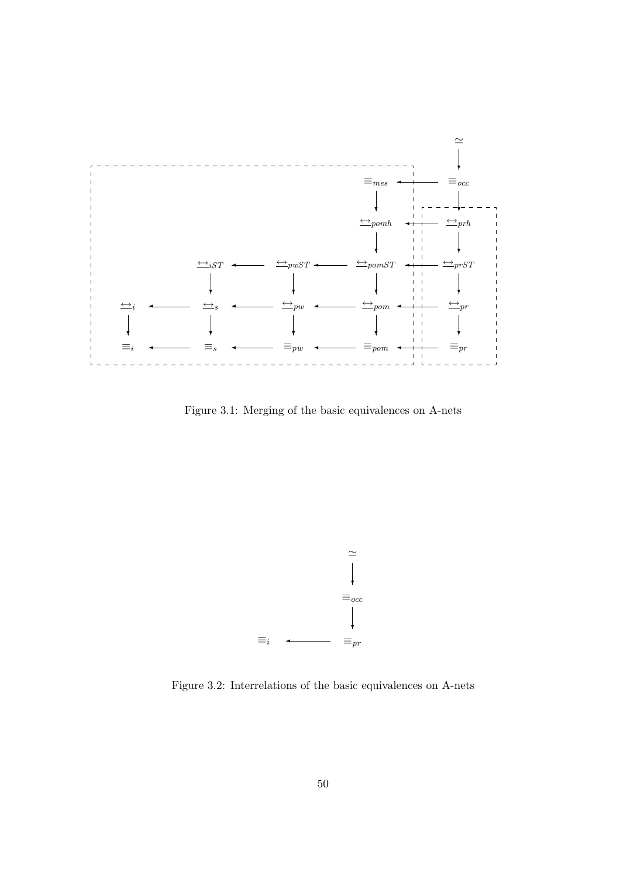

Figure 3.1: Merging of the basic equivalences on A-nets



Figure 3.2: Interrelations of the basic equivalences on A-nets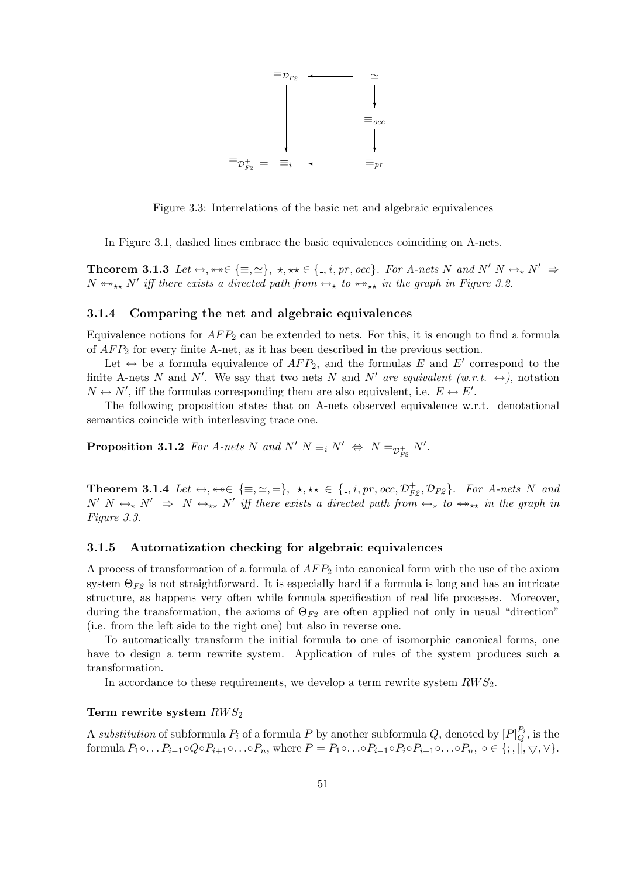

Figure 3.3: Interrelations of the basic net and algebraic equivalences

In Figure 3.1, dashed lines embrace the basic equivalences coinciding on A-nets.

**Theorem 3.1.3** Let  $\leftrightarrow$ ,  $\leftrightarrow \in \{\equiv, \simeq\}$ ,  $\star$ ,  $\star \star \in \{., i, pr, occ\}$ . For A-nets N and N' N  $\leftrightarrow_{\star} N' \Rightarrow$  $N \leftrightarrow_{\star\star} N'$  iff there exists a directed path from  $\leftrightarrow_{\star}$  to  $\leftrightarrow_{\star\star}$  in the graph in Figure 3.2.

#### 3.1.4 Comparing the net and algebraic equivalences

Equivalence notions for  $AFP_2$  can be extended to nets. For this, it is enough to find a formula of  $AFP<sub>2</sub>$  for every finite A-net, as it has been described in the previous section.

Let  $\leftrightarrow$  be a formula equivalence of  $AFP_2$ , and the formulas E and E' correspond to the finite A-nets N and N'. We say that two nets N and N' are equivalent (w.r.t.  $\leftrightarrow$ ), notation  $N \leftrightarrow N'$ , iff the formulas corresponding them are also equivalent, i.e.  $E \leftrightarrow E'$ .

The following proposition states that on A-nets observed equivalence w.r.t. denotational semantics coincide with interleaving trace one.

**Proposition 3.1.2** For A-nets N and N'  $N \equiv_i N' \Leftrightarrow N =_{\mathcal{D}_{F2}^+} N'$ .

**Theorem 3.1.4** Let  $\leftrightarrow$ ,  $\leftrightarrow \in \{\equiv, \simeq, =\}$ ,  $\star$ ,  $\star \star \in \{., i, pr, occ, \mathcal{D}_{F2}^+, \mathcal{D}_{F2} \}$ . For A-nets N and  $N'$   $N \leftrightarrow_{\star} N' \Rightarrow N \leftrightarrow_{\star \star} N'$  iff there exists a directed path from  $\leftrightarrow_{\star}$  to  $\leftrightarrow_{\star \star}$  in the graph in Figure 3.3.

#### 3.1.5 Automatization checking for algebraic equivalences

A process of transformation of a formula of  $AFP_2$  into canonical form with the use of the axiom system  $\Theta_{F2}$  is not straightforward. It is especially hard if a formula is long and has an intricate structure, as happens very often while formula specification of real life processes. Moreover, during the transformation, the axioms of  $\Theta_{F2}$  are often applied not only in usual "direction" (i.e. from the left side to the right one) but also in reverse one.

To automatically transform the initial formula to one of isomorphic canonical forms, one have to design a term rewrite system. Application of rules of the system produces such a transformation.

In accordance to these requirements, we develop a term rewrite system  $RWS_2$ .

#### Term rewrite system  $RWS_2$

A substitution of subformula  $P_i$  of a formula  $P$  by another subformula  $Q$ , denoted by  $[P]_Q^{P_i}$ , is the formula  $P_1 \circ \ldots P_{i-1} \circ Q \circ P_{i+1} \circ \ldots \circ P_n$ , where  $P = P_1 \circ \ldots \circ P_{i-1} \circ P_i \circ P_{i+1} \circ \ldots \circ P_n$ ,  $\circ \in \{; \dots, \pi, \pi \in \mathbb{N} \}$ .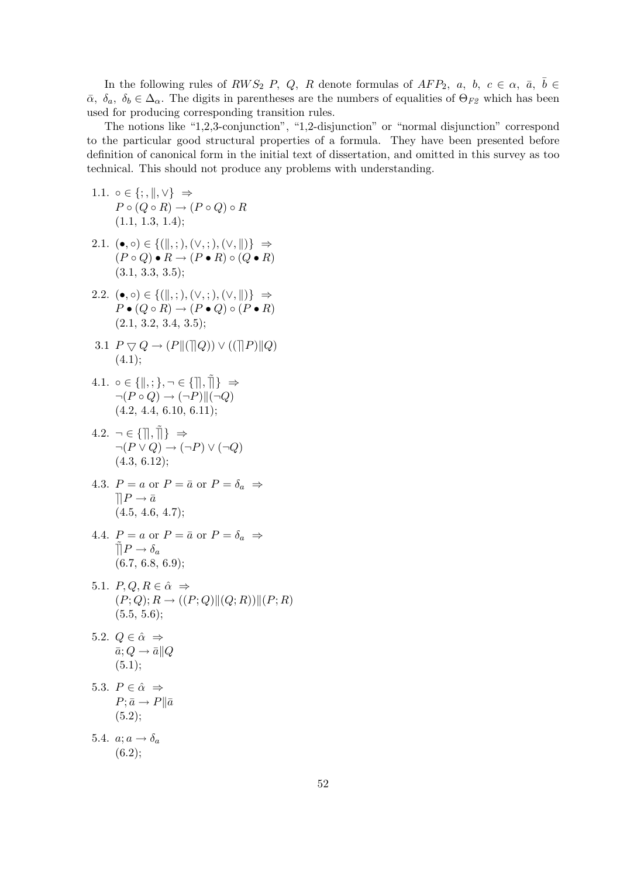In the following rules of  $RWS_2$  P, Q, R denote formulas of  $AFP_2$ , a, b,  $c \in \alpha$ ,  $\bar{a}$ ,  $\bar{b} \in$  $\bar{\alpha}$ ,  $\delta_a$ ,  $\delta_b \in \Delta_{\alpha}$ . The digits in parentheses are the numbers of equalities of  $\Theta_{F2}$  which has been used for producing corresponding transition rules.

The notions like "1,2,3-conjunction", "1,2-disjunction" or "normal disjunction" correspond to the particular good structural properties of a formula. They have been presented before definition of canonical form in the initial text of dissertation, and omitted in this survey as too technical. This should not produce any problems with understanding.

- 1.1.  $\circ \in \{; , \|, \vee\} \Rightarrow$  $P \circ (Q \circ R) \to (P \circ Q) \circ R$  $(1.1, 1.3, 1.4);$
- 2.1.  $(\bullet, \circ) \in \{(\|,\,;\,),(\vee,\,;\),(\vee,\|)\} \Rightarrow$  $(P \circ Q) \bullet R \to (P \bullet R) \circ (Q \bullet R)$  $(3.1, 3.3, 3.5);$
- 2.2.  $(\bullet, \circ) \in \{(\|, ;), (\vee, ;), (\vee, \|)\} \Rightarrow$  $P \bullet (Q \circ R) \to (P \bullet Q) \circ (P \bullet R)$  $(2.1, 3.2, 3.4, 3.5);$
- 3.1  $P \bigtriangledown Q \rightarrow (P \| (\bigtriangleup Q)) \vee ((\bigtriangleup P) \| Q)$  $(4.1);$

4.1. 
$$
\circ \in \{ \|, ; \}, \neg \in \{ \} \overline{\}
$$
  
\n $\neg (P \circ Q) \rightarrow (\neg P) \| (\neg Q)$   
\n $(4.2, 4.4, 6.10, 6.11);$ 

- $4.2. \neg \in \{\parallel, \tilde{\parallel}\} \Rightarrow$  $\neg (P \lor Q) \rightarrow (\neg P) \lor (\neg Q)$  $(4.3, 6.12);$
- 4.3.  $P = a$  or  $P = \bar{a}$  or  $P = \delta_a \Rightarrow$  $\prod P \to \bar{a}$  $(4.5, 4.6, 4.7);$
- 4.4.  $P = a$  or  $P = \bar{a}$  or  $P = \delta_a \Rightarrow$  $\tilde{\Pi}P \to \delta_a$  $(6.7, 6.8, 6.9);$
- 5.1.  $P, Q, R \in \hat{\alpha} \Rightarrow$  $(P; Q); R \rightarrow ((P; Q) || (Q; R) || (P; R)$  $(5.5, 5.6)$ ;

5.2. 
$$
Q \in \hat{\alpha} \Rightarrow
$$
  
 $\bar{a}; Q \rightarrow \bar{a} || Q$   
(5.1);

5.3. 
$$
P \in \hat{\alpha} \Rightarrow
$$
  
\n $P; \bar{a} \rightarrow P \parallel \bar{a}$   
\n(5.2);

5.4.  $a; a \rightarrow \delta_a$  $(6.2);$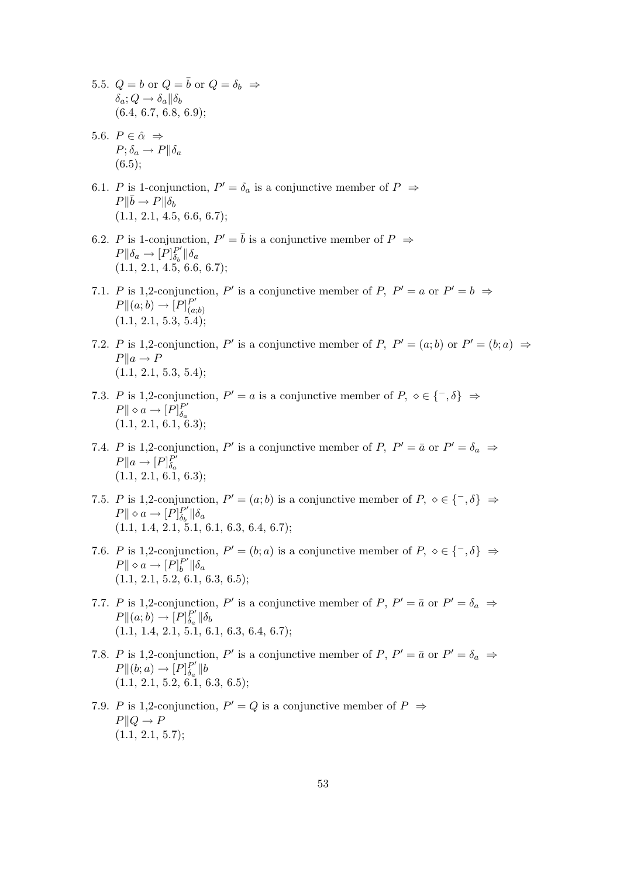- 5.5.  $Q = b$  or  $Q = \overline{b}$  or  $Q = \delta_b \Rightarrow$  $\delta_a$ ;  $Q \to \delta_a || \delta_b$  $(6.4, 6.7, 6.8, 6.9)$ ;
- 5.6.  $P \in \hat{\alpha} \Rightarrow$  $P; \delta_a \rightarrow P || \delta_a$  $(6.5);$
- 6.1. P is 1-conjunction,  $P' = \delta_a$  is a conjunctive member of  $P \Rightarrow$  $P\Vert \bar{b} \to P \Vert \delta_b$  $(1.1, 2.1, 4.5, 6.6, 6.7);$
- 6.2. P is 1-conjunction,  $P' = \overline{b}$  is a conjunctive member of  $P \Rightarrow$  $P\Vert \delta_a \to [P]_{\delta_b}^{P'}$  $_{\delta_b}^{P'}$ || $\delta_a$  $(1.1, 2.1, 4.5, 6.6, 6.7);$
- 7.1. P is 1,2-conjunction, P' is a conjunctive member of P,  $P' = a$  or  $P' = b \Rightarrow$  $P||(a;b)\rightarrow [P]_{(a)}^{P'}$  $(a;b)$  $(1.1, 2.1, 5.3, 5.4);$
- 7.2. P is 1,2-conjunction, P' is a conjunctive member of P,  $P' = (a, b)$  or  $P' = (b, a) \Rightarrow$  $P||a \rightarrow P$  $(1.1, 2.1, 5.3, 5.4);$
- 7.3. P is 1,2-conjunction,  $P' = a$  is a conjunctive member of  $P, \, \diamond \in \{^-, \delta\} \Rightarrow$  $P \parallel \diamond a \rightarrow [P]_{\delta}^{P'}$  $\delta_a$  $(1.1, 2.1, 6.1, 6.3);$
- 7.4. P is 1,2-conjunction, P' is a conjunctive member of P,  $P' = \bar{a}$  or  $P' = \delta_a \Rightarrow$  $P||a \rightarrow [P]_{\delta}^{P'}$  $I \parallel^{a} \rightarrow [I]_{\delta_a}$ <br>(1.1, 2.1, 6.1, 6.3);
- 7.5. P is 1,2-conjunction,  $P' = (a; b)$  is a conjunctive member of  $P, \, \diamond \in \{^-, \delta\} \Rightarrow$  $P \parallel \diamond a \rightarrow [P]_{\delta}^{P'}$  $_{\delta_b}^{P'}$ || $\delta_a$  $(1.1, 1.4, 2.1, 5.1, 6.1, 6.3, 6.4, 6.7);$
- 7.6. P is 1,2-conjunction,  $P' = (b; a)$  is a conjunctive member of  $P, \, \diamond \in \{^-, \delta\} \Rightarrow$  $P \parallel \diamond a \rightarrow [P]_b^{P'}$  $_{b}^{P^{\prime}}\Vert\delta_{a}% ^{P}\Vert_{\mathscr{C}\mu}=\delta_{a}^{P^{\prime}}\Vert\delta_{a}^{P^{\prime}}\Vert_{\mathscr{C}^{\prime}}\leq\delta_{a}^{P^{\prime}}\Vert\delta_{a}^{P^{\prime}}\Vert_{\mathscr{C}^{\prime}}$  $(1.1, 2.1, 5.2, 6.1, 6.3, 6.5);$
- 7.7. P is 1,2-conjunction, P' is a conjunctive member of P,  $P' = \bar{a}$  or  $P' = \delta_a \Rightarrow$  $P||(a;b)\rightarrow [P]_{\delta}^{P'}$  $_{\delta_a}^{P'}\|\delta_b$  $(1.1, 1.4, 2.1, 5.1, 6.1, 6.3, 6.4, 6.7);$
- 7.8. P is 1,2-conjunction, P' is a conjunctive member of P,  $P' = \bar{a}$  or  $P' = \delta_a \Rightarrow$  $P\|(b;a)\to [P]_{\delta}^{P'}$  $_{\delta_a}^{P'}\|b$  $(1.1, 2.1, 5.2, 6.\overline{1}, 6.3, 6.5);$
- 7.9. P is 1,2-conjunction,  $P' = Q$  is a conjunctive member of  $P \Rightarrow$  $P||Q \to P$  $(1.1, 2.1, 5.7);$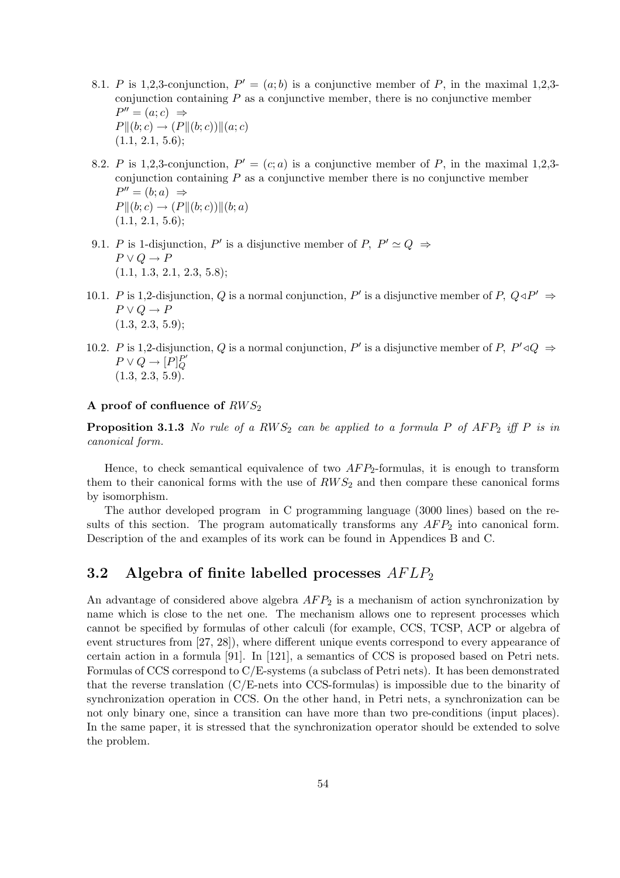- 8.1. P is 1,2,3-conjunction,  $P' = (a, b)$  is a conjunctive member of P, in the maximal 1,2,3conjunction containing  $P$  as a conjunctive member, there is no conjunctive member  $P'' = (a; c) \Rightarrow$  $P||(b;c) \to (P||(b;c))||(a;c)$  $(1.1, 2.1, 5.6);$
- 8.2. P is 1,2,3-conjunction,  $P' = (c; a)$  is a conjunctive member of P, in the maximal 1,2,3conjunction containing  $P$  as a conjunctive member there is no conjunctive member  $P'' = (b; a) \Rightarrow$  $P||(b;c) \to (P||(b;c))||(b;a)$  $(1.1, 2.1, 5.6);$
- 9.1. P is 1-disjunction, P' is a disjunctive member of P,  $P' \simeq Q \Rightarrow$  $P \vee Q \rightarrow P$ (1.1, 1.3, 2.1, 2.3, 5.8);
- 10.1. P is 1,2-disjunction, Q is a normal conjunction, P' is a disjunctive member of P,  $Q \triangleleft P' \Rightarrow$  $P \vee Q \to P$  $(1.3, 2.3, 5.9);$
- 10.2. P is 1,2-disjunction, Q is a normal conjunction, P' is a disjunctive member of P,  $P' \triangleleft Q \Rightarrow$  $P \vee Q \rightarrow [P]_Q^{P'}$  $\overline{Q}$  $(1.3, 2.3, 5.9)$ .

#### A proof of confluence of  $RWS_2$

**Proposition 3.1.3** No rule of a RWS<sub>2</sub> can be applied to a formula P of AFP<sub>2</sub> iff P is in canonical form.

Hence, to check semantical equivalence of two  $AFP_2$ -formulas, it is enough to transform them to their canonical forms with the use of  $RWS_2$  and then compare these canonical forms by isomorphism.

The author developed program in C programming language (3000 lines) based on the results of this section. The program automatically transforms any  $AFP<sub>2</sub>$  into canonical form. Description of the and examples of its work can be found in Appendices B and C.

## 3.2 Algebra of finite labelled processes  $AFLP<sub>2</sub>$

An advantage of considered above algebra  $AFP_2$  is a mechanism of action synchronization by name which is close to the net one. The mechanism allows one to represent processes which cannot be specified by formulas of other calculi (for example, CCS, TCSP, ACP or algebra of event structures from [27, 28]), where different unique events correspond to every appearance of certain action in a formula [91]. In [121], a semantics of CCS is proposed based on Petri nets. Formulas of CCS correspond to C/E-systems (a subclass of Petri nets). It has been demonstrated that the reverse translation  $(C/E$ -nets into CCS-formulas) is impossible due to the binarity of synchronization operation in CCS. On the other hand, in Petri nets, a synchronization can be not only binary one, since a transition can have more than two pre-conditions (input places). In the same paper, it is stressed that the synchronization operator should be extended to solve the problem.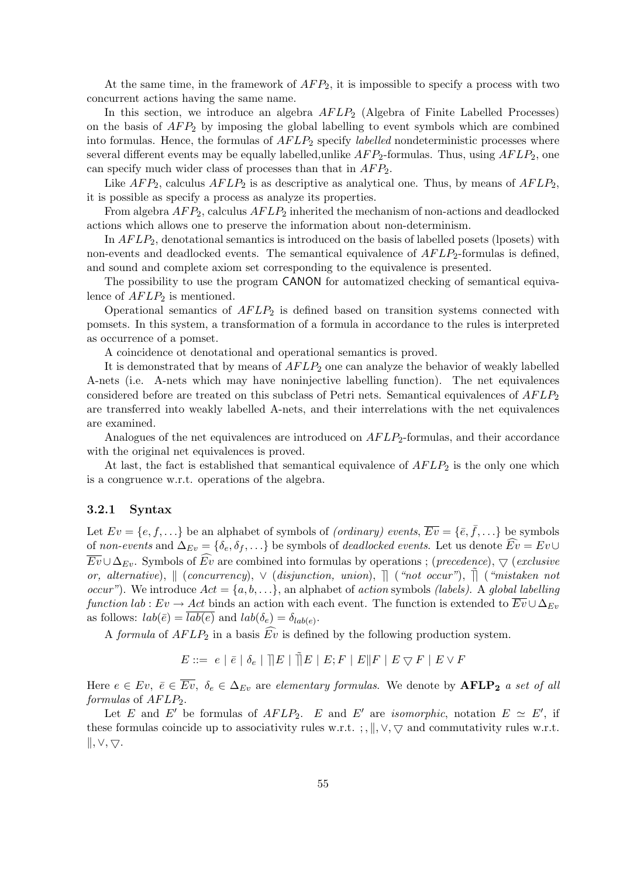At the same time, in the framework of  $AFP_2$ , it is impossible to specify a process with two concurrent actions having the same name.

In this section, we introduce an algebra  $AFLP_2$  (Algebra of Finite Labelled Processes) on the basis of  $AFP_2$  by imposing the global labelling to event symbols which are combined into formulas. Hence, the formulas of  $AFLP_2$  specify *labelled* nondeterministic processes where several different events may be equally labelled, unlike  $AFP_2$ -formulas. Thus, using  $AFLP_2$ , one can specify much wider class of processes than that in  $AFP_2$ .

Like  $AFP_2$ , calculus  $AFLP_2$  is as descriptive as analytical one. Thus, by means of  $AFLP_2$ , it is possible as specify a process as analyze its properties.

From algebra  $AFP_2$ , calculus  $AFLP_2$  inherited the mechanism of non-actions and deadlocked actions which allows one to preserve the information about non-determinism.

In  $AFLP_2$ , denotational semantics is introduced on the basis of labelled posets (lposets) with non-events and deadlocked events. The semantical equivalence of  $AFLP_2$ -formulas is defined, and sound and complete axiom set corresponding to the equivalence is presented.

The possibility to use the program CANON for automatized checking of semantical equivalence of  $AFLP_2$  is mentioned.

Operational semantics of  $AFLP_2$  is defined based on transition systems connected with pomsets. In this system, a transformation of a formula in accordance to the rules is interpreted as occurrence of a pomset.

A coincidence ot denotational and operational semantics is proved.

It is demonstrated that by means of  $AFLP<sub>2</sub>$  one can analyze the behavior of weakly labelled A-nets (i.e. A-nets which may have noninjective labelling function). The net equivalences considered before are treated on this subclass of Petri nets. Semantical equivalences of  $AFLP_2$ are transferred into weakly labelled A-nets, and their interrelations with the net equivalences are examined.

Analogues of the net equivalences are introduced on  $AFLP<sub>2</sub>$ -formulas, and their accordance with the original net equivalences is proved.

At last, the fact is established that semantical equivalence of  $AFLP<sub>2</sub>$  is the only one which is a congruence w.r.t. operations of the algebra.

#### 3.2.1 Syntax

Let  $Ev = \{e, f, ...\}$  be an alphabet of symbols of *(ordinary) events*,  $\overline{Ev} = \{\overline{e}, \overline{f}, ...\}$  be symbols of non-events and  $\Delta_{Ev} = \{\delta_e, \delta_f, \ldots\}$  be symbols of *deadlocked events*. Let us denote  $Ev = Ev \cup$  $\overline{Ev} \cup \Delta_{Ev}$ . Symbols of  $Ev$  are combined into formulas by operations; (*precedence*),  $\bigtriangledown$  (*exclusive* or, alternative),  $\parallel$  (concurrency),  $\vee$  (disjunction, union),  $\parallel$  ("not occur"),  $\parallel$  ("mistaken not *occur*"). We introduce  $Act = \{a, b, \ldots\}$ , an alphabet of *action* symbols *(labels)*. A *global labelling* function lab :  $Ev \to Act$  binds an action with each event. The function is extended to  $\overline{Ev} \cup \Delta_{Ev}$ as follows:  $lab(\bar{e}) = lab(e)$  and  $lab(\delta_e) = \delta_{lab(e)}$ .

A formula of  $AFLP_2$  in a basis  $\widehat{Ev}$  is defined by the following production system.

$$
E ::= \hspace{0.2cm} e \hspace{0.2cm} | \hspace{0.2cm} \bar{e} \hspace{0.2cm} | \hspace{0.2cm} \bar{b}_e \hspace{0.2cm} | \hspace{0.2cm} \overline{||} E \hspace{0.2cm} | \hspace{0.2cm} \tilde{E} \hspace{0.2cm} | \hspace{0.2cm} E; F \hspace{0.2cm} | \hspace{0.2cm} E \| F \hspace{0.2cm} | \hspace{0.2cm} E \bigtriangledown F \hspace{0.2cm} | \hspace{0.2cm} E \vee F
$$

Here  $e \in Ev, \ \bar{e} \in \overline{Ev}, \ \delta_e \in \Delta_{Ev}$  are elementary formulas. We denote by  $\text{AFLP}_2$  a set of all  $formulas$  of  $AFLP<sub>2</sub>$ .

Let E and E' be formulas of  $AFLP_2$ . E and E' are *isomorphic*, notation  $E \simeq E'$ , if these formulas coincide up to associativity rules w.r.t. ; ,  $\parallel$ ,  $\lor$ ,  $\lor$  and commutativity rules w.r.t.  $\|, \vee, \nabla.$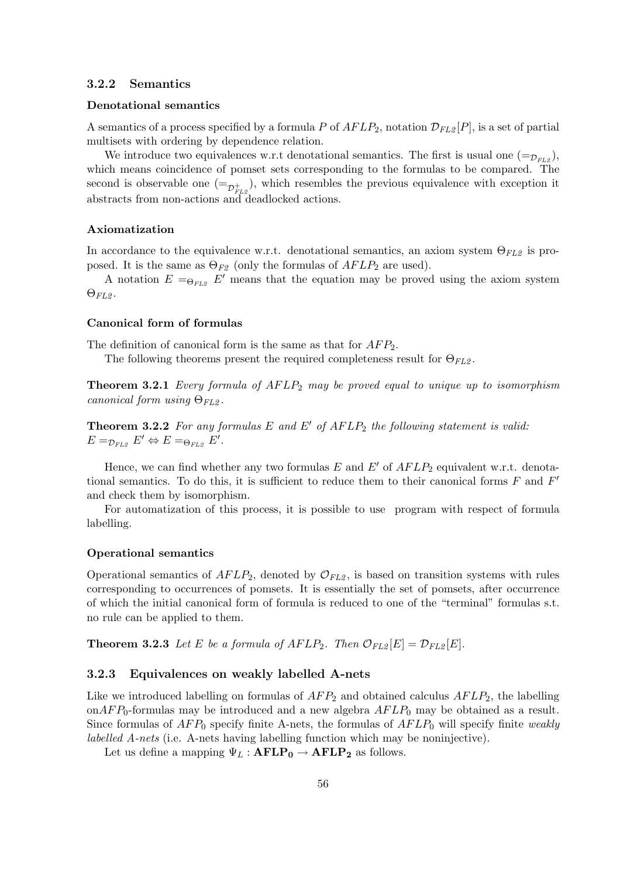#### 3.2.2 Semantics

#### Denotational semantics

A semantics of a process specified by a formula P of  $AFLP_2$ , notation  $\mathcal{D}_{FL2}[P]$ , is a set of partial multisets with ordering by dependence relation.

We introduce two equivalences w.r.t denotational semantics. The first is usual one  $(=_{\mathcal{D}_{EI2}})$ , which means coincidence of pomset sets corresponding to the formulas to be compared. The second is observable one  $(=_{\mathcal{D}_{FL2}^+})$ , which resembles the previous equivalence with exception it abstracts from non-actions and deadlocked actions.

#### Axiomatization

In accordance to the equivalence w.r.t. denotational semantics, an axiom system  $\Theta_{FL2}$  is proposed. It is the same as  $\Theta_{F2}$  (only the formulas of  $AFLP_2$  are used).

A notation  $E = \Theta_{FL2} E'$  means that the equation may be proved using the axiom system  $\Theta_{FL2}$ .

#### Canonical form of formulas

The definition of canonical form is the same as that for  $AFP_2$ .

The following theorems present the required completeness result for  $\Theta_{FL2}$ .

**Theorem 3.2.1** Every formula of  $AFLP_2$  may be proved equal to unique up to isomorphism canonical form using  $\Theta_{FL2}$ .

**Theorem 3.2.2** For any formulas E and E' of  $AFLP_2$  the following statement is valid:  $E =_{\mathcal{D}_{FL2}} E' \Leftrightarrow E =_{\Theta_{FL2}} E'.$ 

Hence, we can find whether any two formulas E and E' of  $AFLP_2$  equivalent w.r.t. denotational semantics. To do this, it is sufficient to reduce them to their canonical forms  $F$  and  $F'$ and check them by isomorphism.

For automatization of this process, it is possible to use program with respect of formula labelling.

#### Operational semantics

Operational semantics of  $AFLP_2$ , denoted by  $\mathcal{O}_{FL2}$ , is based on transition systems with rules corresponding to occurrences of pomsets. It is essentially the set of pomsets, after occurrence of which the initial canonical form of formula is reduced to one of the "terminal" formulas s.t. no rule can be applied to them.

**Theorem 3.2.3** Let E be a formula of  $AFLP_2$ . Then  $\mathcal{O}_{FL2}[E] = \mathcal{D}_{FL2}[E]$ .

#### 3.2.3 Equivalences on weakly labelled A-nets

Like we introduced labelling on formulas of  $AFP_2$  and obtained calculus  $AFLP_2$ , the labelling on $AFP_0$ -formulas may be introduced and a new algebra  $AFLP_0$  may be obtained as a result. Since formulas of  $AFP_0$  specify finite A-nets, the formulas of  $AFLP_0$  will specify finite weakly labelled A-nets (i.e. A-nets having labelling function which may be noninjective).

Let us define a mapping  $\Psi_L : \text{AFLP}_0 \to \text{AFLP}_2$  as follows.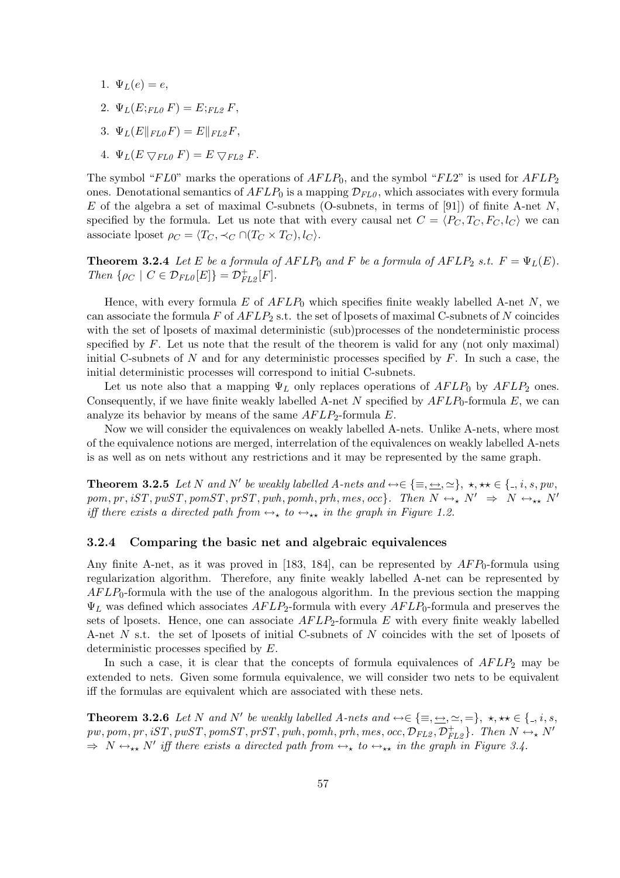- 1.  $\Psi_L(e) = e$ ,
- 2.  $\Psi_L(E;_{FL0} F) = E;_{FL2} F$
- 3.  $\Psi_L(E||_{FL0}F) = E||_{FL2}F,$
- 4.  $\Psi_L(E \nabla_{FL0} F) = E \nabla_{FL2} F$ .

The symbol " $FL0$ " marks the operations of  $AFLP_0$ , and the symbol " $FL2$ " is used for  $AFLP_2$ ones. Denotational semantics of  $AFLP_0$  is a mapping  $\mathcal{D}_{FL0}$ , which associates with every formula E of the algebra a set of maximal C-subnets (O-subnets, in terms of [91]) of finite A-net N, specified by the formula. Let us note that with every causal net  $C = \langle P_C, T_C, F_C, l_C \rangle$  we can associate lposet  $\rho_C = \langle T_C, \prec_C \cap (T_C \times T_C), l_C \rangle$ .

**Theorem 3.2.4** Let E be a formula of  $AFLP_0$  and F be a formula of  $AFLP_2$  s.t.  $F = \Psi_L(E)$ . Then  $\{\rho_C \mid C \in \mathcal{D}_{FL0}[E]\} = \mathcal{D}_{FL2}^+[F].$ 

Hence, with every formula E of  $AFLP_0$  which specifies finite weakly labelled A-net N, we can associate the formula  $F$  of  $AFLP_2$  s.t. the set of lposets of maximal C-subnets of N coincides with the set of lposets of maximal deterministic (sub)processes of the nondeterministic process specified by  $F$ . Let us note that the result of the theorem is valid for any (not only maximal) initial C-subnets of  $N$  and for any deterministic processes specified by  $F$ . In such a case, the initial deterministic processes will correspond to initial C-subnets.

Let us note also that a mapping  $\Psi_L$  only replaces operations of  $AFLP_0$  by  $AFLP_2$  ones. Consequently, if we have finite weakly labelled A-net N specified by  $AFLP_0$ -formula E, we can analyze its behavior by means of the same  $AFLP_2$ -formula E.

Now we will consider the equivalences on weakly labelled A-nets. Unlike A-nets, where most of the equivalence notions are merged, interrelation of the equivalences on weakly labelled A-nets is as well as on nets without any restrictions and it may be represented by the same graph.

**Theorem 3.2.5** Let N and N' be weakly labelled A-nets and  $\leftrightarrow \in \{\equiv, \leftrightarrow, \simeq\}, \star, \star\star \in \{., i, s, pw, \}$ pom, pr, iST, pwST, pomST, prST, pwh, pomh, prh, mes, occ}. Then  $N \leftrightarrow_{\star} N' \Rightarrow N \leftrightarrow_{\star \star} N'$ iff there exists a directed path from  $\leftrightarrow_{\star}$  to  $\leftrightarrow_{\star\star}$  in the graph in Figure 1.2.

#### 3.2.4 Comparing the basic net and algebraic equivalences

Any finite A-net, as it was proved in [183, 184], can be represented by  $AFP_0$ -formula using regularization algorithm. Therefore, any finite weakly labelled A-net can be represented by  $AFLP_0$ -formula with the use of the analogous algorithm. In the previous section the mapping  $\Psi_L$  was defined which associates  $AFLP_2$ -formula with every  $AFLP_0$ -formula and preserves the sets of lposets. Hence, one can associate  $AFLP_2$ -formula E with every finite weakly labelled A-net N s.t. the set of lposets of initial C-subnets of N coincides with the set of lposets of deterministic processes specified by E.

In such a case, it is clear that the concepts of formula equivalences of  $AFLP_2$  may be extended to nets. Given some formula equivalence, we will consider two nets to be equivalent iff the formulas are equivalent which are associated with these nets.

**Theorem 3.2.6** Let N and N' be weakly labelled A-nets and  $\leftrightarrow \in \{\equiv, \underline{\leftrightarrow}, \simeq, =\}, \star, \star\star \in \{., i, s,$  $pw, pom, pr, iST, pwST, pomST, prST, pwh, pomh, prh, mes, occ, \mathcal{D}_{FL2}, \mathcal{D}_{FL2}^+ \}$ . Then  $N \leftrightarrow_{\star} N'$  $\Rightarrow N \leftrightarrow_{\star\star} N'$  iff there exists a directed path from  $\leftrightarrow_{\star}$  to  $\leftrightarrow_{\star\star}$  in the graph in Figure 3.4.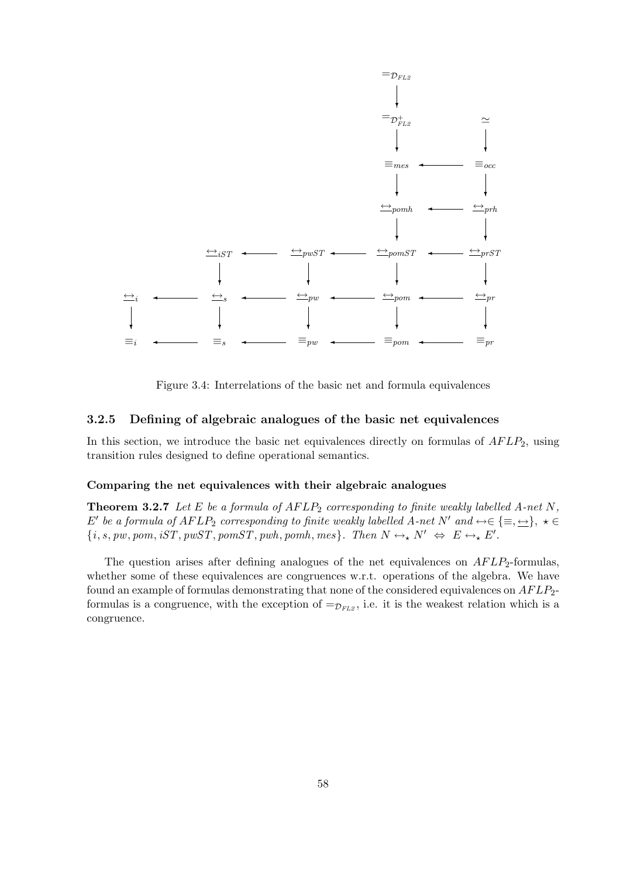

Figure 3.4: Interrelations of the basic net and formula equivalences

#### 3.2.5 Defining of algebraic analogues of the basic net equivalences

In this section, we introduce the basic net equivalences directly on formulas of  $AFLP<sub>2</sub>$ , using transition rules designed to define operational semantics.

#### Comparing the net equivalences with their algebraic analogues

**Theorem 3.2.7** Let E be a formula of  $AFLP_2$  corresponding to finite weakly labelled A-net N, E' be a formula of  $AFLP_2$  corresponding to finite weakly labelled A-net N' and  $\leftrightarrow \in \{\equiv, \leftrightarrow\}$ ,  $\star \in$  ${i, s, pw, pom, iST, pwST, pomST, pwh, pomh, mes}.$  Then  $N \leftrightarrow N' \Leftrightarrow E \leftrightarrow_{\star} E'.$ 

The question arises after defining analogues of the net equivalences on  $AFLP<sub>2</sub>$ -formulas, whether some of these equivalences are congruences w.r.t. operations of the algebra. We have found an example of formulas demonstrating that none of the considered equivalences on  $AFLP_2$ formulas is a congruence, with the exception of  $=\mathcal{D}_{FL2}$ , i.e. it is the weakest relation which is a congruence.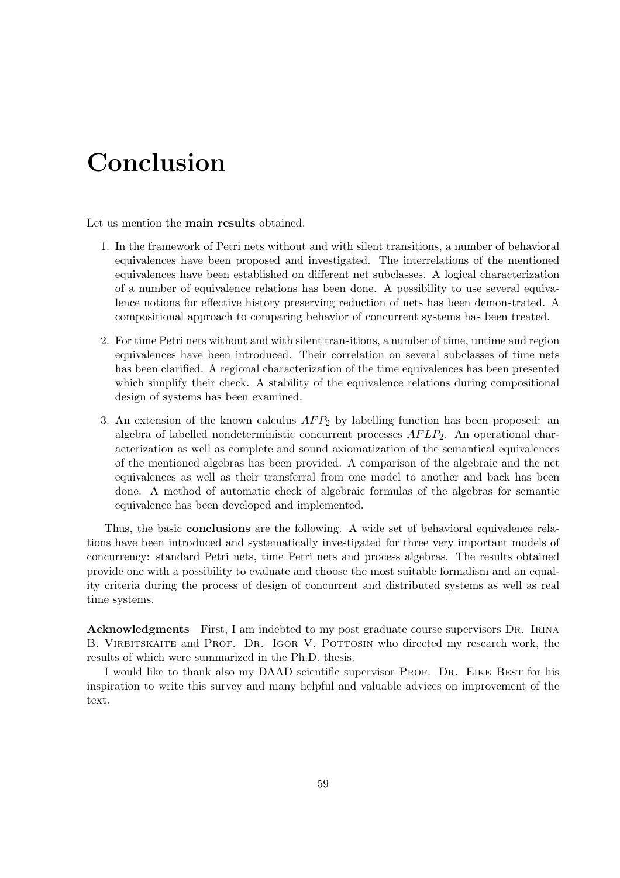# Conclusion

Let us mention the main results obtained.

- 1. In the framework of Petri nets without and with silent transitions, a number of behavioral equivalences have been proposed and investigated. The interrelations of the mentioned equivalences have been established on different net subclasses. A logical characterization of a number of equivalence relations has been done. A possibility to use several equivalence notions for effective history preserving reduction of nets has been demonstrated. A compositional approach to comparing behavior of concurrent systems has been treated.
- 2. For time Petri nets without and with silent transitions, a number of time, untime and region equivalences have been introduced. Their correlation on several subclasses of time nets has been clarified. A regional characterization of the time equivalences has been presented which simplify their check. A stability of the equivalence relations during compositional design of systems has been examined.
- 3. An extension of the known calculus  $AFP_2$  by labelling function has been proposed: an algebra of labelled nondeterministic concurrent processes  $AFLP<sub>2</sub>$ . An operational characterization as well as complete and sound axiomatization of the semantical equivalences of the mentioned algebras has been provided. A comparison of the algebraic and the net equivalences as well as their transferral from one model to another and back has been done. A method of automatic check of algebraic formulas of the algebras for semantic equivalence has been developed and implemented.

Thus, the basic conclusions are the following. A wide set of behavioral equivalence relations have been introduced and systematically investigated for three very important models of concurrency: standard Petri nets, time Petri nets and process algebras. The results obtained provide one with a possibility to evaluate and choose the most suitable formalism and an equality criteria during the process of design of concurrent and distributed systems as well as real time systems.

Acknowledgments First, I am indebted to my post graduate course supervisors DR. IRINA B. VIRBITSKAITE and PROF. DR. IGOR V. POTTOSIN who directed my research work, the results of which were summarized in the Ph.D. thesis.

I would like to thank also my DAAD scientific supervisor PROF. DR. EIKE BEST for his inspiration to write this survey and many helpful and valuable advices on improvement of the text.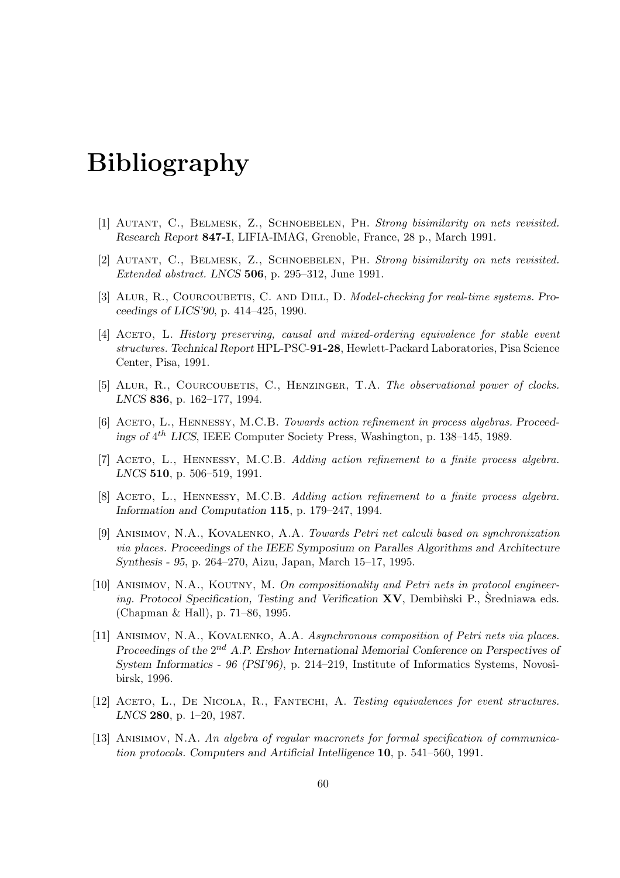# Bibliography

- [1] Autant, C., Belmesk, Z., Schnoebelen, Ph. Strong bisimilarity on nets revisited. Research Report 847-I, LIFIA-IMAG, Grenoble, France, 28 p., March 1991.
- [2] Autant, C., Belmesk, Z., Schnoebelen, Ph. Strong bisimilarity on nets revisited. Extended abstract. LNCS 506, p. 295–312, June 1991.
- [3] ALUR, R., COURCOUBETIS, C. AND DILL, D. Model-checking for real-time systems. Proceedings of LICS'90, p. 414–425, 1990.
- [4] Aceto, L. History preserving, causal and mixed-ordering equivalence for stable event structures. Technical Report HPL-PSC-91-28, Hewlett-Packard Laboratories, Pisa Science Center, Pisa, 1991.
- [5] Alur, R., Courcoubetis, C., Henzinger, T.A. The observational power of clocks. LNCS 836, p. 162–177, 1994.
- [6] ACETO, L., HENNESSY, M.C.B. Towards action refinement in process algebras. Proceedings of  $4^{th}$  LICS, IEEE Computer Society Press, Washington, p. 138-145, 1989.
- [7] ACETO, L., HENNESSY, M.C.B. Adding action refinement to a finite process algebra. LNCS 510, p. 506–519, 1991.
- [8] ACETO, L., HENNESSY, M.C.B. Adding action refinement to a finite process algebra. Information and Computation 115, p. 179–247, 1994.
- [9] Anisimov, N.A., Kovalenko, A.A. Towards Petri net calculi based on synchronization via places. Proceedings of the IEEE Symposium on Paralles Algorithms and Architecture Synthesis - 95, p. 264–270, Aizu, Japan, March 15–17, 1995.
- [10] ANISIMOV, N.A., KOUTNY, M. On compositionality and Petri nets in protocol engineering. Protocol Specification, Testing and Verification  $\bf{X}V$ , Dembinski P., Sredniawa eds. (Chapman & Hall), p. 71–86, 1995.
- [11] ANISIMOV, N.A., KOVALENKO, A.A. Asynchronous composition of Petri nets via places. Proceedings of the  $2^{nd}$  A.P. Ershov International Memorial Conference on Perspectives of System Informatics - 96 (PSI'96), p. 214–219, Institute of Informatics Systems, Novosibirsk, 1996.
- [12] ACETO, L., DE NICOLA, R., FANTECHI, A. Testing equivalences for event structures. LNCS 280, p. 1–20, 1987.
- [13] ANISIMOV, N.A. An algebra of regular macronets for formal specification of communication protocols. Computers and Artificial Intelligence 10, p. 541–560, 1991.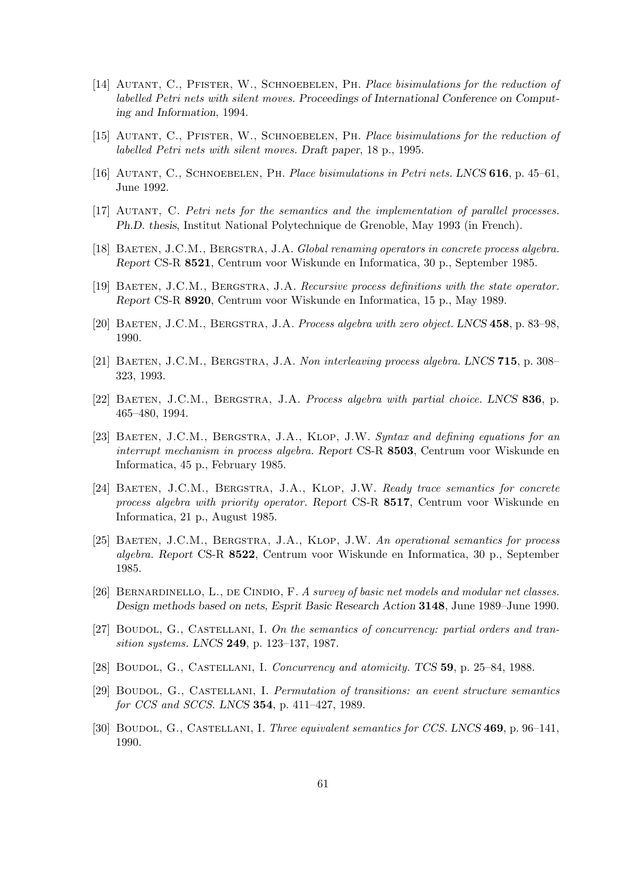- [14] AUTANT, C., PFISTER, W., SCHNOEBELEN, PH. Place bisimulations for the reduction of labelled Petri nets with silent moves. Proceedings of International Conference on Computing and Information, 1994.
- [15] Autant, C., Pfister, W., Schnoebelen, Ph. Place bisimulations for the reduction of labelled Petri nets with silent moves. Draft paper, 18 p., 1995.
- [16] AUTANT, C., SCHNOEBELEN, PH. Place bisimulations in Petri nets. LNCS 616, p. 45–61, June 1992.
- [17] Autant, C. Petri nets for the semantics and the implementation of parallel processes. Ph.D. thesis, Institut National Polytechnique de Grenoble, May 1993 (in French).
- [18] BAETEN, J.C.M., BERGSTRA, J.A. Global renaming operators in concrete process algebra. Report CS-R 8521, Centrum voor Wiskunde en Informatica, 30 p., September 1985.
- [19] BAETEN, J.C.M., BERGSTRA, J.A. Recursive process definitions with the state operator. Report CS-R 8920, Centrum voor Wiskunde en Informatica, 15 p., May 1989.
- [20] BAETEN, J.C.M., BERGSTRA, J.A. Process algebra with zero object. LNCS 458, p. 83–98, 1990.
- [21] BAETEN, J.C.M., BERGSTRA, J.A. Non interleaving process algebra. LNCS 715, p. 308– 323, 1993.
- [22] BAETEN, J.C.M., BERGSTRA, J.A. Process algebra with partial choice. LNCS 836, p. 465–480, 1994.
- [23] BAETEN, J.C.M., BERGSTRA, J.A., KLOP, J.W. Syntax and defining equations for an interrupt mechanism in process algebra. Report CS-R 8503, Centrum voor Wiskunde en Informatica, 45 p., February 1985.
- [24] BAETEN, J.C.M., BERGSTRA, J.A., KLOP, J.W. Ready trace semantics for concrete process algebra with priority operator. Report CS-R 8517, Centrum voor Wiskunde en Informatica, 21 p., August 1985.
- [25] BAETEN, J.C.M., BERGSTRA, J.A., KLOP, J.W. An operational semantics for process algebra. Report CS-R 8522, Centrum voor Wiskunde en Informatica, 30 p., September 1985.
- [26] BERNARDINELLO, L., DE CINDIO, F. A survey of basic net models and modular net classes. Design methods based on nets, Esprit Basic Research Action 3148, June 1989–June 1990.
- [27] BOUDOL, G., CASTELLANI, I. On the semantics of concurrency: partial orders and transition systems. LNCS 249, p. 123–137, 1987.
- [28] BOUDOL, G., CASTELLANI, I. Concurrency and atomicity. TCS 59, p. 25–84, 1988.
- [29] Boudol, G., Castellani, I. Permutation of transitions: an event structure semantics for CCS and SCCS. LNCS 354, p. 411–427, 1989.
- [30] BOUDOL, G., CASTELLANI, I. Three equivalent semantics for CCS. LNCS 469, p. 96–141, 1990.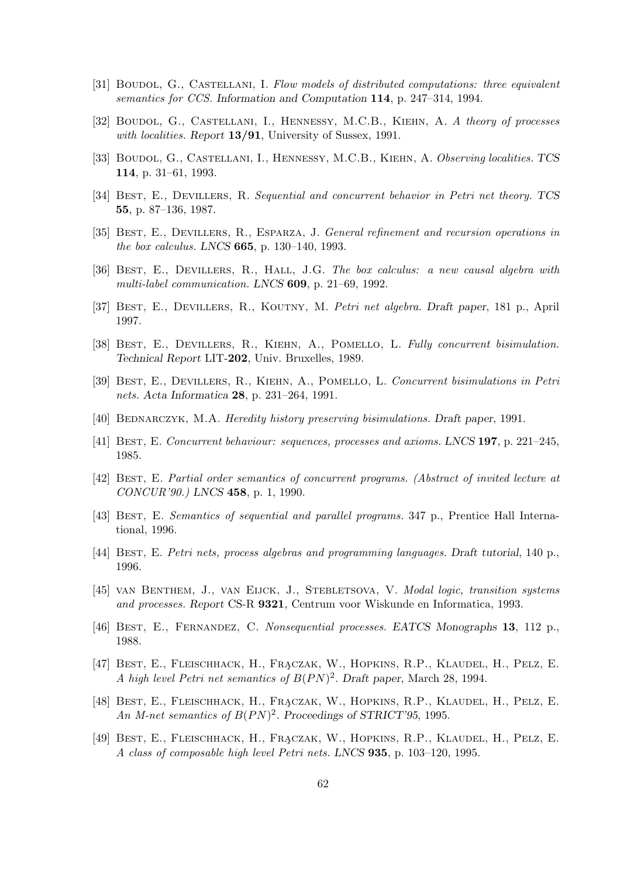- [31] BOUDOL, G., CASTELLANI, I. Flow models of distributed computations: three equivalent semantics for CCS. Information and Computation 114, p. 247–314, 1994.
- [32] BOUDOL, G., CASTELLANI, I., HENNESSY, M.C.B., KIEHN, A. A theory of processes with localities. Report 13/91, University of Sussex, 1991.
- [33] BOUDOL, G., CASTELLANI, I., HENNESSY, M.C.B., KIEHN, A. Observing localities. TCS 114, p. 31–61, 1993.
- [34] Best, E., Devillers, R. Sequential and concurrent behavior in Petri net theory. TCS 55, p. 87–136, 1987.
- [35] Best, E., Devillers, R., Esparza, J. General refinement and recursion operations in the box calculus. LNCS 665, p. 130–140, 1993.
- [36] Best, E., Devillers, R., Hall, J.G. The box calculus: a new causal algebra with multi-label communication. LNCS 609, p. 21–69, 1992.
- [37] Best, E., Devillers, R., Koutny, M. Petri net algebra. Draft paper, 181 p., April 1997.
- [38] BEST, E., DEVILLERS, R., KIEHN, A., POMELLO, L. Fully concurrent bisimulation. Technical Report LIT-202, Univ. Bruxelles, 1989.
- [39] Best, E., Devillers, R., Kiehn, A., Pomello, L. Concurrent bisimulations in Petri nets. Acta Informatica 28, p. 231–264, 1991.
- [40] BEDNARCZYK, M.A. Heredity history preserving bisimulations. Draft paper, 1991.
- [41] Best, E. Concurrent behaviour: sequences, processes and axioms. LNCS 197, p. 221–245, 1985.
- [42] Best, E. Partial order semantics of concurrent programs. (Abstract of invited lecture at CONCUR'90.) LNCS 458, p. 1, 1990.
- [43] Best, E. Semantics of sequential and parallel programs. 347 p., Prentice Hall International, 1996.
- [44] Best, E. Petri nets, process algebras and programming languages. Draft tutorial, 140 p., 1996.
- [45] van Benthem, J., van Eijck, J., Stebletsova, V. Modal logic, transition systems and processes. Report CS-R 9321, Centrum voor Wiskunde en Informatica, 1993.
- [46] Best, E., Fernandez, C. Nonsequential processes. EATCS Monographs 13, 112 p., 1988.
- [47] BEST, E., FLEISCHHACK, H., FRACZAK, W., HOPKINS, R.P., KLAUDEL, H., PELZ, E. A high level Petri net semantics of  $B(PN)^2$ . Draft paper, March 28, 1994.
- [48] BEST, E., FLEISCHHACK, H., FRACZAK, W., HOPKINS, R.P., KLAUDEL, H., PELZ, E. An M-net semantics of  $B(PN)^2$ . Proceedings of STRICT'95, 1995.
- [49] BEST, E., FLEISCHHACK, H., FRACZAK, W., HOPKINS, R.P., KLAUDEL, H., PELZ, E. A class of composable high level Petri nets. LNCS 935, p. 103–120, 1995.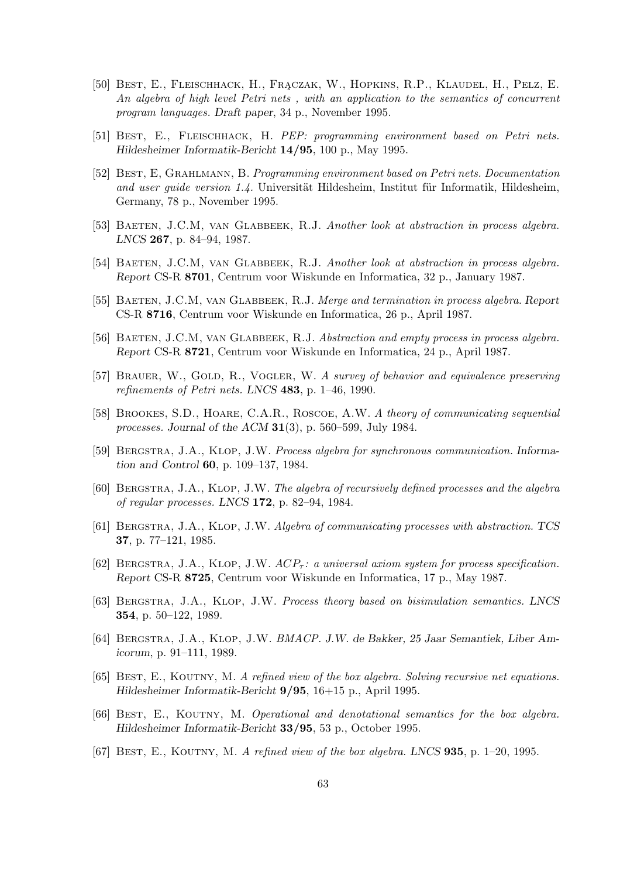- [50] BEST, E., FLEISCHHACK, H., FRACZAK, W., HOPKINS, R.P., KLAUDEL, H., PELZ, E. An algebra of high level Petri nets , with an application to the semantics of concurrent program languages. Draft paper, 34 p., November 1995.
- [51] Best, E., Fleischhack, H. PEP: programming environment based on Petri nets. Hildesheimer Informatik-Bericht 14/95, 100 p., May 1995.
- [52] Best, E, Grahlmann, B. Programming environment based on Petri nets. Documentation and user guide version 1.4. Universität Hildesheim, Institut für Informatik, Hildesheim, Germany, 78 p., November 1995.
- [53] BAETEN, J.C.M, VAN GLABBEEK, R.J. Another look at abstraction in process algebra. LNCS 267, p. 84–94, 1987.
- [54] BAETEN, J.C.M, VAN GLABBEEK, R.J. Another look at abstraction in process algebra. Report CS-R 8701, Centrum voor Wiskunde en Informatica, 32 p., January 1987.
- [55] BAETEN, J.C.M, VAN GLABBEEK, R.J. Merge and termination in process algebra. Report CS-R 8716, Centrum voor Wiskunde en Informatica, 26 p., April 1987.
- [56] BAETEN, J.C.M, VAN GLABBEEK, R.J. Abstraction and empty process in process algebra. Report CS-R 8721, Centrum voor Wiskunde en Informatica, 24 p., April 1987.
- [57] BRAUER, W., GOLD, R., VOGLER, W. A survey of behavior and equivalence preserving refinements of Petri nets. LNCS 483, p. 1–46, 1990.
- [58] Brookes, S.D., Hoare, C.A.R., Roscoe, A.W. A theory of communicating sequential processes. Journal of the ACM  $31(3)$ , p. 560–599, July 1984.
- [59] Bergstra, J.A., Klop, J.W. Process algebra for synchronous communication. Information and Control 60, p. 109–137, 1984.
- [60] Bergstra, J.A., Klop, J.W. The algebra of recursively defined processes and the algebra of regular processes. LNCS 172, p. 82–94, 1984.
- [61] Bergstra, J.A., Klop, J.W. Algebra of communicating processes with abstraction. TCS 37, p. 77–121, 1985.
- [62] BERGSTRA, J.A., KLOP, J.W.  $ACP_{\tau}$ : a universal axiom system for process specification. Report CS-R 8725, Centrum voor Wiskunde en Informatica, 17 p., May 1987.
- [63] Bergstra, J.A., Klop, J.W. Process theory based on bisimulation semantics. LNCS 354, p. 50–122, 1989.
- [64] Bergstra, J.A., Klop, J.W. BMACP. J.W. de Bakker, 25 Jaar Semantiek, Liber Amicorum, p. 91–111, 1989.
- [65] BEST, E., KOUTNY, M. A refined view of the box algebra. Solving recursive net equations. Hildesheimer Informatik-Bericht 9/95, 16+15 p., April 1995.
- [66] Best, E., Koutny, M. Operational and denotational semantics for the box algebra. Hildesheimer Informatik-Bericht 33/95, 53 p., October 1995.
- [67] BEST, E., KOUTNY, M. A refined view of the box algebra. LNCS  $935$ , p. 1–20, 1995.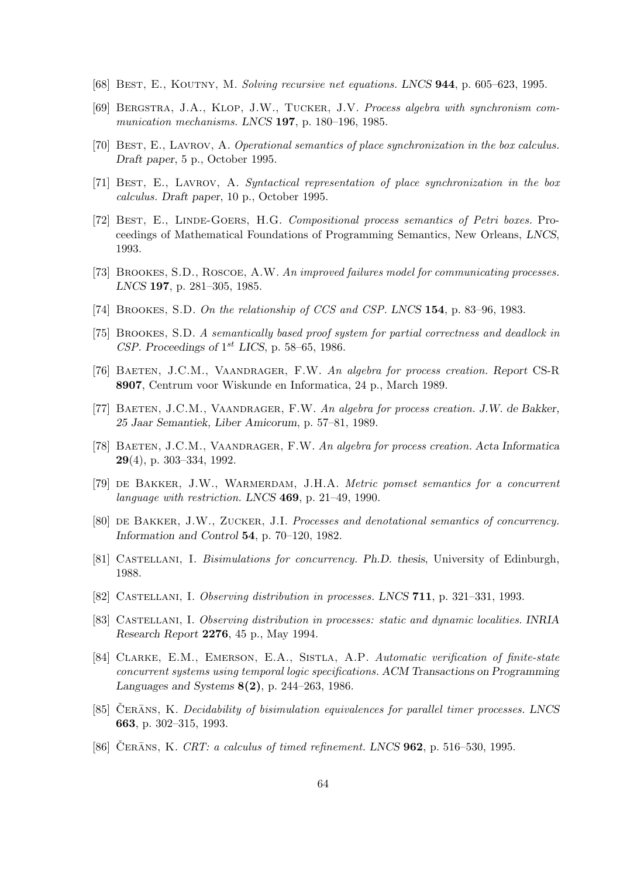- [68] BEST, E., KOUTNY, M. Solving recursive net equations. LNCS 944, p. 605–623, 1995.
- [69] Bergstra, J.A., Klop, J.W., Tucker, J.V. Process algebra with synchronism communication mechanisms. LNCS 197, p. 180–196, 1985.
- [70] BEST, E., LAVROV, A. Operational semantics of place synchronization in the box calculus. Draft paper, 5 p., October 1995.
- [71] Best, E., Lavrov, A. Syntactical representation of place synchronization in the box calculus. Draft paper, 10 p., October 1995.
- [72] BEST, E., LINDE-GOERS, H.G. Compositional process semantics of Petri boxes. Proceedings of Mathematical Foundations of Programming Semantics, New Orleans, LNCS, 1993.
- [73] BROOKES, S.D., ROSCOE, A.W. An improved failures model for communicating processes. LNCS 197, p. 281–305, 1985.
- [74] Brookes, S.D. On the relationship of CCS and CSP. LNCS 154, p. 83–96, 1983.
- [75] Brookes, S.D. A semantically based proof system for partial correctness and deadlock in CSP. Proceedings of  $1^{st}$  LICS, p. 58–65, 1986.
- [76] Baeten, J.C.M., Vaandrager, F.W. An algebra for process creation. Report CS-R 8907, Centrum voor Wiskunde en Informatica, 24 p., March 1989.
- [77] BAETEN, J.C.M., VAANDRAGER, F.W. An algebra for process creation. J.W. de Bakker, 25 Jaar Semantiek, Liber Amicorum, p. 57–81, 1989.
- [78] Baeten, J.C.M., Vaandrager, F.W. An algebra for process creation. Acta Informatica 29(4), p. 303–334, 1992.
- [79] de Bakker, J.W., Warmerdam, J.H.A. Metric pomset semantics for a concurrent language with restriction. LNCS 469, p. 21–49, 1990.
- [80] de Bakker, J.W., Zucker, J.I. Processes and denotational semantics of concurrency. Information and Control 54, p. 70–120, 1982.
- [81] CASTELLANI, I. Bisimulations for concurrency. Ph.D. thesis, University of Edinburgh, 1988.
- [82] Castellani, I. Observing distribution in processes. LNCS 711, p. 321–331, 1993.
- [83] CASTELLANI, I. Observing distribution in processes: static and dynamic localities. INRIA Research Report 2276, 45 p., May 1994.
- [84] CLARKE, E.M., EMERSON, E.A., SISTLA, A.P. Automatic verification of finite-state concurrent systems using temporal logic specifications. ACM Transactions on Programming Languages and Systems 8(2), p. 244–263, 1986.
- [85] CERANS, K. Decidability of bisimulation equivalences for parallel timer processes. LNCS 663, p. 302–315, 1993.
- [86] ČERĀNS, K. CRT: a calculus of timed refinement. LNCS  $962$ , p. 516–530, 1995.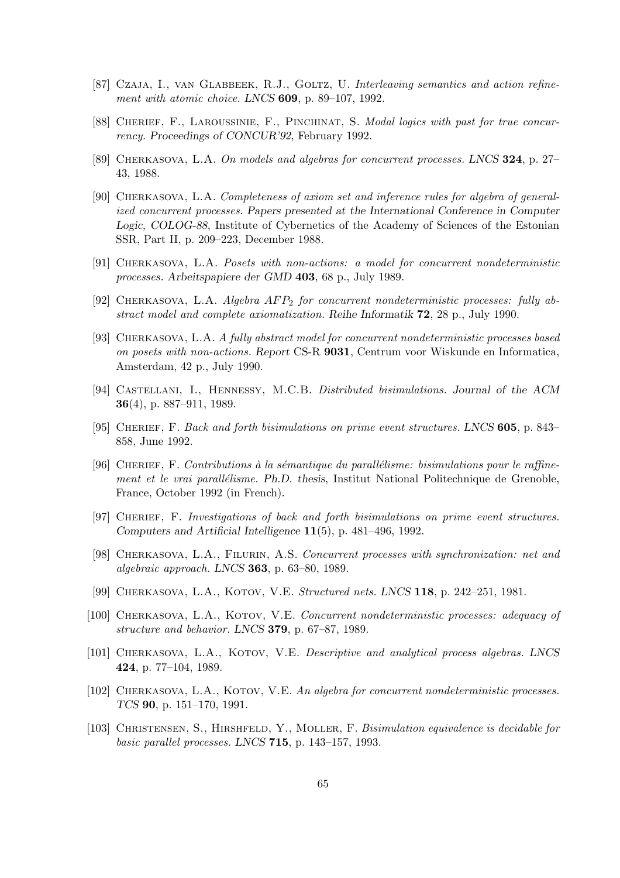- [87] Czaja, I., van Glabbeek, R.J., Goltz, U. Interleaving semantics and action refinement with atomic choice. LNCS 609, p. 89–107, 1992.
- [88] CHERIEF, F., LAROUSSINIE, F., PINCHINAT, S. Modal logics with past for true concurrency. Proceedings of CONCUR'92, February 1992.
- [89] Cherkasova, L.A. On models and algebras for concurrent processes. LNCS 324, p. 27– 43, 1988.
- [90] Cherkasova, L.A. Completeness of axiom set and inference rules for algebra of generalized concurrent processes. Papers presented at the International Conference in Computer Logic, COLOG-88, Institute of Cybernetics of the Academy of Sciences of the Estonian SSR, Part II, p. 209–223, December 1988.
- [91] Cherkasova, L.A. Posets with non-actions: a model for concurrent nondeterministic processes. Arbeitspapiere der GMD 403, 68 p., July 1989.
- [92] CHERKASOVA, L.A. Algebra  $AFP_2$  for concurrent nondeterministic processes: fully abstract model and complete axiomatization. Reihe Informatik 72, 28 p., July 1990.
- [93] Cherkasova, L.A. A fully abstract model for concurrent nondeterministic processes based on posets with non-actions. Report CS-R 9031, Centrum voor Wiskunde en Informatica, Amsterdam, 42 p., July 1990.
- [94] Castellani, I., Hennessy, M.C.B. Distributed bisimulations. Journal of the ACM 36(4), p. 887–911, 1989.
- [95] CHERIEF, F. Back and forth bisimulations on prime event structures. LNCS 605, p. 843– 858, June 1992.
- [96] CHERIEF, F. Contributions à la sémantique du parallélisme: bisimulations pour le raffinement et le vrai parallélisme. Ph.D. thesis, Institut National Politechnique de Grenoble, France, October 1992 (in French).
- [97] Cherief, F. Investigations of back and forth bisimulations on prime event structures. Computers and Artificial Intelligence 11(5), p. 481–496, 1992.
- [98] CHERKASOVA, L.A., FILURIN, A.S. Concurrent processes with synchronization: net and algebraic approach. LNCS 363, p. 63–80, 1989.
- [99] CHERKASOVA, L.A., KOTOV, V.E. Structured nets. LNCS 118, p. 242–251, 1981.
- [100] CHERKASOVA, L.A., KOTOV, V.E. Concurrent nondeterministic processes: adequacy of structure and behavior. LNCS 379, p. 67–87, 1989.
- [101] CHERKASOVA, L.A., KOTOV, V.E. Descriptive and analytical process algebras. LNCS 424, p. 77–104, 1989.
- [102] CHERKASOVA, L.A., KOTOV, V.E. An algebra for concurrent nondeterministic processes. TCS 90, p. 151–170, 1991.
- [103] Christensen, S., Hirshfeld, Y., Moller, F. Bisimulation equivalence is decidable for basic parallel processes. LNCS 715, p. 143–157, 1993.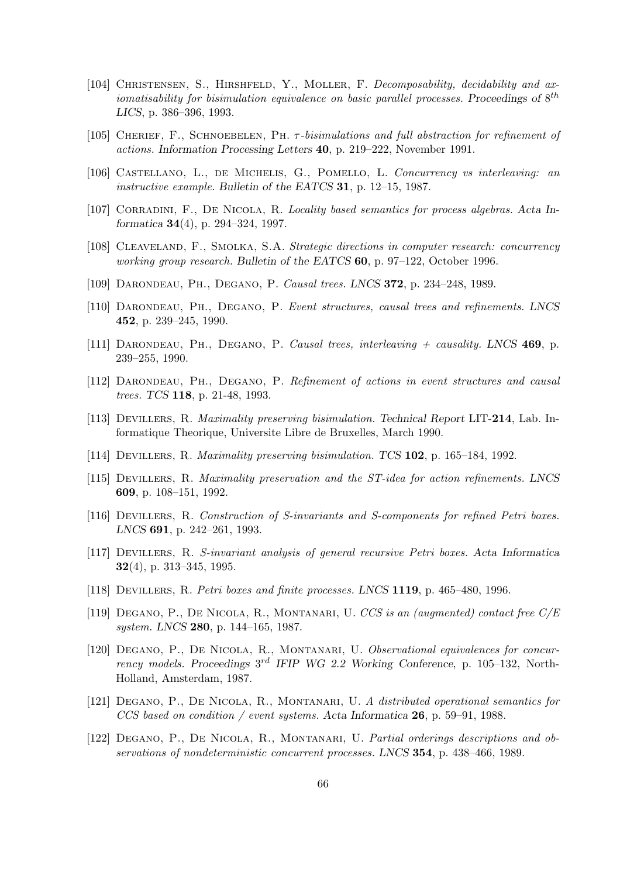- [104] CHRISTENSEN, S., HIRSHFELD, Y., MOLLER, F. Decomposability, decidability and axiomatisability for bisimulation equivalence on basic parallel processes. Proceedings of  $8^{th}$ LICS, p. 386–396, 1993.
- [105] CHERIEF, F., SCHNOEBELEN, PH.  $\tau$ -bisimulations and full abstraction for refinement of actions. Information Processing Letters 40, p. 219–222, November 1991.
- [106] Castellano, L., de Michelis, G., Pomello, L. Concurrency vs interleaving: an instructive example. Bulletin of the EATCS 31, p. 12–15, 1987.
- [107] CORRADINI, F., DE NICOLA, R. Locality based semantics for process algebras. Acta Informatica 34(4), p. 294–324, 1997.
- [108] Cleaveland, F., Smolka, S.A. Strategic directions in computer research: concurrency working group research. Bulletin of the EATCS 60, p. 97–122, October 1996.
- [109] Darondeau, Ph., Degano, P. Causal trees. LNCS 372, p. 234–248, 1989.
- [110] Darondeau, Ph., Degano, P. Event structures, causal trees and refinements. LNCS 452, p. 239–245, 1990.
- [111] DARONDEAU, PH., DEGANO, P. Causal trees, interleaving  $+$  causality. LNCS 469, p. 239–255, 1990.
- [112] DARONDEAU, PH., DEGANO, P. Refinement of actions in event structures and causal trees. TCS 118, p. 21-48, 1993.
- [113] DEVILLERS, R. Maximality preserving bisimulation. Technical Report LIT-214, Lab. Informatique Theorique, Universite Libre de Bruxelles, March 1990.
- [114] Devillers, R. Maximality preserving bisimulation. TCS 102, p. 165–184, 1992.
- [115] Devillers, R. Maximality preservation and the ST-idea for action refinements. LNCS 609, p. 108–151, 1992.
- [116] Devillers, R. Construction of S-invariants and S-components for refined Petri boxes. LNCS 691, p. 242–261, 1993.
- [117] Devillers, R. S-invariant analysis of general recursive Petri boxes. Acta Informatica 32 $(4)$ , p. 313–345, 1995.
- [118] Devillers, R. Petri boxes and finite processes. LNCS 1119, p. 465–480, 1996.
- [119] DEGANO, P., DE NICOLA, R., MONTANARI, U. CCS is an (augmented) contact free  $C/E$ system. LNCS 280, p. 144–165, 1987.
- [120] DEGANO, P., DE NICOLA, R., MONTANARI, U. Observational equivalences for concurrency models. Proceedings  $3^{rd}$  IFIP WG 2.2 Working Conference, p. 105–132, North-Holland, Amsterdam, 1987.
- [121] Degano, P., De Nicola, R., Montanari, U. A distributed operational semantics for CCS based on condition / event systems. Acta Informatica 26, p. 59–91, 1988.
- [122] DEGANO, P., DE NICOLA, R., MONTANARI, U. Partial orderings descriptions and observations of nondeterministic concurrent processes. LNCS 354, p. 438–466, 1989.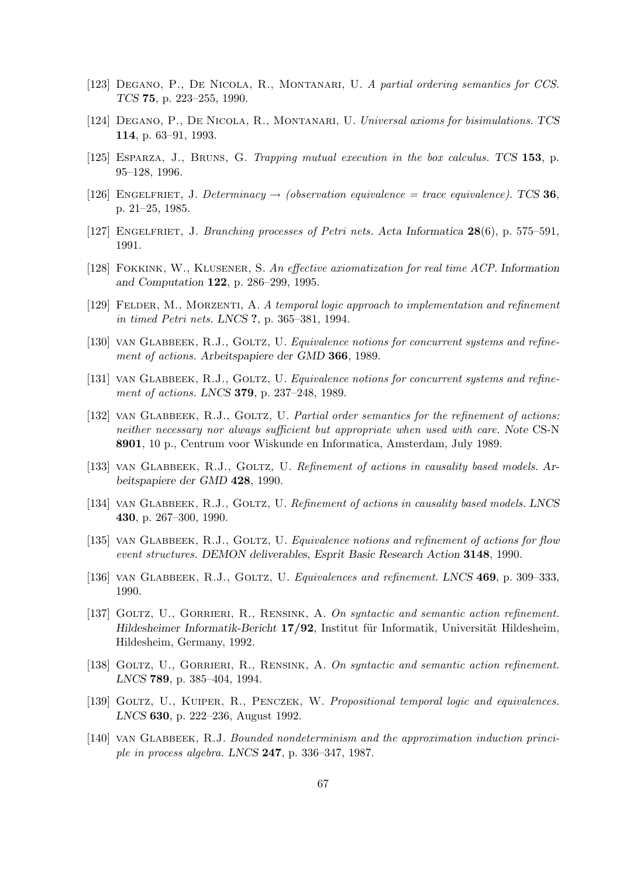- [123] Degano, P., De Nicola, R., Montanari, U. A partial ordering semantics for CCS. TCS 75, p. 223–255, 1990.
- [124] Degano, P., De Nicola, R., Montanari, U. Universal axioms for bisimulations. TCS 114, p. 63–91, 1993.
- [125] Esparza, J., Bruns, G. Trapping mutual execution in the box calculus. TCS 153, p. 95–128, 1996.
- [126] ENGELFRIET, J. Determinacy  $\rightarrow$  (observation equivalence = trace equivalence). TCS 36, p. 21–25, 1985.
- [127] Engelfriet, J. Branching processes of Petri nets. Acta Informatica 28(6), p. 575–591, 1991.
- [128] Fokkink, W., Klusener, S. An effective axiomatization for real time ACP. Information and Computation 122, p. 286–299, 1995.
- [129] FELDER, M., MORZENTI, A. A temporal logic approach to implementation and refinement in timed Petri nets. LNCS ?, p. 365–381, 1994.
- [130] VAN GLABBEEK, R.J., GOLTZ, U. Equivalence notions for concurrent systems and refinement of actions. Arbeitspapiere der GMD 366, 1989.
- [131] VAN GLABBEEK, R.J., GOLTZ, U. Equivalence notions for concurrent systems and refinement of actions. LNCS **379**, p. 237-248, 1989.
- [132] VAN GLABBEEK, R.J., GOLTZ, U. Partial order semantics for the refinement of actions: neither necessary nor always sufficient but appropriate when used with care. Note CS-N 8901, 10 p., Centrum voor Wiskunde en Informatica, Amsterdam, July 1989.
- [133] VAN GLABBEEK, R.J., GOLTZ, U. Refinement of actions in causality based models. Arbeitspapiere der GMD 428, 1990.
- [134] VAN GLABBEEK, R.J., GOLTZ, U. Refinement of actions in causality based models. LNCS 430, p. 267–300, 1990.
- [135] VAN GLABBEEK, R.J., GOLTZ, U. Equivalence notions and refinement of actions for flow event structures. DEMON deliverables, Esprit Basic Research Action 3148, 1990.
- [136] VAN GLABBEEK, R.J., GOLTZ, U. Equivalences and refinement. LNCS 469, p. 309–333, 1990.
- [137] GOLTZ, U., GORRIERI, R., RENSINK, A. On syntactic and semantic action refinement. Hildesheimer Informatik-Bericht  $17/92$ , Institut für Informatik, Universität Hildesheim, Hildesheim, Germany, 1992.
- [138] GOLTZ, U., GORRIERI, R., RENSINK, A. On syntactic and semantic action refinement. LNCS 789, p. 385–404, 1994.
- [139] GOLTZ, U., KUIPER, R., PENCZEK, W. Propositional temporal logic and equivalences. LNCS 630, p. 222–236, August 1992.
- [140] VAN GLABBEEK, R.J. Bounded nondeterminism and the approximation induction principle in process algebra. LNCS 247, p. 336–347, 1987.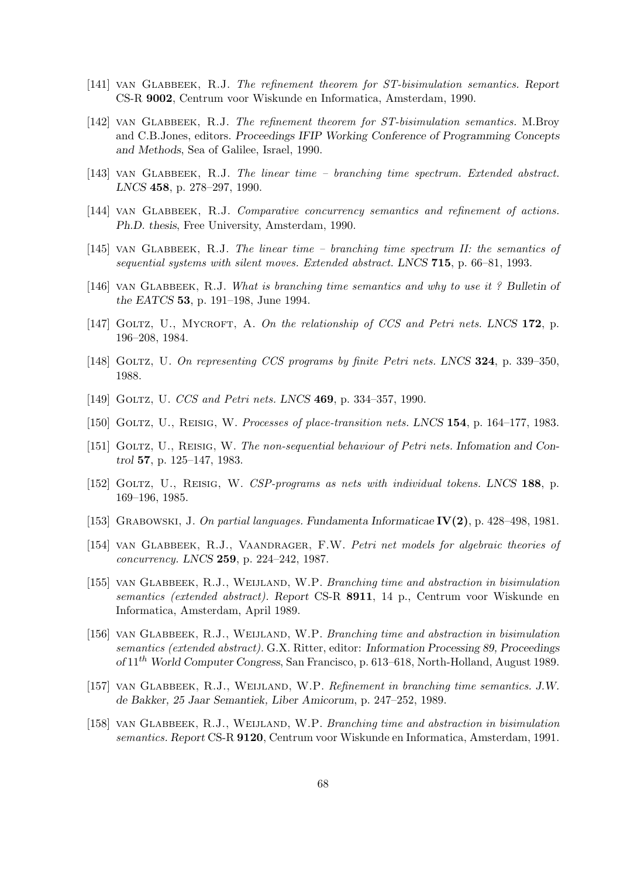- [141] VAN GLABBEEK, R.J. The refinement theorem for ST-bisimulation semantics. Report CS-R 9002, Centrum voor Wiskunde en Informatica, Amsterdam, 1990.
- [142] VAN GLABBEEK, R.J. The refinement theorem for ST-bisimulation semantics. M.Broy and C.B.Jones, editors. Proceedings IFIP Working Conference of Programming Concepts and Methods, Sea of Galilee, Israel, 1990.
- [143] VAN GLABBEEK, R.J. The linear time branching time spectrum. Extended abstract. LNCS 458, p. 278–297, 1990.
- [144] VAN GLABBEEK, R.J. Comparative concurrency semantics and refinement of actions. Ph.D. thesis, Free University, Amsterdam, 1990.
- [145] VAN GLABBEEK, R.J. The linear time branching time spectrum II: the semantics of sequential systems with silent moves. Extended abstract. LNCS 715, p. 66–81, 1993.
- [146] VAN GLABBEEK, R.J. What is branching time semantics and why to use it ? Bulletin of the EATCS 53, p. 191–198, June 1994.
- [147] GOLTZ, U., MYCROFT, A. On the relationship of CCS and Petri nets. LNCS 172, p. 196–208, 1984.
- [148] GOLTZ, U. On representing CCS programs by finite Petri nets. LNCS 324, p. 339–350, 1988.
- [149] GOLTZ, U. CCS and Petri nets. LNCS 469, p. 334-357, 1990.
- [150] GOLTZ, U., REISIG, W. Processes of place-transition nets. LNCS 154, p. 164–177, 1983.
- [151] Goltz, U., Reisig, W. The non-sequential behaviour of Petri nets. Infomation and Control 57, p. 125–147, 1983.
- [152] GOLTZ, U., REISIG, W. CSP-programs as nets with individual tokens. LNCS 188, p. 169–196, 1985.
- [153] GRABOWSKI, J. On partial languages. Fundamenta Informaticae  $IV(2)$ , p. 428–498, 1981.
- [154] VAN GLABBEEK, R.J., VAANDRAGER, F.W. Petri net models for algebraic theories of concurrency. LNCS 259, p. 224–242, 1987.
- [155] VAN GLABBEEK, R.J., WEIJLAND, W.P. Branching time and abstraction in bisimulation semantics (extended abstract). Report CS-R 8911, 14 p., Centrum voor Wiskunde en Informatica, Amsterdam, April 1989.
- [156] VAN GLABBEEK, R.J., WEIJLAND, W.P. Branching time and abstraction in bisimulation semantics (extended abstract). G.X. Ritter, editor: Information Processing 89, Proceedings of  $11^{th}$  World Computer Congress, San Francisco, p. 613–618, North-Holland, August 1989.
- [157] VAN GLABBEEK, R.J., WEIJLAND, W.P. Refinement in branching time semantics. J.W. de Bakker, 25 Jaar Semantiek, Liber Amicorum, p. 247–252, 1989.
- [158] VAN GLABBEEK, R.J., WEIJLAND, W.P. Branching time and abstraction in bisimulation semantics. Report CS-R 9120, Centrum voor Wiskunde en Informatica, Amsterdam, 1991.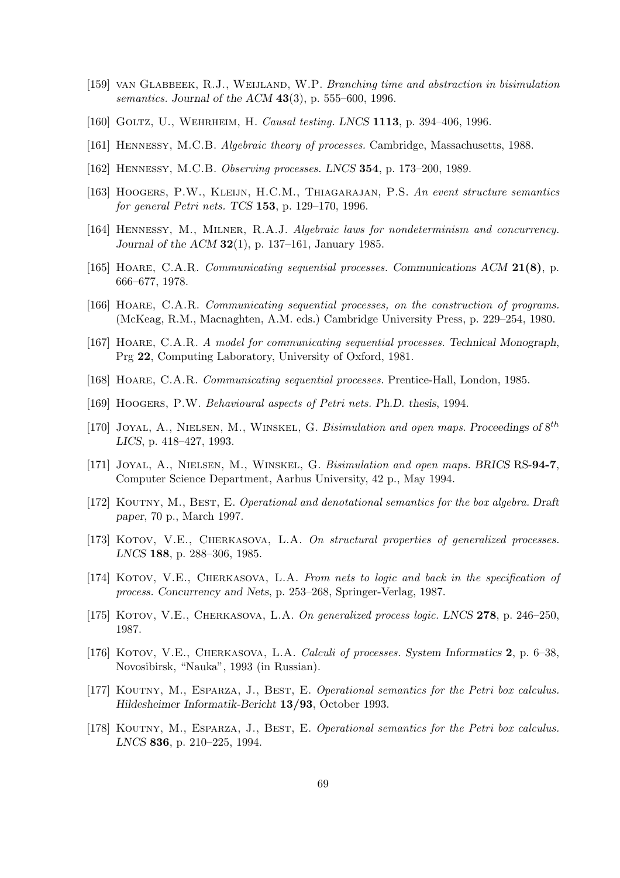- [159] van Glabbeek, R.J., Weijland, W.P. Branching time and abstraction in bisimulation semantics. Journal of the ACM 43(3), p. 555–600, 1996.
- [160] GOLTZ, U., WEHRHEIM, H. Causal testing. LNCS 1113, p. 394-406, 1996.
- [161] Hennessy, M.C.B. Algebraic theory of processes. Cambridge, Massachusetts, 1988.
- [162] Hennessy, M.C.B. Observing processes. LNCS 354, p. 173–200, 1989.
- [163] Hoogers, P.W., Kleijn, H.C.M., Thiagarajan, P.S. An event structure semantics for general Petri nets. TCS 153, p. 129–170, 1996.
- [164] Hennessy, M., Milner, R.A.J. Algebraic laws for nondeterminism and concurrency. Journal of the ACM 32(1), p. 137–161, January 1985.
- [165] HOARE, C.A.R. Communicating sequential processes. Communications ACM 21(8), p. 666–677, 1978.
- [166] Hoare, C.A.R. Communicating sequential processes, on the construction of programs. (McKeag, R.M., Macnaghten, A.M. eds.) Cambridge University Press, p. 229–254, 1980.
- [167] Hoare, C.A.R. A model for communicating sequential processes. Technical Monograph, Prg 22, Computing Laboratory, University of Oxford, 1981.
- [168] Hoare, C.A.R. Communicating sequential processes. Prentice-Hall, London, 1985.
- [169] HOOGERS, P.W. Behavioural aspects of Petri nets. Ph.D. thesis, 1994.
- [170] JOYAL, A., NIELSEN, M., WINSKEL, G. Bisimulation and open maps. Proceedings of  $8^{th}$ LICS, p. 418–427, 1993.
- [171] Joyal, A., Nielsen, M., Winskel, G. Bisimulation and open maps. BRICS RS-94-7, Computer Science Department, Aarhus University, 42 p., May 1994.
- [172] KOUTNY, M., BEST, E. Operational and denotational semantics for the box algebra. Draft paper, 70 p., March 1997.
- [173] KOTOV, V.E., CHERKASOVA, L.A. On structural properties of generalized processes. LNCS 188, p. 288–306, 1985.
- [174] KOTOV, V.E., CHERKASOVA, L.A. From nets to logic and back in the specification of process. Concurrency and Nets, p. 253–268, Springer-Verlag, 1987.
- [175] KOTOV, V.E., CHERKASOVA, L.A. On generalized process logic. LNCS 278, p. 246–250, 1987.
- [176] KOTOV, V.E., CHERKASOVA, L.A. *Calculi of processes. System Informatics* 2, p. 6–38, Novosibirsk, "Nauka", 1993 (in Russian).
- [177] KOUTNY, M., ESPARZA, J., BEST, E. Operational semantics for the Petri box calculus. Hildesheimer Informatik-Bericht 13/93, October 1993.
- [178] KOUTNY, M., ESPARZA, J., BEST, E. Operational semantics for the Petri box calculus. LNCS 836, p. 210–225, 1994.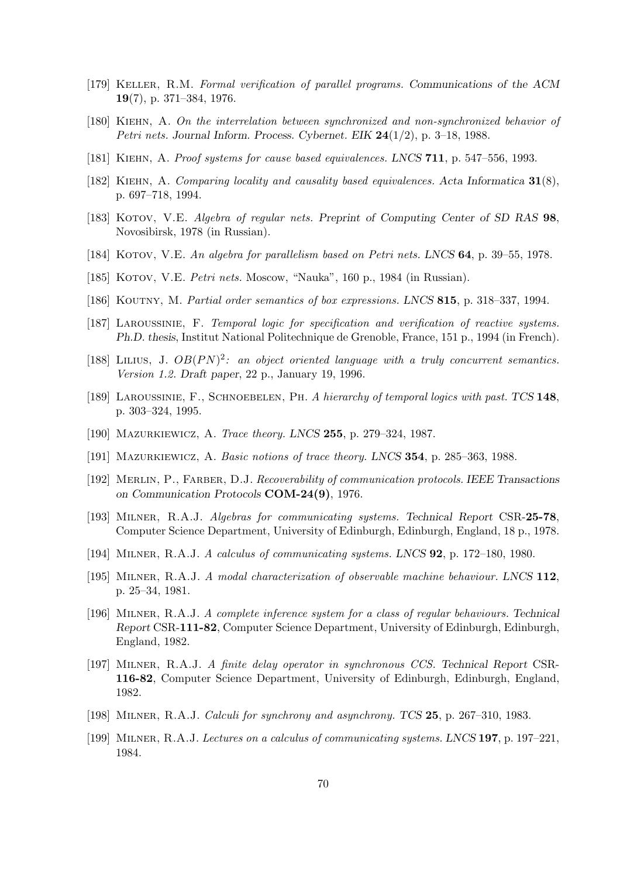- [179] Keller, R.M. Formal verification of parallel programs. Communications of the ACM 19(7), p. 371–384, 1976.
- [180] Kiehn, A. On the interrelation between synchronized and non-synchronized behavior of Petri nets. Journal Inform. Process. Cybernet. EIK  $24(1/2)$ , p. 3–18, 1988.
- [181] KIEHN, A. Proof systems for cause based equivalences. LNCS 711, p. 547-556, 1993.
- [182] Kiehn, A. Comparing locality and causality based equivalences. Acta Informatica 31(8), p. 697–718, 1994.
- [183] KOTOV, V.E. Algebra of regular nets. Preprint of Computing Center of SD RAS 98, Novosibirsk, 1978 (in Russian).
- [184] KOTOV, V.E. An algebra for parallelism based on Petri nets. LNCS 64, p. 39–55, 1978.
- [185] KOTOV, V.E. *Petri nets.* Moscow, "Nauka", 160 p., 1984 (in Russian).
- [186] KOUTNY, M. Partial order semantics of box expressions. LNCS 815, p. 318–337, 1994.
- [187] Laroussinie, F. Temporal logic for specification and verification of reactive systems. Ph.D. thesis, Institut National Politechnique de Grenoble, France, 151 p., 1994 (in French).
- [188] LILIUS, J.  $OB(PN)^2$ : an object oriented language with a truly concurrent semantics. Version 1.2. Draft paper, 22 p., January 19, 1996.
- [189] LAROUSSINIE, F., SCHNOEBELEN, PH. A hierarchy of temporal logics with past. TCS 148, p. 303–324, 1995.
- [190] MAZURKIEWICZ, A. Trace theory. LNCS 255, p. 279–324, 1987.
- [191] Mazurkiewicz, A. Basic notions of trace theory. LNCS 354, p. 285–363, 1988.
- [192] Merlin, P., Farber, D.J. Recoverability of communication protocols. IEEE Transactions on Communication Protocols COM-24(9), 1976.
- [193] Milner, R.A.J. Algebras for communicating systems. Technical Report CSR-25-78, Computer Science Department, University of Edinburgh, Edinburgh, England, 18 p., 1978.
- [194] Milner, R.A.J. A calculus of communicating systems. LNCS 92, p. 172–180, 1980.
- [195] Milner, R.A.J. A modal characterization of observable machine behaviour. LNCS 112, p. 25–34, 1981.
- [196] Milner, R.A.J. A complete inference system for a class of regular behaviours. Technical Report CSR-111-82, Computer Science Department, University of Edinburgh, Edinburgh, England, 1982.
- [197] Milner, R.A.J. A finite delay operator in synchronous CCS. Technical Report CSR-116-82, Computer Science Department, University of Edinburgh, Edinburgh, England, 1982.
- [198] Milner, R.A.J. Calculi for synchrony and asynchrony. TCS 25, p. 267–310, 1983.
- [199] Milner, R.A.J. Lectures on a calculus of communicating systems. LNCS 197, p. 197–221, 1984.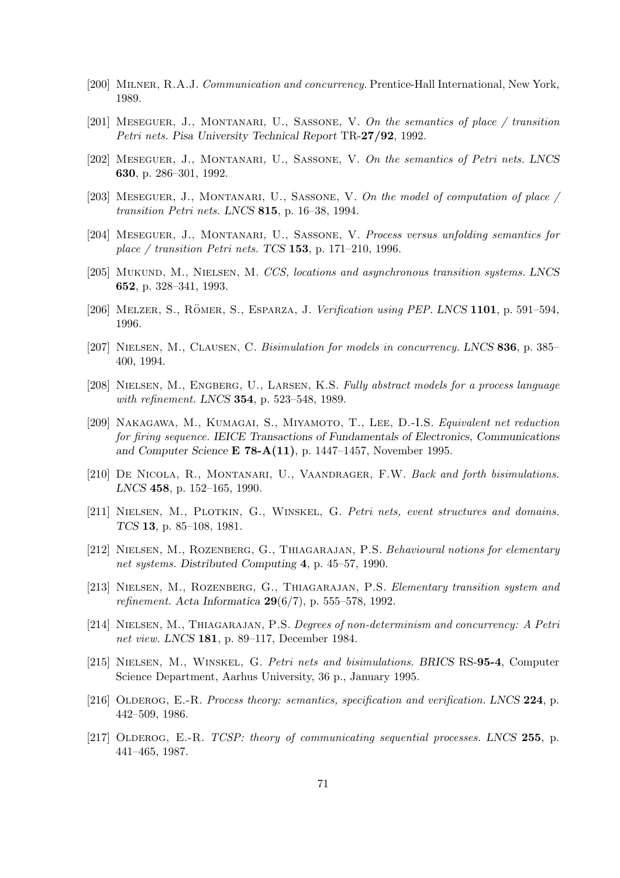- [200] Milner, R.A.J. Communication and concurrency. Prentice-Hall International, New York, 1989.
- [201] Meseguer, J., Montanari, U., Sassone, V. On the semantics of place / transition Petri nets. Pisa University Technical Report TR-27/92, 1992.
- [202] Meseguer, J., Montanari, U., Sassone, V. On the semantics of Petri nets. LNCS 630, p. 286–301, 1992.
- [203] MESEGUER, J., MONTANARI, U., SASSONE, V. On the model of computation of place  $\sqrt{ }$ transition Petri nets. LNCS 815, p. 16–38, 1994.
- [204] Meseguer, J., Montanari, U., Sassone, V. Process versus unfolding semantics for place / transition Petri nets. TCS 153, p. 171–210, 1996.
- [205] Mukund, M., Nielsen, M. CCS, locations and asynchronous transition systems. LNCS 652, p. 328–341, 1993.
- [206] MELZER, S., RÖMER, S., ESPARZA, J. Verification using PEP. LNCS 1101, p. 591–594, 1996.
- [207] NIELSEN, M., CLAUSEN, C. Bisimulation for models in concurrency. LNCS 836, p. 385– 400, 1994.
- [208] NIELSEN, M., ENGBERG, U., LARSEN, K.S. Fully abstract models for a process language with refinement. LNCS **354**, p. 523-548, 1989.
- [209] NAKAGAWA, M., KUMAGAI, S., MIYAMOTO, T., LEE, D.-I.S. Equivalent net reduction for firing sequence. IEICE Transactions of Fundamentals of Electronics, Communications and Computer Science E 78-A(11), p. 1447–1457, November 1995.
- [210] DE NICOLA, R., MONTANARI, U., VAANDRAGER, F.W. Back and forth bisimulations. LNCS 458, p. 152–165, 1990.
- [211] NIELSEN, M., PLOTKIN, G., WINSKEL, G. Petri nets, event structures and domains. TCS 13, p. 85–108, 1981.
- [212] NIELSEN, M., ROZENBERG, G., THIAGARAJAN, P.S. Behavioural notions for elementary net systems. Distributed Computing 4, p. 45–57, 1990.
- [213] Nielsen, M., Rozenberg, G., Thiagarajan, P.S. Elementary transition system and refinement. Acta Informatica  $29(6/7)$ , p. 555–578, 1992.
- [214] Nielsen, M., Thiagarajan, P.S. Degrees of non-determinism and concurrency: A Petri net view. LNCS 181, p. 89–117, December 1984.
- [215] Nielsen, M., Winskel, G. Petri nets and bisimulations. BRICS RS-95-4, Computer Science Department, Aarhus University, 36 p., January 1995.
- [216] OLDEROG, E.-R. Process theory: semantics, specification and verification. LNCS 224, p. 442–509, 1986.
- [217] OLDEROG, E.-R. TCSP: theory of communicating sequential processes. LNCS 255, p. 441–465, 1987.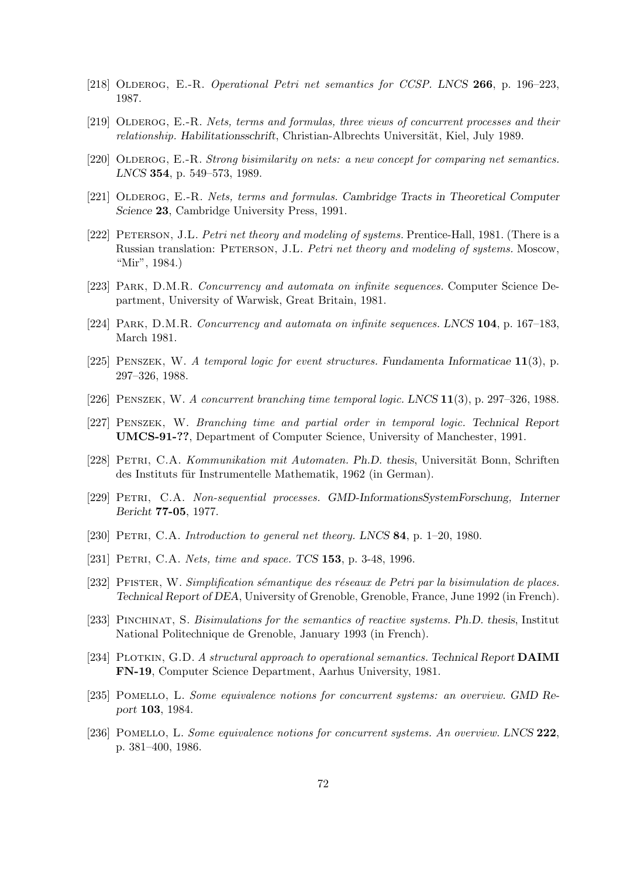- [218] OLDEROG, E.-R. Operational Petri net semantics for CCSP. LNCS 266, p. 196–223, 1987.
- [219] OLDEROG, E.-R. Nets, terms and formulas, three views of concurrent processes and their relationship. Habilitationsschrift, Christian-Albrechts Universität, Kiel, July 1989.
- [220] OLDEROG, E.-R. Strong bisimilarity on nets: a new concept for comparing net semantics. LNCS 354, p. 549–573, 1989.
- [221] OLDEROG, E.-R. Nets, terms and formulas. Cambridge Tracts in Theoretical Computer Science 23, Cambridge University Press, 1991.
- [222] PETERSON, J.L. Petri net theory and modeling of systems. Prentice-Hall, 1981. (There is a Russian translation: PETERSON, J.L. Petri net theory and modeling of systems. Moscow, "Mir", 1984.)
- [223] Park, D.M.R. Concurrency and automata on infinite sequences. Computer Science Department, University of Warwisk, Great Britain, 1981.
- [224] Park, D.M.R. Concurrency and automata on infinite sequences. LNCS 104, p. 167–183, March 1981.
- [225] Penszek, W. A temporal logic for event structures. Fundamenta Informaticae 11(3), p. 297–326, 1988.
- [226] Penszek, W. A concurrent branching time temporal logic. LNCS 11(3), p. 297–326, 1988.
- [227] Penszek, W. Branching time and partial order in temporal logic. Technical Report UMCS-91-??, Department of Computer Science, University of Manchester, 1991.
- [228] PETRI, C.A. Kommunikation mit Automaten. Ph.D. thesis, Universität Bonn, Schriften des Instituts für Instrumentelle Mathematik, 1962 (in German).
- [229] Petri, C.A. Non-sequential processes. GMD-InformationsSystemForschung, Interner Bericht 77-05, 1977.
- [230] PETRI, C.A. Introduction to general net theory. LNCS 84, p. 1–20, 1980.
- [231] PETRI, C.A. Nets, time and space. TCS 153, p. 3-48, 1996.
- [232] PFISTER, W. Simplification sémantique des réseaux de Petri par la bisimulation de places. Technical Report of DEA, University of Grenoble, Grenoble, France, June 1992 (in French).
- [233] Pinchinat, S. Bisimulations for the semantics of reactive systems. Ph.D. thesis, Institut National Politechnique de Grenoble, January 1993 (in French).
- [234] PLOTKIN, G.D. A structural approach to operational semantics. Technical Report DAIMI FN-19, Computer Science Department, Aarhus University, 1981.
- [235] POMELLO, L. Some equivalence notions for concurrent systems: an overview. GMD Report 103, 1984.
- [236] POMELLO, L. Some equivalence notions for concurrent systems. An overview. LNCS 222, p. 381–400, 1986.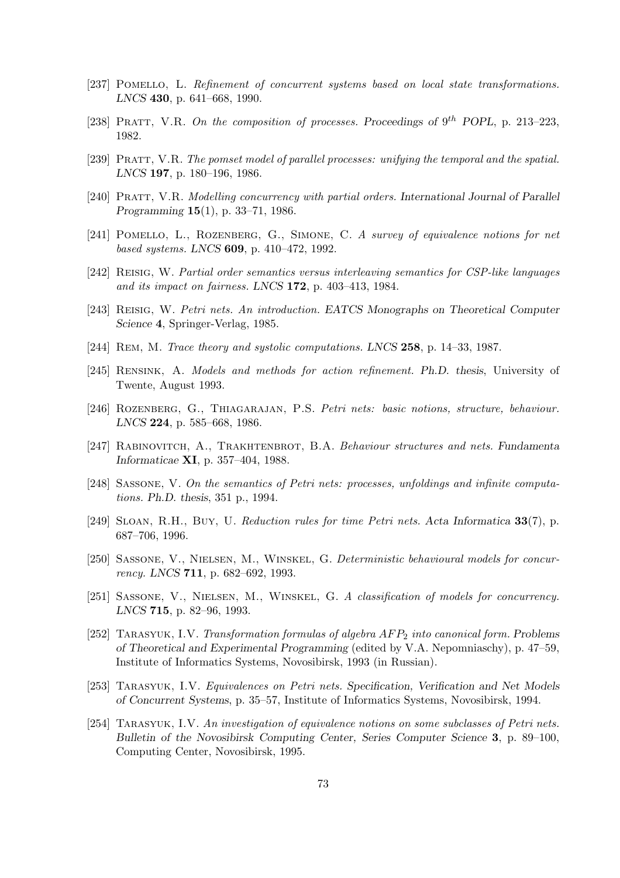- [237] POMELLO, L. Refinement of concurrent systems based on local state transformations. LNCS 430, p. 641–668, 1990.
- [238] PRATT, V.R. On the composition of processes. Proceedings of  $9^{th}$  POPL, p. 213–223, 1982.
- [239] Pratt, V.R. The pomset model of parallel processes: unifying the temporal and the spatial. LNCS 197, p. 180–196, 1986.
- [240] PRATT, V.R. Modelling concurrency with partial orders. International Journal of Parallel Programming 15(1), p. 33–71, 1986.
- [241] POMELLO, L., ROZENBERG, G., SIMONE, C. A survey of equivalence notions for net based systems. LNCS 609, p. 410–472, 1992.
- [242] Reisig, W. Partial order semantics versus interleaving semantics for CSP-like languages and its impact on fairness. LNCS 172, p. 403–413, 1984.
- [243] Reisig, W. Petri nets. An introduction. EATCS Monographs on Theoretical Computer Science 4, Springer-Verlag, 1985.
- [244] Rem, M. Trace theory and systolic computations. LNCS 258, p. 14–33, 1987.
- [245] Rensink, A. Models and methods for action refinement. Ph.D. thesis, University of Twente, August 1993.
- [246] Rozenberg, G., Thiagarajan, P.S. Petri nets: basic notions, structure, behaviour. LNCS 224, p. 585–668, 1986.
- [247] RABINOVITCH, A., TRAKHTENBROT, B.A. Behaviour structures and nets. Fundamenta Informaticae XI, p. 357–404, 1988.
- [248] SASSONE, V. On the semantics of Petri nets: processes, unfoldings and infinite computations. Ph.D. thesis, 351 p., 1994.
- [249] Sloan, R.H., Buy, U. Reduction rules for time Petri nets. Acta Informatica 33(7), p. 687–706, 1996.
- [250] Sassone, V., Nielsen, M., Winskel, G. Deterministic behavioural models for concurrency. LNCS 711, p. 682–692, 1993.
- [251] Sassone, V., Nielsen, M., Winskel, G. A classification of models for concurrency. LNCS 715, p. 82–96, 1993.
- [252] TARASYUK, I.V. Transformation formulas of algebra  $AFP_2$  into canonical form. Problems of Theoretical and Experimental Programming (edited by V.A. Nepomniaschy), p. 47–59, Institute of Informatics Systems, Novosibirsk, 1993 (in Russian).
- [253] Tarasyuk, I.V. Equivalences on Petri nets. Specification, Verification and Net Models of Concurrent Systems, p. 35–57, Institute of Informatics Systems, Novosibirsk, 1994.
- [254] TARASYUK, I.V. An investigation of equivalence notions on some subclasses of Petri nets. Bulletin of the Novosibirsk Computing Center, Series Computer Science 3, p. 89–100, Computing Center, Novosibirsk, 1995.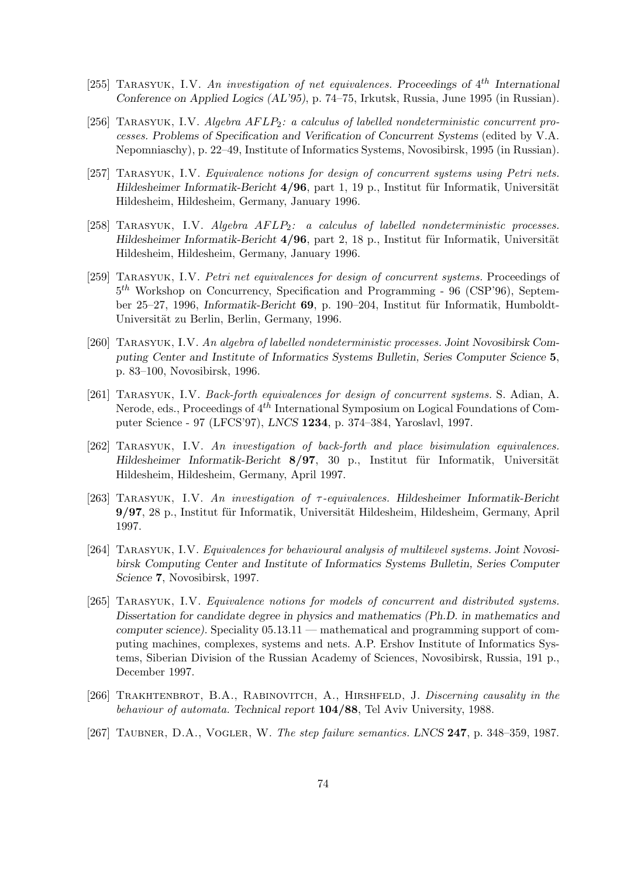- [255] TARASYUK, I.V. An investigation of net equivalences. Proceedings of  $4^{th}$  International Conference on Applied Logics (AL'95), p. 74–75, Irkutsk, Russia, June 1995 (in Russian).
- [256] TARASYUK, I.V. Algebra  $AFLP_2$ : a calculus of labelled nondeterministic concurrent processes. Problems of Specification and Verification of Concurrent Systems (edited by V.A. Nepomniaschy), p. 22–49, Institute of Informatics Systems, Novosibirsk, 1995 (in Russian).
- [257] Tarasyuk, I.V. Equivalence notions for design of concurrent systems using Petri nets. Hildesheimer Informatik-Bericht  $4/96$ , part 1, 19 p., Institut für Informatik, Universität Hildesheim, Hildesheim, Germany, January 1996.
- [258] TARASYUK, I.V. Algebra  $AFLP_2$ : a calculus of labelled nondeterministic processes. Hildesheimer Informatik-Bericht  $4/96$ , part 2, 18 p., Institut für Informatik, Universität Hildesheim, Hildesheim, Germany, January 1996.
- [259] TARASYUK, I.V. Petri net equivalences for design of concurrent systems. Proceedings of  $5<sup>th</sup>$  Workshop on Concurrency, Specification and Programming - 96 (CSP'96), September 25–27, 1996, Informatik-Bericht  $69$ , p. 190–204, Institut für Informatik, Humboldt-Universität zu Berlin, Berlin, Germany, 1996.
- [260] Tarasyuk, I.V. An algebra of labelled nondeterministic processes. Joint Novosibirsk Computing Center and Institute of Informatics Systems Bulletin, Series Computer Science 5, p. 83–100, Novosibirsk, 1996.
- [261] Tarasyuk, I.V. Back-forth equivalences for design of concurrent systems. S. Adian, A. Nerode, eds., Proceedings of  $4^{th}$  International Symposium on Logical Foundations of Computer Science - 97 (LFCS'97), LNCS 1234, p. 374–384, Yaroslavl, 1997.
- [262] Tarasyuk, I.V. An investigation of back-forth and place bisimulation equivalences. Hildesheimer Informatik-Bericht 8/97, 30 p., Institut für Informatik, Universität Hildesheim, Hildesheim, Germany, April 1997.
- [263] TARASYUK, I.V. An investigation of  $\tau$ -equivalences. Hildesheimer Informatik-Bericht 9/97, 28 p., Institut für Informatik, Universität Hildesheim, Hildesheim, Germany, April 1997.
- [264] Tarasyuk, I.V. Equivalences for behavioural analysis of multilevel systems. Joint Novosibirsk Computing Center and Institute of Informatics Systems Bulletin, Series Computer Science 7, Novosibirsk, 1997.
- [265] TARASYUK, I.V. Equivalence notions for models of concurrent and distributed systems. Dissertation for candidate degree in physics and mathematics (Ph.D. in mathematics and computer science). Speciality 05.13.11 — mathematical and programming support of computing machines, complexes, systems and nets. A.P. Ershov Institute of Informatics Systems, Siberian Division of the Russian Academy of Sciences, Novosibirsk, Russia, 191 p., December 1997.
- [266] TRAKHTENBROT, B.A., RABINOVITCH, A., HIRSHFELD, J. Discerning causality in the behaviour of automata. Technical report  $104/88$ , Tel Aviv University, 1988.
- [267] TAUBNER, D.A., VOGLER, W. The step failure semantics. LNCS 247, p. 348–359, 1987.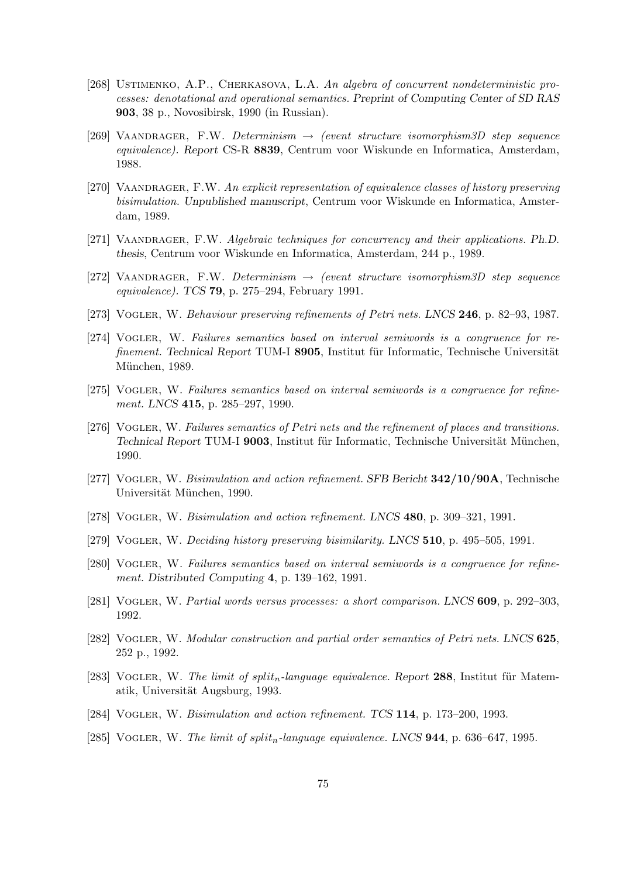- [268] USTIMENKO, A.P., CHERKASOVA, L.A. An algebra of concurrent nondeterministic processes: denotational and operational semantics. Preprint of Computing Center of SD RAS 903, 38 p., Novosibirsk, 1990 (in Russian).
- [269] VAANDRAGER, F.W. Determinism  $\rightarrow$  (event structure isomorphism3D step sequence equivalence). Report CS-R 8839, Centrum voor Wiskunde en Informatica, Amsterdam, 1988.
- [270] VAANDRAGER, F.W. An explicit representation of equivalence classes of history preserving bisimulation. Unpublished manuscript, Centrum voor Wiskunde en Informatica, Amsterdam, 1989.
- [271] VAANDRAGER, F.W. Algebraic techniques for concurrency and their applications. Ph.D. thesis, Centrum voor Wiskunde en Informatica, Amsterdam, 244 p., 1989.
- [272] VAANDRAGER, F.W. Determinism  $\rightarrow$  (event structure isomorphism3D step sequence equivalence). TCS 79, p. 275–294, February 1991.
- [273] VOGLER, W. Behaviour preserving refinements of Petri nets. LNCS 246, p. 82–93, 1987.
- [274] Vogler, W. Failures semantics based on interval semiwords is a congruence for refinement. Technical Report TUM-I 8905, Institut für Informatic, Technische Universität München, 1989.
- [275] Vogler, W. Failures semantics based on interval semiwords is a congruence for refinement. LNCS 415, p. 285–297, 1990.
- [276] VOGLER, W. Failures semantics of Petri nets and the refinement of places and transitions. Technical Report TUM-I 9003, Institut für Informatic, Technische Universität München, 1990.
- [277] VOGLER, W. Bisimulation and action refinement. SFB Bericht **342/10/90A**, Technische Universität München, 1990.
- [278] Vogler, W. Bisimulation and action refinement. LNCS 480, p. 309–321, 1991.
- [279] VOGLER, W. Deciding history preserving bisimilarity. LNCS 510, p. 495–505, 1991.
- [280] Vogler, W. Failures semantics based on interval semiwords is a congruence for refinement. Distributed Computing 4, p. 139–162, 1991.
- [281] VOGLER, W. Partial words versus processes: a short comparison. LNCS 609, p. 292-303, 1992.
- [282] VOGLER, W. Modular construction and partial order semantics of Petri nets. LNCS 625, 252 p., 1992.
- [283] VOGLER, W. The limit of split<sub>n</sub>-language equivalence. Report 288, Institut für Matematik, Universität Augsburg, 1993.
- [284] Vogler, W. Bisimulation and action refinement. TCS 114, p. 173–200, 1993.
- [285] VOGLER, W. The limit of split<sub>n</sub>-language equivalence. LNCS  $944$ , p. 636–647, 1995.